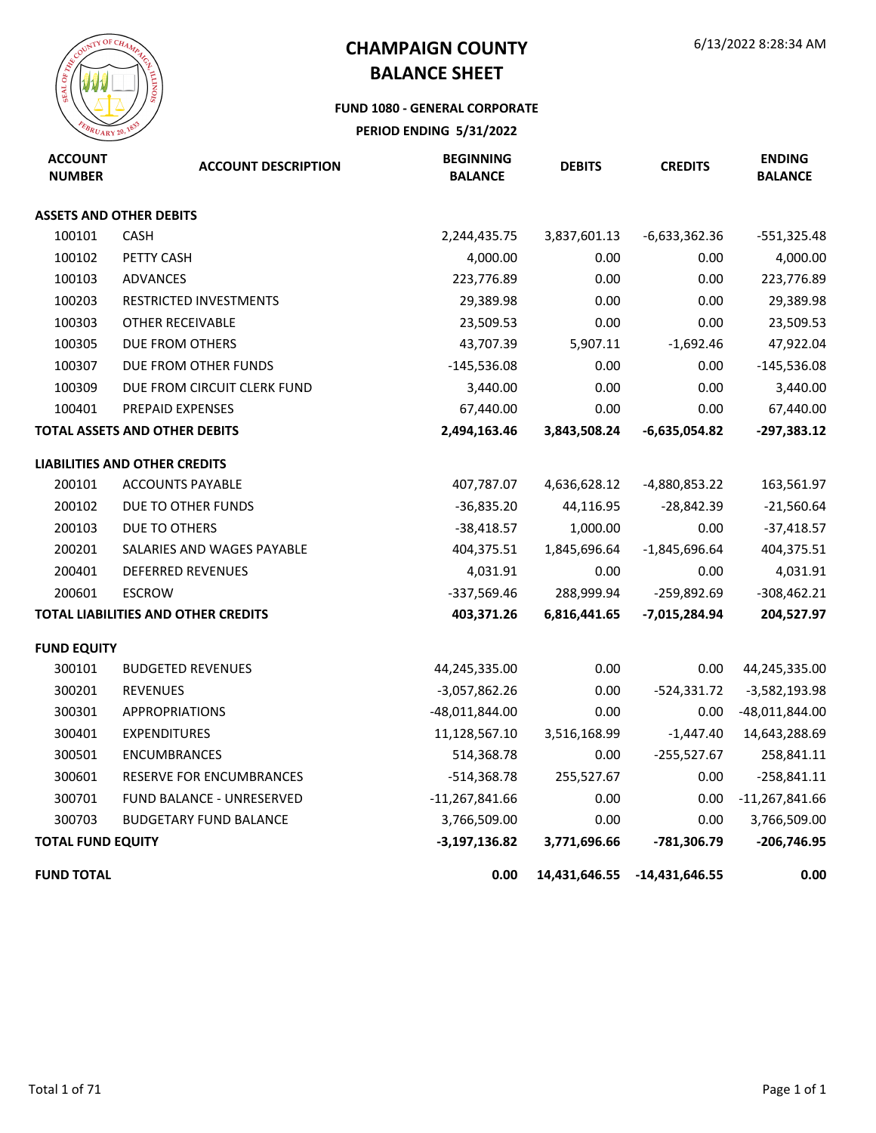### **FUND 1080 - GENERAL CORPORATE**

| <b>ACCOUNT</b><br><b>NUMBER</b> | <b>ACCOUNT DESCRIPTION</b>           | <b>BEGINNING</b><br><b>BALANCE</b> | <b>DEBITS</b> | <b>CREDITS</b>  | <b>ENDING</b><br><b>BALANCE</b> |
|---------------------------------|--------------------------------------|------------------------------------|---------------|-----------------|---------------------------------|
|                                 | <b>ASSETS AND OTHER DEBITS</b>       |                                    |               |                 |                                 |
| 100101                          | <b>CASH</b>                          | 2,244,435.75                       | 3,837,601.13  | $-6,633,362.36$ | $-551,325.48$                   |
| 100102                          | PETTY CASH                           | 4,000.00                           | 0.00          | 0.00            | 4,000.00                        |
| 100103                          | <b>ADVANCES</b>                      | 223,776.89                         | 0.00          | 0.00            | 223,776.89                      |
| 100203                          | <b>RESTRICTED INVESTMENTS</b>        | 29,389.98                          | 0.00          | 0.00            | 29,389.98                       |
| 100303                          | OTHER RECEIVABLE                     | 23,509.53                          | 0.00          | 0.00            | 23,509.53                       |
| 100305                          | DUE FROM OTHERS                      | 43,707.39                          | 5,907.11      | $-1,692.46$     | 47,922.04                       |
| 100307                          | DUE FROM OTHER FUNDS                 | $-145,536.08$                      | 0.00          | 0.00            | $-145,536.08$                   |
| 100309                          | DUE FROM CIRCUIT CLERK FUND          | 3,440.00                           | 0.00          | 0.00            | 3,440.00                        |
| 100401                          | PREPAID EXPENSES                     | 67,440.00                          | 0.00          | 0.00            | 67,440.00                       |
|                                 | <b>TOTAL ASSETS AND OTHER DEBITS</b> | 2,494,163.46                       | 3,843,508.24  | $-6,635,054.82$ | $-297,383.12$                   |
|                                 | <b>LIABILITIES AND OTHER CREDITS</b> |                                    |               |                 |                                 |
| 200101                          | <b>ACCOUNTS PAYABLE</b>              | 407,787.07                         | 4,636,628.12  | -4,880,853.22   | 163,561.97                      |
| 200102                          | DUE TO OTHER FUNDS                   | $-36,835.20$                       | 44,116.95     | $-28,842.39$    | $-21,560.64$                    |
| 200103                          | <b>DUE TO OTHERS</b>                 | $-38,418.57$                       | 1,000.00      | 0.00            | $-37,418.57$                    |
| 200201                          | SALARIES AND WAGES PAYABLE           | 404,375.51                         | 1,845,696.64  | $-1,845,696.64$ | 404,375.51                      |
| 200401                          | <b>DEFERRED REVENUES</b>             | 4,031.91                           | 0.00          | 0.00            | 4,031.91                        |
| 200601                          | <b>ESCROW</b>                        | -337,569.46                        | 288,999.94    | -259,892.69     | $-308,462.21$                   |
|                                 | TOTAL LIABILITIES AND OTHER CREDITS  | 403,371.26                         | 6,816,441.65  | -7,015,284.94   | 204,527.97                      |
| <b>FUND EQUITY</b>              |                                      |                                    |               |                 |                                 |
| 300101                          | <b>BUDGETED REVENUES</b>             | 44,245,335.00                      | 0.00          | 0.00            | 44,245,335.00                   |
| 300201                          | <b>REVENUES</b>                      | $-3,057,862.26$                    | 0.00          | $-524,331.72$   | $-3,582,193.98$                 |
| 300301                          | <b>APPROPRIATIONS</b>                | -48,011,844.00                     | 0.00          | 0.00            | $-48,011,844.00$                |
| 300401                          | <b>EXPENDITURES</b>                  | 11,128,567.10                      | 3,516,168.99  | $-1,447.40$     | 14,643,288.69                   |
| 300501                          | <b>ENCUMBRANCES</b>                  | 514,368.78                         | 0.00          | $-255,527.67$   | 258,841.11                      |
| 300601                          | <b>RESERVE FOR ENCUMBRANCES</b>      | $-514,368.78$                      | 255,527.67    | 0.00            | $-258,841.11$                   |
| 300701                          | FUND BALANCE - UNRESERVED            | $-11,267,841.66$                   | 0.00          | 0.00            | $-11,267,841.66$                |
| 300703                          | <b>BUDGETARY FUND BALANCE</b>        | 3,766,509.00                       | 0.00          | 0.00            | 3,766,509.00                    |
| <b>TOTAL FUND EQUITY</b>        |                                      | $-3,197,136.82$                    | 3,771,696.66  | -781,306.79     | $-206,746.95$                   |
| <b>FUND TOTAL</b>               |                                      | 0.00                               | 14,431,646.55 | -14,431,646.55  | 0.00                            |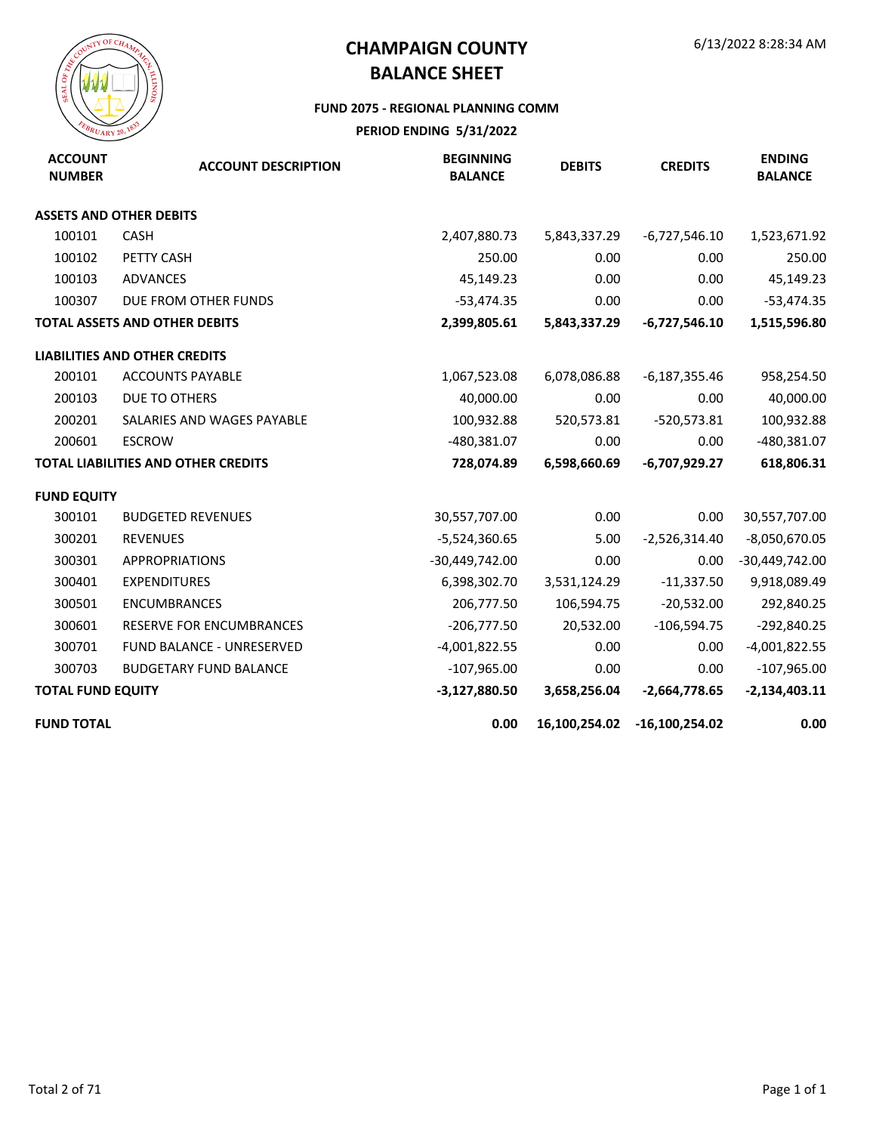

#### **FUND 2075 - REGIONAL PLANNING COMM**

| <b>ACCOUNT</b><br><b>NUMBER</b> | <b>ACCOUNT DESCRIPTION</b>           | <b>BEGINNING</b><br><b>BALANCE</b> | <b>DEBITS</b> | <b>CREDITS</b>  | <b>ENDING</b><br><b>BALANCE</b> |
|---------------------------------|--------------------------------------|------------------------------------|---------------|-----------------|---------------------------------|
|                                 | <b>ASSETS AND OTHER DEBITS</b>       |                                    |               |                 |                                 |
| 100101                          | <b>CASH</b>                          | 2,407,880.73                       | 5,843,337.29  | $-6,727,546.10$ | 1,523,671.92                    |
| 100102                          | PETTY CASH                           | 250.00                             | 0.00          | 0.00            | 250.00                          |
| 100103                          | ADVANCES                             | 45,149.23                          | 0.00          | 0.00            | 45,149.23                       |
| 100307                          | DUE FROM OTHER FUNDS                 | $-53,474.35$                       | 0.00          | 0.00            | $-53,474.35$                    |
|                                 | <b>TOTAL ASSETS AND OTHER DEBITS</b> | 2,399,805.61                       | 5,843,337.29  | $-6,727,546.10$ | 1,515,596.80                    |
|                                 | <b>LIABILITIES AND OTHER CREDITS</b> |                                    |               |                 |                                 |
| 200101                          | <b>ACCOUNTS PAYABLE</b>              | 1,067,523.08                       | 6,078,086.88  | $-6,187,355.46$ | 958,254.50                      |
| 200103                          | DUE TO OTHERS                        | 40,000.00                          | 0.00          | 0.00            | 40,000.00                       |
| 200201                          | SALARIES AND WAGES PAYABLE           | 100,932.88                         | 520,573.81    | $-520,573.81$   | 100,932.88                      |
| 200601                          | <b>ESCROW</b>                        | -480,381.07                        | 0.00          | 0.00            | -480,381.07                     |
|                                 | TOTAL LIABILITIES AND OTHER CREDITS  | 728,074.89                         | 6,598,660.69  | -6,707,929.27   | 618,806.31                      |
| <b>FUND EQUITY</b>              |                                      |                                    |               |                 |                                 |
| 300101                          | <b>BUDGETED REVENUES</b>             | 30,557,707.00                      | 0.00          | 0.00            | 30,557,707.00                   |
| 300201                          | <b>REVENUES</b>                      | $-5,524,360.65$                    | 5.00          | $-2,526,314.40$ | $-8,050,670.05$                 |
| 300301                          | <b>APPROPRIATIONS</b>                | -30,449,742.00                     | 0.00          | 0.00            | $-30,449,742.00$                |
| 300401                          | <b>EXPENDITURES</b>                  | 6,398,302.70                       | 3,531,124.29  | $-11,337.50$    | 9,918,089.49                    |
| 300501                          | <b>ENCUMBRANCES</b>                  | 206,777.50                         | 106,594.75    | $-20,532.00$    | 292,840.25                      |
| 300601                          | <b>RESERVE FOR ENCUMBRANCES</b>      | $-206,777.50$                      | 20,532.00     | $-106,594.75$   | $-292,840.25$                   |
| 300701                          | FUND BALANCE - UNRESERVED            | $-4,001,822.55$                    | 0.00          | 0.00            | $-4,001,822.55$                 |
| 300703                          | <b>BUDGETARY FUND BALANCE</b>        | $-107,965.00$                      | 0.00          | 0.00            | $-107,965.00$                   |
| <b>TOTAL FUND EQUITY</b>        |                                      | $-3,127,880.50$                    | 3,658,256.04  | $-2,664,778.65$ | $-2,134,403.11$                 |
| <b>FUND TOTAL</b>               |                                      | 0.00                               | 16,100,254.02 | -16,100,254.02  | 0.00                            |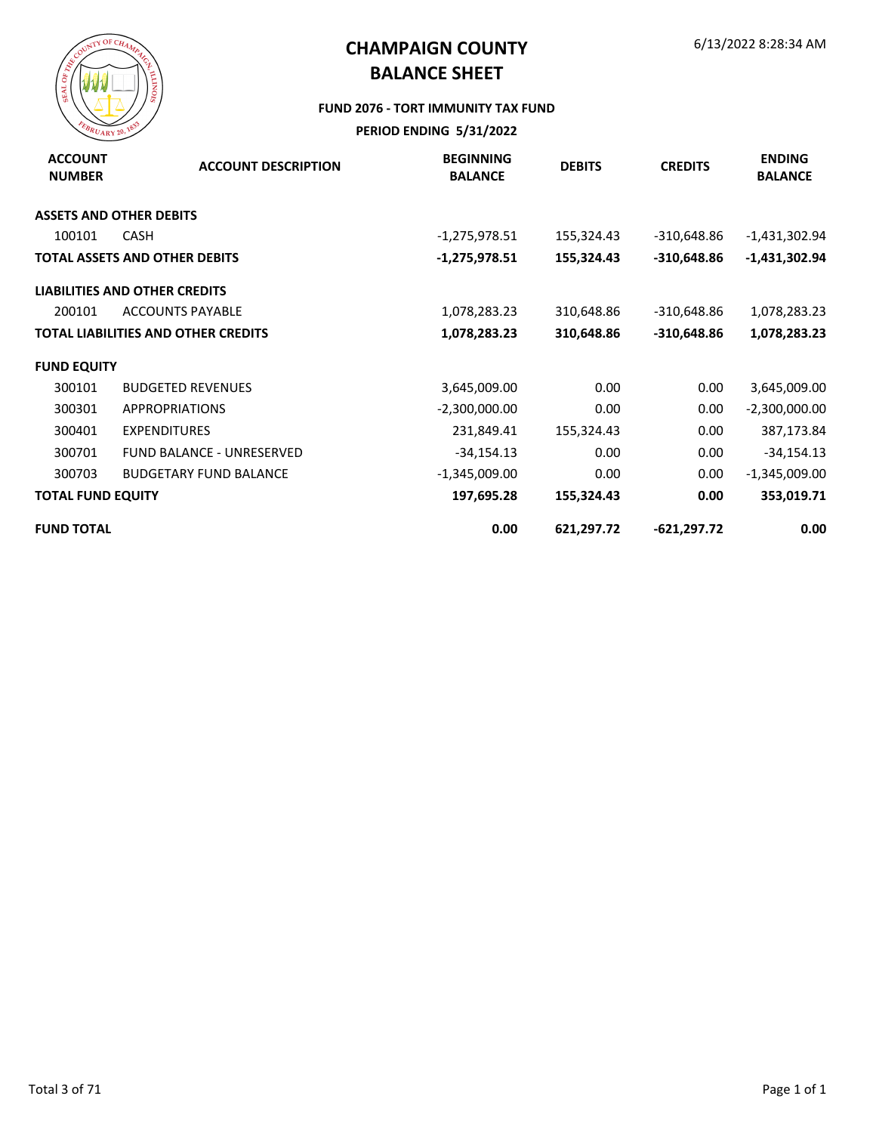

#### **FUND 2076 - TORT IMMUNITY TAX FUND**

| <b>ACCOUNT</b><br><b>NUMBER</b> | <b>ACCOUNT DESCRIPTION</b>                 | <b>BEGINNING</b><br><b>BALANCE</b> | <b>DEBITS</b> | <b>CREDITS</b> | <b>ENDING</b><br><b>BALANCE</b> |
|---------------------------------|--------------------------------------------|------------------------------------|---------------|----------------|---------------------------------|
|                                 | <b>ASSETS AND OTHER DEBITS</b>             |                                    |               |                |                                 |
| 100101                          | <b>CASH</b>                                | $-1,275,978.51$                    | 155,324.43    | -310,648.86    | -1,431,302.94                   |
|                                 | <b>TOTAL ASSETS AND OTHER DEBITS</b>       | -1,275,978.51                      | 155,324.43    | $-310,648.86$  | $-1,431,302.94$                 |
|                                 | <b>LIABILITIES AND OTHER CREDITS</b>       |                                    |               |                |                                 |
| 200101                          | <b>ACCOUNTS PAYABLE</b>                    | 1,078,283.23                       | 310,648.86    | -310,648.86    | 1,078,283.23                    |
|                                 | <b>TOTAL LIABILITIES AND OTHER CREDITS</b> | 1,078,283.23                       | 310,648.86    | $-310,648.86$  | 1,078,283.23                    |
| <b>FUND EQUITY</b>              |                                            |                                    |               |                |                                 |
| 300101                          | <b>BUDGETED REVENUES</b>                   | 3,645,009.00                       | 0.00          | 0.00           | 3,645,009.00                    |
| 300301                          | <b>APPROPRIATIONS</b>                      | $-2,300,000.00$                    | 0.00          | 0.00           | $-2,300,000.00$                 |
| 300401                          | <b>EXPENDITURES</b>                        | 231,849.41                         | 155,324.43    | 0.00           | 387,173.84                      |
| 300701                          | <b>FUND BALANCE - UNRESERVED</b>           | $-34,154.13$                       | 0.00          | 0.00           | $-34,154.13$                    |
| 300703                          | <b>BUDGETARY FUND BALANCE</b>              | $-1,345,009.00$                    | 0.00          | 0.00           | $-1,345,009.00$                 |
| <b>TOTAL FUND EQUITY</b>        |                                            | 197,695.28                         | 155,324.43    | 0.00           | 353,019.71                      |
| <b>FUND TOTAL</b>               |                                            | 0.00                               | 621,297.72    | $-621,297.72$  | 0.00                            |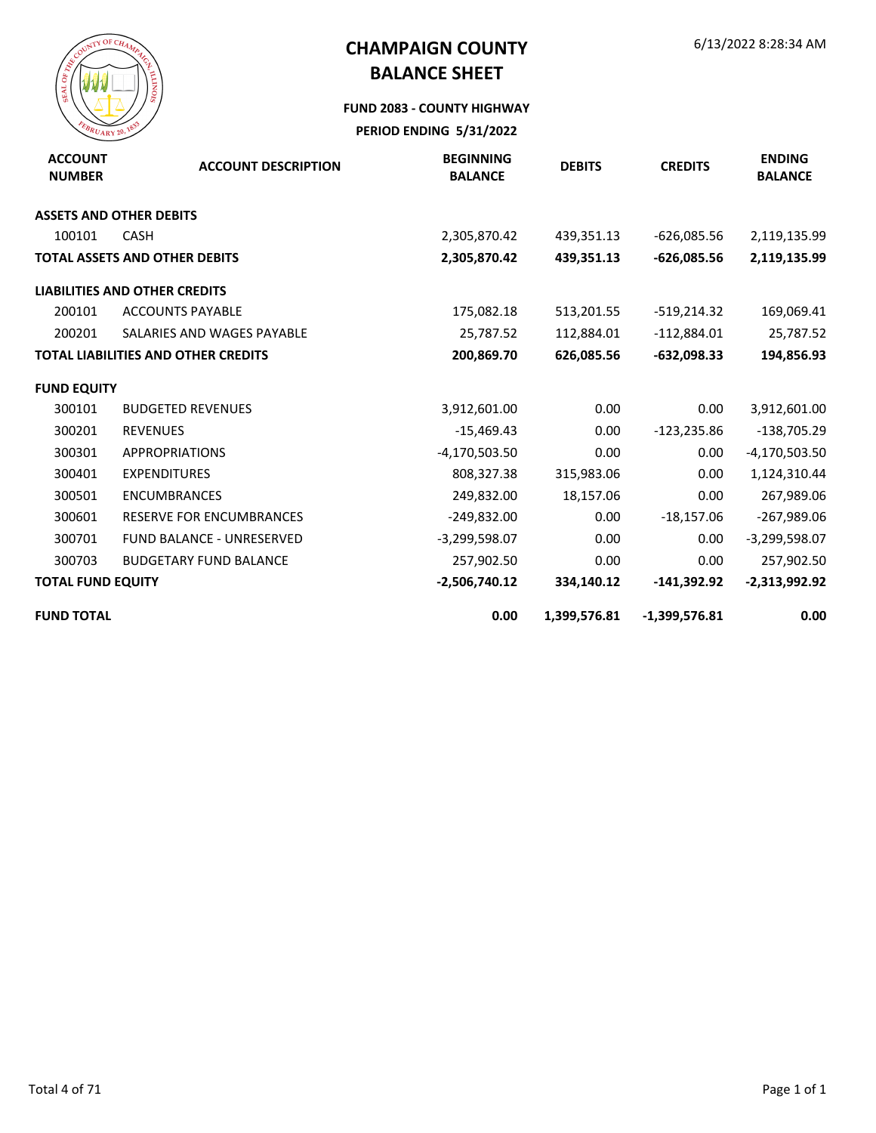

#### **FUND 2083 - COUNTY HIGHWAY**

| <b>ACCOUNT</b><br><b>NUMBER</b> | <b>ACCOUNT DESCRIPTION</b>                 | <b>BEGINNING</b><br><b>BALANCE</b> | <b>DEBITS</b> | <b>CREDITS</b>  | <b>ENDING</b><br><b>BALANCE</b> |
|---------------------------------|--------------------------------------------|------------------------------------|---------------|-----------------|---------------------------------|
|                                 | <b>ASSETS AND OTHER DEBITS</b>             |                                    |               |                 |                                 |
| 100101                          | <b>CASH</b>                                | 2,305,870.42                       | 439,351.13    | $-626,085.56$   | 2,119,135.99                    |
|                                 | <b>TOTAL ASSETS AND OTHER DEBITS</b>       | 2,305,870.42                       | 439,351.13    | $-626,085.56$   | 2,119,135.99                    |
|                                 | <b>LIABILITIES AND OTHER CREDITS</b>       |                                    |               |                 |                                 |
| 200101                          | <b>ACCOUNTS PAYABLE</b>                    | 175,082.18                         | 513,201.55    | $-519,214.32$   | 169,069.41                      |
| 200201                          | SALARIES AND WAGES PAYABLE                 | 25,787.52                          | 112,884.01    | $-112,884.01$   | 25,787.52                       |
|                                 | <b>TOTAL LIABILITIES AND OTHER CREDITS</b> | 200,869.70                         | 626,085.56    | $-632,098.33$   | 194,856.93                      |
| <b>FUND EQUITY</b>              |                                            |                                    |               |                 |                                 |
| 300101                          | <b>BUDGETED REVENUES</b>                   | 3,912,601.00                       | 0.00          | 0.00            | 3,912,601.00                    |
| 300201                          | <b>REVENUES</b>                            | $-15,469.43$                       | 0.00          | $-123,235.86$   | $-138,705.29$                   |
| 300301                          | <b>APPROPRIATIONS</b>                      | $-4,170,503.50$                    | 0.00          | 0.00            | $-4,170,503.50$                 |
| 300401                          | <b>EXPENDITURES</b>                        | 808,327.38                         | 315,983.06    | 0.00            | 1,124,310.44                    |
| 300501                          | <b>ENCUMBRANCES</b>                        | 249,832.00                         | 18,157.06     | 0.00            | 267,989.06                      |
| 300601                          | <b>RESERVE FOR ENCUMBRANCES</b>            | $-249,832.00$                      | 0.00          | $-18,157.06$    | $-267,989.06$                   |
| 300701                          | <b>FUND BALANCE - UNRESERVED</b>           | $-3,299,598.07$                    | 0.00          | 0.00            | $-3,299,598.07$                 |
| 300703                          | <b>BUDGETARY FUND BALANCE</b>              | 257,902.50                         | 0.00          | 0.00            | 257,902.50                      |
| <b>TOTAL FUND EQUITY</b>        |                                            | $-2,506,740.12$                    | 334,140.12    | $-141,392.92$   | $-2,313,992.92$                 |
| <b>FUND TOTAL</b>               |                                            | 0.00                               | 1,399,576.81  | $-1,399,576.81$ | 0.00                            |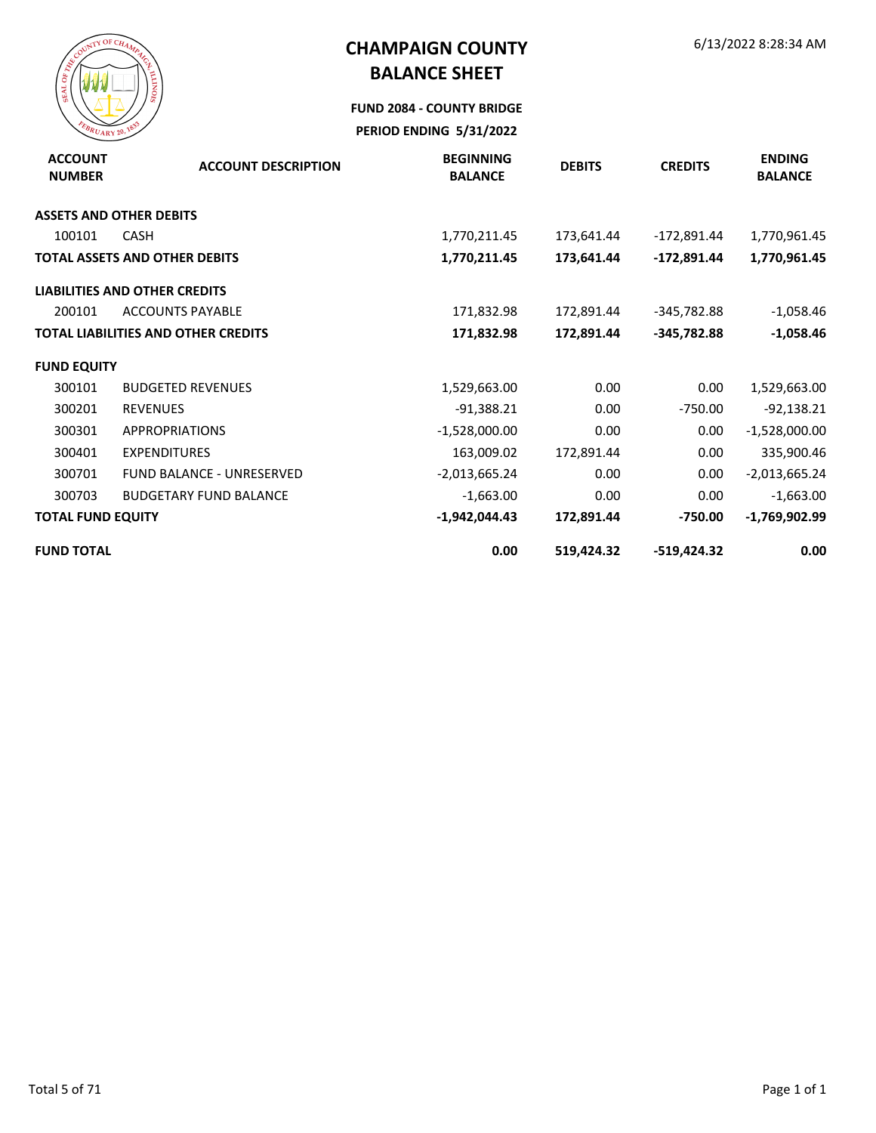

**FUND 2084 - COUNTY BRIDGE**

| <b>ACCOUNT</b><br><b>NUMBER</b> | <b>ACCOUNT DESCRIPTION</b>                 | <b>BEGINNING</b><br><b>BALANCE</b> | <b>DEBITS</b> | <b>CREDITS</b> | <b>ENDING</b><br><b>BALANCE</b> |
|---------------------------------|--------------------------------------------|------------------------------------|---------------|----------------|---------------------------------|
|                                 | <b>ASSETS AND OTHER DEBITS</b>             |                                    |               |                |                                 |
| 100101                          | <b>CASH</b>                                | 1,770,211.45                       | 173,641.44    | -172,891.44    | 1,770,961.45                    |
|                                 | <b>TOTAL ASSETS AND OTHER DEBITS</b>       | 1,770,211.45                       | 173,641.44    | -172,891.44    | 1,770,961.45                    |
|                                 | <b>LIABILITIES AND OTHER CREDITS</b>       |                                    |               |                |                                 |
| 200101                          | <b>ACCOUNTS PAYABLE</b>                    | 171,832.98                         | 172,891.44    | -345,782.88    | $-1,058.46$                     |
|                                 | <b>TOTAL LIABILITIES AND OTHER CREDITS</b> | 171,832.98                         | 172,891.44    | $-345,782.88$  | $-1,058.46$                     |
| <b>FUND EQUITY</b>              |                                            |                                    |               |                |                                 |
| 300101                          | <b>BUDGETED REVENUES</b>                   | 1,529,663.00                       | 0.00          | 0.00           | 1,529,663.00                    |
| 300201                          | <b>REVENUES</b>                            | $-91,388.21$                       | 0.00          | $-750.00$      | $-92,138.21$                    |
| 300301                          | <b>APPROPRIATIONS</b>                      | $-1,528,000.00$                    | 0.00          | 0.00           | $-1,528,000.00$                 |
| 300401                          | <b>EXPENDITURES</b>                        | 163,009.02                         | 172,891.44    | 0.00           | 335,900.46                      |
| 300701                          | <b>FUND BALANCE - UNRESERVED</b>           | $-2,013,665.24$                    | 0.00          | 0.00           | $-2,013,665.24$                 |
| 300703                          | <b>BUDGETARY FUND BALANCE</b>              | $-1,663.00$                        | 0.00          | 0.00           | $-1,663.00$                     |
| <b>TOTAL FUND EQUITY</b>        |                                            | $-1,942,044.43$                    | 172,891.44    | $-750.00$      | $-1,769,902.99$                 |
| <b>FUND TOTAL</b>               |                                            | 0.00                               | 519,424.32    | -519,424.32    | 0.00                            |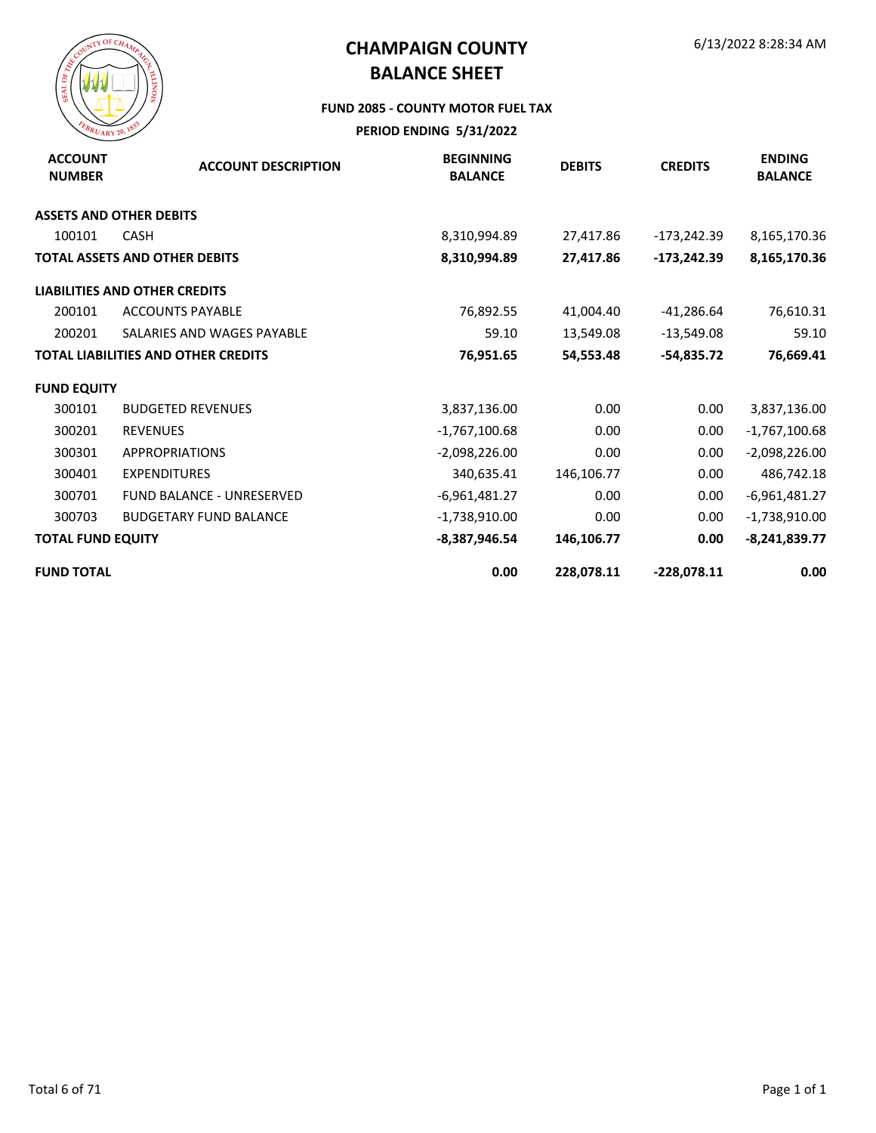

#### **FUND 2085 - COUNTY MOTOR FUEL TAX**

| <b>ACCOUNT</b><br><b>NUMBER</b> | <b>ACCOUNT DESCRIPTION</b>                 | <b>BEGINNING</b><br><b>BALANCE</b> | <b>DEBITS</b> | <b>CREDITS</b> | <b>ENDING</b><br><b>BALANCE</b> |
|---------------------------------|--------------------------------------------|------------------------------------|---------------|----------------|---------------------------------|
|                                 | <b>ASSETS AND OTHER DEBITS</b>             |                                    |               |                |                                 |
| 100101                          | <b>CASH</b>                                | 8,310,994.89                       | 27,417.86     | -173,242.39    | 8,165,170.36                    |
|                                 | <b>TOTAL ASSETS AND OTHER DEBITS</b>       | 8,310,994.89                       | 27,417.86     | $-173,242.39$  | 8,165,170.36                    |
|                                 | <b>LIABILITIES AND OTHER CREDITS</b>       |                                    |               |                |                                 |
| 200101                          | <b>ACCOUNTS PAYABLE</b>                    | 76,892.55                          | 41,004.40     | $-41,286.64$   | 76,610.31                       |
| 200201                          | SALARIES AND WAGES PAYABLE                 | 59.10                              | 13,549.08     | $-13,549.08$   | 59.10                           |
|                                 | <b>TOTAL LIABILITIES AND OTHER CREDITS</b> | 76,951.65                          | 54,553.48     | -54,835.72     | 76,669.41                       |
| <b>FUND EQUITY</b>              |                                            |                                    |               |                |                                 |
| 300101                          | <b>BUDGETED REVENUES</b>                   | 3,837,136.00                       | 0.00          | 0.00           | 3,837,136.00                    |
| 300201                          | <b>REVENUES</b>                            | $-1,767,100.68$                    | 0.00          | 0.00           | $-1,767,100.68$                 |
| 300301                          | <b>APPROPRIATIONS</b>                      | $-2,098,226.00$                    | 0.00          | 0.00           | $-2,098,226.00$                 |
| 300401                          | <b>EXPENDITURES</b>                        | 340,635.41                         | 146,106.77    | 0.00           | 486,742.18                      |
| 300701                          | <b>FUND BALANCE - UNRESERVED</b>           | $-6,961,481.27$                    | 0.00          | 0.00           | $-6,961,481.27$                 |
| 300703                          | <b>BUDGETARY FUND BALANCE</b>              | $-1,738,910.00$                    | 0.00          | 0.00           | $-1,738,910.00$                 |
| <b>TOTAL FUND EQUITY</b>        |                                            | $-8,387,946.54$                    | 146,106.77    | 0.00           | $-8,241,839.77$                 |
| <b>FUND TOTAL</b>               |                                            | 0.00                               | 228,078.11    | $-228,078.11$  | 0.00                            |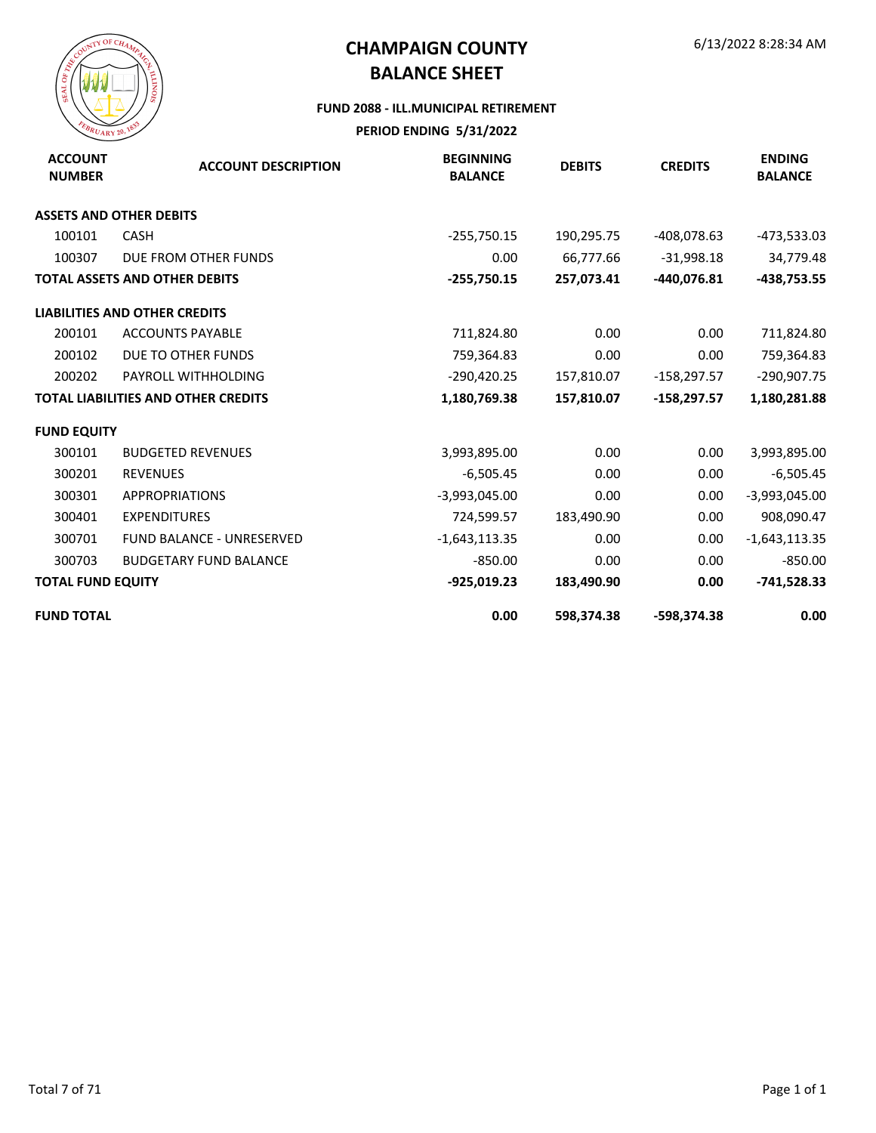

#### **FUND 2088 - ILL.MUNICIPAL RETIREMENT**

| <b>ACCOUNT</b><br><b>NUMBER</b> | <b>ACCOUNT DESCRIPTION</b>                 | <b>BEGINNING</b><br><b>BALANCE</b> | <b>DEBITS</b> | <b>CREDITS</b> | <b>ENDING</b><br><b>BALANCE</b> |
|---------------------------------|--------------------------------------------|------------------------------------|---------------|----------------|---------------------------------|
|                                 | <b>ASSETS AND OTHER DEBITS</b>             |                                    |               |                |                                 |
| 100101                          | <b>CASH</b>                                | $-255,750.15$                      | 190,295.75    | -408,078.63    | $-473,533.03$                   |
| 100307                          | DUE FROM OTHER FUNDS                       | 0.00                               | 66,777.66     | $-31,998.18$   | 34,779.48                       |
|                                 | <b>TOTAL ASSETS AND OTHER DEBITS</b>       | $-255,750.15$                      | 257,073.41    | -440,076.81    | -438,753.55                     |
|                                 | <b>LIABILITIES AND OTHER CREDITS</b>       |                                    |               |                |                                 |
| 200101                          | <b>ACCOUNTS PAYABLE</b>                    | 711,824.80                         | 0.00          | 0.00           | 711,824.80                      |
| 200102                          | DUE TO OTHER FUNDS                         | 759,364.83                         | 0.00          | 0.00           | 759,364.83                      |
| 200202                          | PAYROLL WITHHOLDING                        | $-290,420.25$                      | 157,810.07    | $-158,297.57$  | $-290,907.75$                   |
|                                 | <b>TOTAL LIABILITIES AND OTHER CREDITS</b> | 1,180,769.38                       | 157,810.07    | $-158,297.57$  | 1,180,281.88                    |
| <b>FUND EQUITY</b>              |                                            |                                    |               |                |                                 |
| 300101                          | <b>BUDGETED REVENUES</b>                   | 3,993,895.00                       | 0.00          | 0.00           | 3,993,895.00                    |
| 300201                          | <b>REVENUES</b>                            | $-6,505.45$                        | 0.00          | 0.00           | $-6,505.45$                     |
| 300301                          | <b>APPROPRIATIONS</b>                      | $-3,993,045.00$                    | 0.00          | 0.00           | $-3,993,045.00$                 |
| 300401                          | <b>EXPENDITURES</b>                        | 724,599.57                         | 183,490.90    | 0.00           | 908,090.47                      |
| 300701                          | <b>FUND BALANCE - UNRESERVED</b>           | $-1,643,113.35$                    | 0.00          | 0.00           | $-1,643,113.35$                 |
| 300703                          | <b>BUDGETARY FUND BALANCE</b>              | $-850.00$                          | 0.00          | 0.00           | $-850.00$                       |
| <b>TOTAL FUND EQUITY</b>        |                                            | $-925,019.23$                      | 183,490.90    | 0.00           | $-741,528.33$                   |
| <b>FUND TOTAL</b>               |                                            | 0.00                               | 598,374.38    | -598,374.38    | 0.00                            |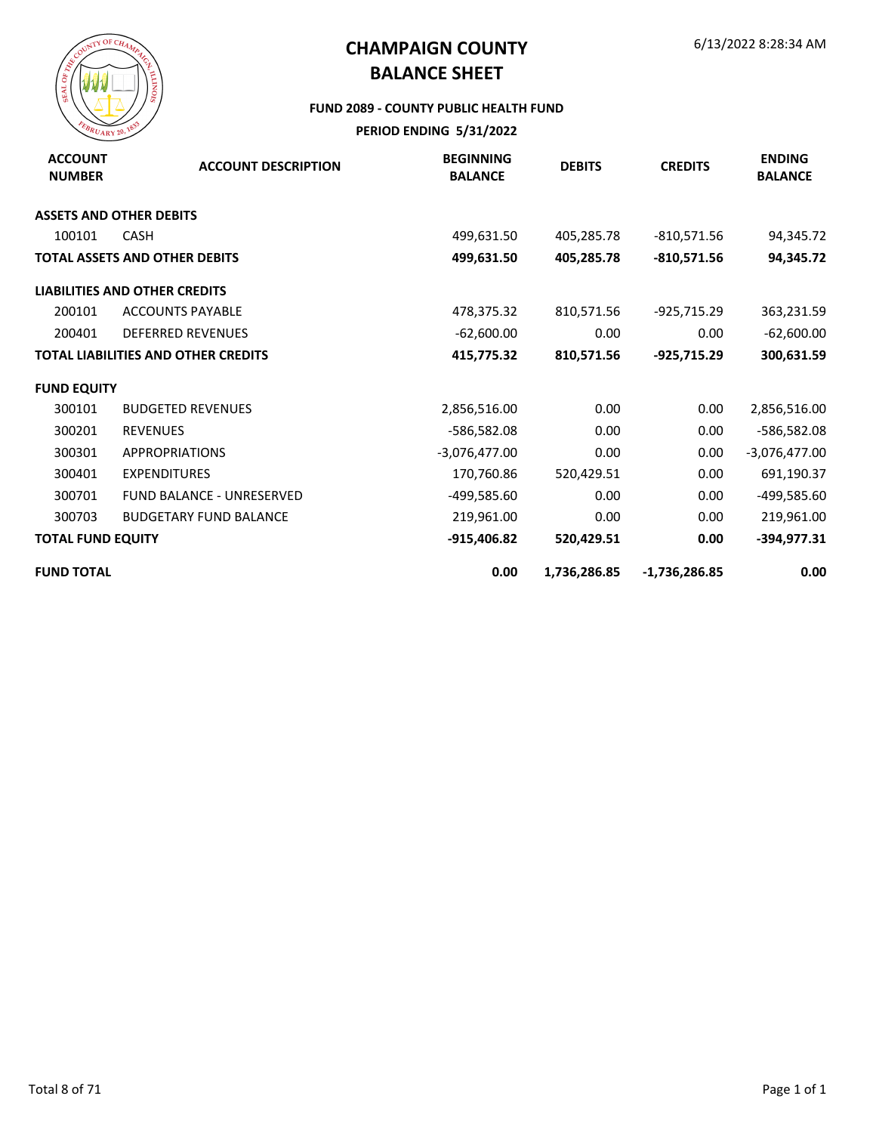

#### **FUND 2089 - COUNTY PUBLIC HEALTH FUND**

| <b>ACCOUNT</b><br><b>NUMBER</b> | <b>ACCOUNT DESCRIPTION</b>                 | <b>BEGINNING</b><br><b>BALANCE</b> | <b>DEBITS</b> | <b>CREDITS</b>  | <b>ENDING</b><br><b>BALANCE</b> |
|---------------------------------|--------------------------------------------|------------------------------------|---------------|-----------------|---------------------------------|
| <b>ASSETS AND OTHER DEBITS</b>  |                                            |                                    |               |                 |                                 |
| 100101                          | <b>CASH</b>                                | 499,631.50                         | 405,285.78    | $-810,571.56$   | 94,345.72                       |
|                                 | <b>TOTAL ASSETS AND OTHER DEBITS</b>       | 499,631.50                         | 405,285.78    | $-810,571.56$   | 94,345.72                       |
|                                 | <b>LIABILITIES AND OTHER CREDITS</b>       |                                    |               |                 |                                 |
| 200101                          | <b>ACCOUNTS PAYABLE</b>                    | 478,375.32                         | 810,571.56    | -925,715.29     | 363,231.59                      |
| 200401                          | <b>DEFERRED REVENUES</b>                   | $-62,600.00$                       | 0.00          | 0.00            | $-62,600.00$                    |
|                                 | <b>TOTAL LIABILITIES AND OTHER CREDITS</b> | 415,775.32                         | 810,571.56    | -925,715.29     | 300,631.59                      |
| <b>FUND EQUITY</b>              |                                            |                                    |               |                 |                                 |
| 300101                          | <b>BUDGETED REVENUES</b>                   | 2,856,516.00                       | 0.00          | 0.00            | 2,856,516.00                    |
| 300201                          | <b>REVENUES</b>                            | -586,582.08                        | 0.00          | 0.00            | -586,582.08                     |
| 300301                          | <b>APPROPRIATIONS</b>                      | $-3,076,477.00$                    | 0.00          | 0.00            | $-3,076,477.00$                 |
| 300401                          | <b>EXPENDITURES</b>                        | 170,760.86                         | 520,429.51    | 0.00            | 691,190.37                      |
| 300701                          | <b>FUND BALANCE - UNRESERVED</b>           | -499,585.60                        | 0.00          | 0.00            | -499,585.60                     |
| 300703                          | <b>BUDGETARY FUND BALANCE</b>              | 219,961.00                         | 0.00          | 0.00            | 219,961.00                      |
| <b>TOTAL FUND EQUITY</b>        |                                            | $-915,406.82$                      | 520,429.51    | 0.00            | $-394,977.31$                   |
| <b>FUND TOTAL</b>               |                                            | 0.00                               | 1,736,286.85  | $-1,736,286.85$ | 0.00                            |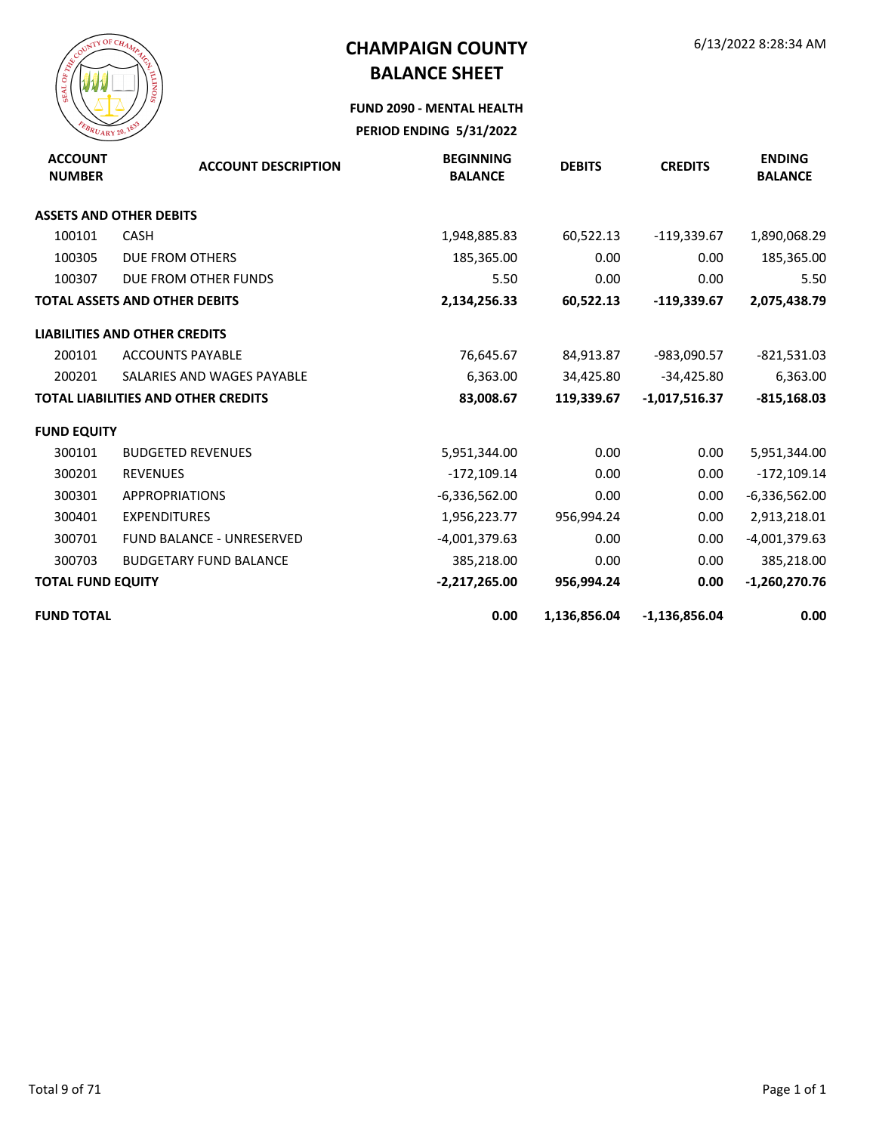

**FUND 2090 - MENTAL HEALTH**

| <b>ACCOUNT</b><br><b>NUMBER</b> | <b>ACCOUNT DESCRIPTION</b>                 | <b>BEGINNING</b><br><b>BALANCE</b> | <b>DEBITS</b> | <b>CREDITS</b>  | <b>ENDING</b><br><b>BALANCE</b> |
|---------------------------------|--------------------------------------------|------------------------------------|---------------|-----------------|---------------------------------|
|                                 | <b>ASSETS AND OTHER DEBITS</b>             |                                    |               |                 |                                 |
| 100101                          | <b>CASH</b>                                | 1,948,885.83                       | 60,522.13     | $-119,339.67$   | 1,890,068.29                    |
| 100305                          | <b>DUE FROM OTHERS</b>                     | 185,365.00                         | 0.00          | 0.00            | 185,365.00                      |
| 100307                          | DUE FROM OTHER FUNDS                       | 5.50                               | 0.00          | 0.00            | 5.50                            |
|                                 | <b>TOTAL ASSETS AND OTHER DEBITS</b>       | 2,134,256.33                       | 60,522.13     | $-119,339.67$   | 2,075,438.79                    |
|                                 | <b>LIABILITIES AND OTHER CREDITS</b>       |                                    |               |                 |                                 |
| 200101                          | <b>ACCOUNTS PAYABLE</b>                    | 76,645.67                          | 84,913.87     | -983,090.57     | $-821,531.03$                   |
| 200201                          | SALARIES AND WAGES PAYABLE                 | 6,363.00                           | 34,425.80     | $-34,425.80$    | 6,363.00                        |
|                                 | <b>TOTAL LIABILITIES AND OTHER CREDITS</b> | 83,008.67                          | 119,339.67    | $-1,017,516.37$ | $-815,168.03$                   |
| <b>FUND EQUITY</b>              |                                            |                                    |               |                 |                                 |
| 300101                          | <b>BUDGETED REVENUES</b>                   | 5,951,344.00                       | 0.00          | 0.00            | 5,951,344.00                    |
| 300201                          | <b>REVENUES</b>                            | $-172,109.14$                      | 0.00          | 0.00            | $-172,109.14$                   |
| 300301                          | <b>APPROPRIATIONS</b>                      | $-6,336,562.00$                    | 0.00          | 0.00            | $-6,336,562.00$                 |
| 300401                          | <b>EXPENDITURES</b>                        | 1,956,223.77                       | 956,994.24    | 0.00            | 2,913,218.01                    |
| 300701                          | <b>FUND BALANCE - UNRESERVED</b>           | -4,001,379.63                      | 0.00          | 0.00            | $-4,001,379.63$                 |
| 300703                          | <b>BUDGETARY FUND BALANCE</b>              | 385,218.00                         | 0.00          | 0.00            | 385,218.00                      |
| <b>TOTAL FUND EQUITY</b>        |                                            | $-2,217,265.00$                    | 956,994.24    | 0.00            | $-1,260,270.76$                 |
| <b>FUND TOTAL</b>               |                                            | 0.00                               | 1,136,856.04  | $-1,136,856.04$ | 0.00                            |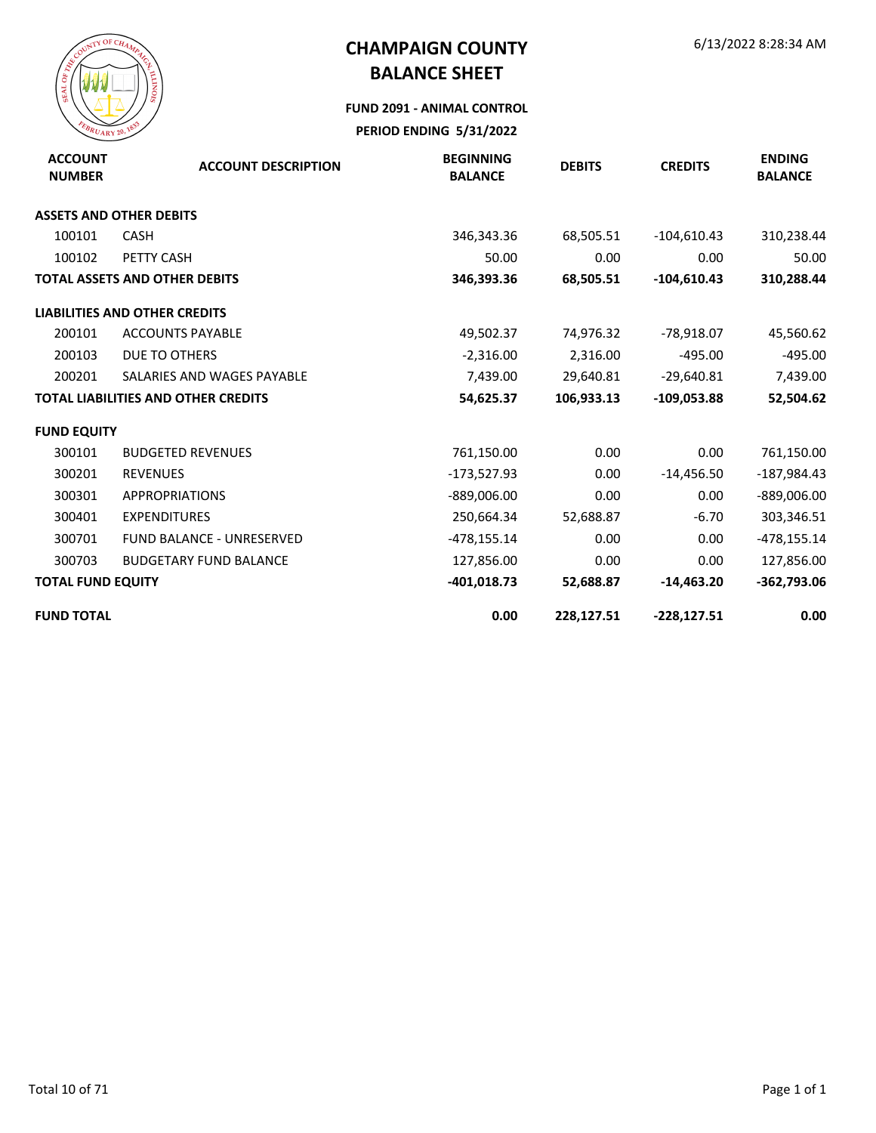

#### **FUND 2091 - ANIMAL CONTROL**

| <b>ACCOUNT</b><br><b>NUMBER</b> | <b>ACCOUNT DESCRIPTION</b>                 | <b>BEGINNING</b><br><b>BALANCE</b> | <b>DEBITS</b> | <b>CREDITS</b> | <b>ENDING</b><br><b>BALANCE</b> |
|---------------------------------|--------------------------------------------|------------------------------------|---------------|----------------|---------------------------------|
|                                 | <b>ASSETS AND OTHER DEBITS</b>             |                                    |               |                |                                 |
| 100101                          | <b>CASH</b>                                | 346,343.36                         | 68,505.51     | $-104,610.43$  | 310,238.44                      |
| 100102                          | PETTY CASH                                 | 50.00                              | 0.00          | 0.00           | 50.00                           |
|                                 | <b>TOTAL ASSETS AND OTHER DEBITS</b>       | 346,393.36                         | 68,505.51     | $-104,610.43$  | 310,288.44                      |
|                                 | <b>LIABILITIES AND OTHER CREDITS</b>       |                                    |               |                |                                 |
| 200101                          | <b>ACCOUNTS PAYABLE</b>                    | 49,502.37                          | 74,976.32     | -78,918.07     | 45,560.62                       |
| 200103                          | DUE TO OTHERS                              | $-2,316.00$                        | 2,316.00      | $-495.00$      | $-495.00$                       |
| 200201                          | SALARIES AND WAGES PAYABLE                 | 7,439.00                           | 29,640.81     | $-29,640.81$   | 7,439.00                        |
|                                 | <b>TOTAL LIABILITIES AND OTHER CREDITS</b> | 54,625.37                          | 106,933.13    | $-109,053.88$  | 52,504.62                       |
| <b>FUND EQUITY</b>              |                                            |                                    |               |                |                                 |
| 300101                          | <b>BUDGETED REVENUES</b>                   | 761,150.00                         | 0.00          | 0.00           | 761,150.00                      |
| 300201                          | <b>REVENUES</b>                            | -173,527.93                        | 0.00          | $-14,456.50$   | -187,984.43                     |
| 300301                          | <b>APPROPRIATIONS</b>                      | $-889,006.00$                      | 0.00          | 0.00           | $-889,006.00$                   |
| 300401                          | <b>EXPENDITURES</b>                        | 250,664.34                         | 52,688.87     | $-6.70$        | 303,346.51                      |
| 300701                          | <b>FUND BALANCE - UNRESERVED</b>           | -478,155.14                        | 0.00          | 0.00           | $-478,155.14$                   |
| 300703                          | <b>BUDGETARY FUND BALANCE</b>              | 127,856.00                         | 0.00          | 0.00           | 127,856.00                      |
| <b>TOTAL FUND EQUITY</b>        |                                            | $-401,018.73$                      | 52,688.87     | $-14,463.20$   | $-362,793.06$                   |
| <b>FUND TOTAL</b>               |                                            | 0.00                               | 228,127.51    | $-228,127.51$  | 0.00                            |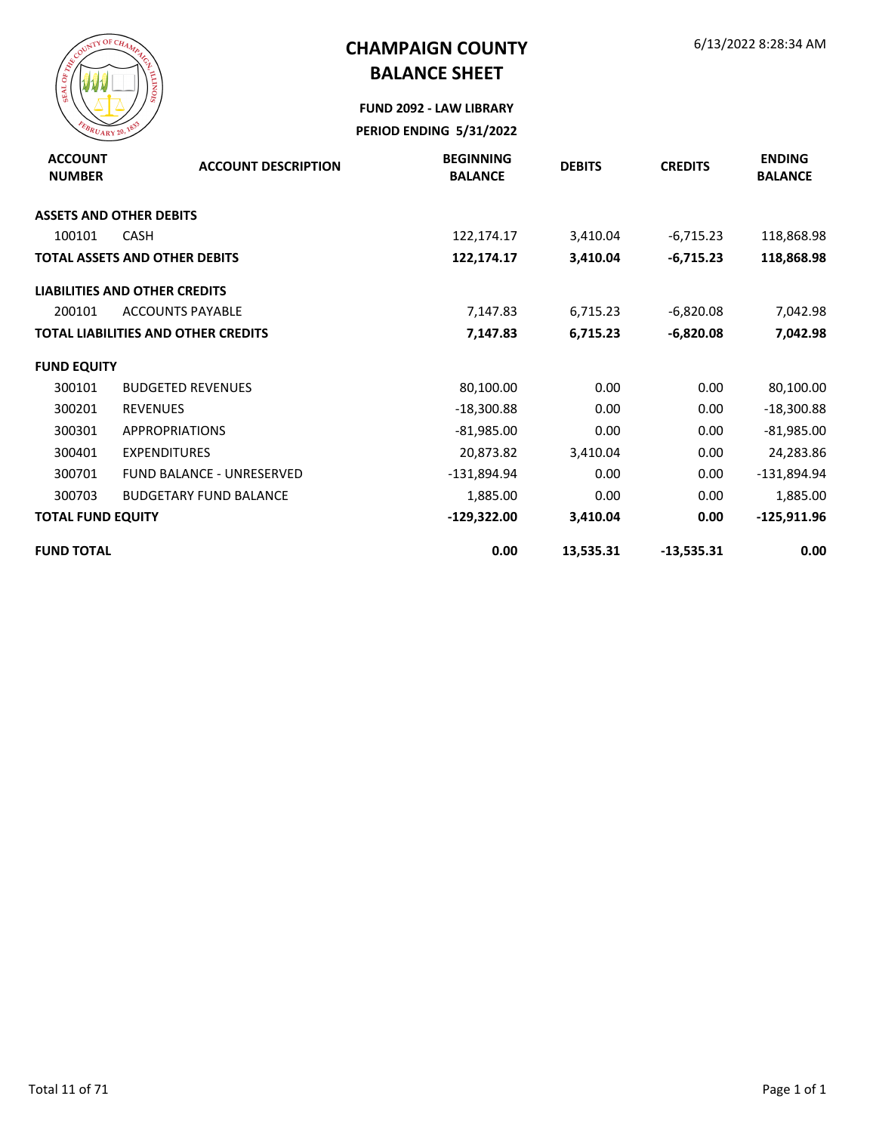

**FUND 2092 - LAW LIBRARY PERIOD ENDING 5/31/2022**

| <b>ACCOUNT</b><br><b>NUMBER</b> | <b>ACCOUNT DESCRIPTION</b>                 | <b>BEGINNING</b><br><b>BALANCE</b> | <b>DEBITS</b> | <b>CREDITS</b> | <b>ENDING</b><br><b>BALANCE</b> |
|---------------------------------|--------------------------------------------|------------------------------------|---------------|----------------|---------------------------------|
|                                 | <b>ASSETS AND OTHER DEBITS</b>             |                                    |               |                |                                 |
| 100101                          | <b>CASH</b>                                | 122,174.17                         | 3,410.04      | $-6,715.23$    | 118,868.98                      |
|                                 | <b>TOTAL ASSETS AND OTHER DEBITS</b>       | 122,174.17                         | 3,410.04      | $-6,715.23$    | 118,868.98                      |
|                                 | <b>LIABILITIES AND OTHER CREDITS</b>       |                                    |               |                |                                 |
| 200101                          | <b>ACCOUNTS PAYABLE</b>                    | 7,147.83                           | 6,715.23      | $-6,820.08$    | 7,042.98                        |
|                                 | <b>TOTAL LIABILITIES AND OTHER CREDITS</b> | 7,147.83                           | 6,715.23      | $-6,820.08$    | 7,042.98                        |
| <b>FUND EQUITY</b>              |                                            |                                    |               |                |                                 |
| 300101                          | <b>BUDGETED REVENUES</b>                   | 80,100.00                          | 0.00          | 0.00           | 80,100.00                       |
| 300201                          | <b>REVENUES</b>                            | $-18,300.88$                       | 0.00          | 0.00           | $-18,300.88$                    |
| 300301                          | <b>APPROPRIATIONS</b>                      | $-81,985.00$                       | 0.00          | 0.00           | $-81,985.00$                    |
| 300401                          | <b>EXPENDITURES</b>                        | 20,873.82                          | 3,410.04      | 0.00           | 24,283.86                       |
| 300701                          | <b>FUND BALANCE - UNRESERVED</b>           | $-131,894.94$                      | 0.00          | 0.00           | -131,894.94                     |
| 300703                          | <b>BUDGETARY FUND BALANCE</b>              | 1,885.00                           | 0.00          | 0.00           | 1,885.00                        |
| <b>TOTAL FUND EQUITY</b>        |                                            | $-129,322.00$                      | 3,410.04      | 0.00           | $-125,911.96$                   |
| <b>FUND TOTAL</b>               |                                            | 0.00                               | 13,535.31     | $-13,535.31$   | 0.00                            |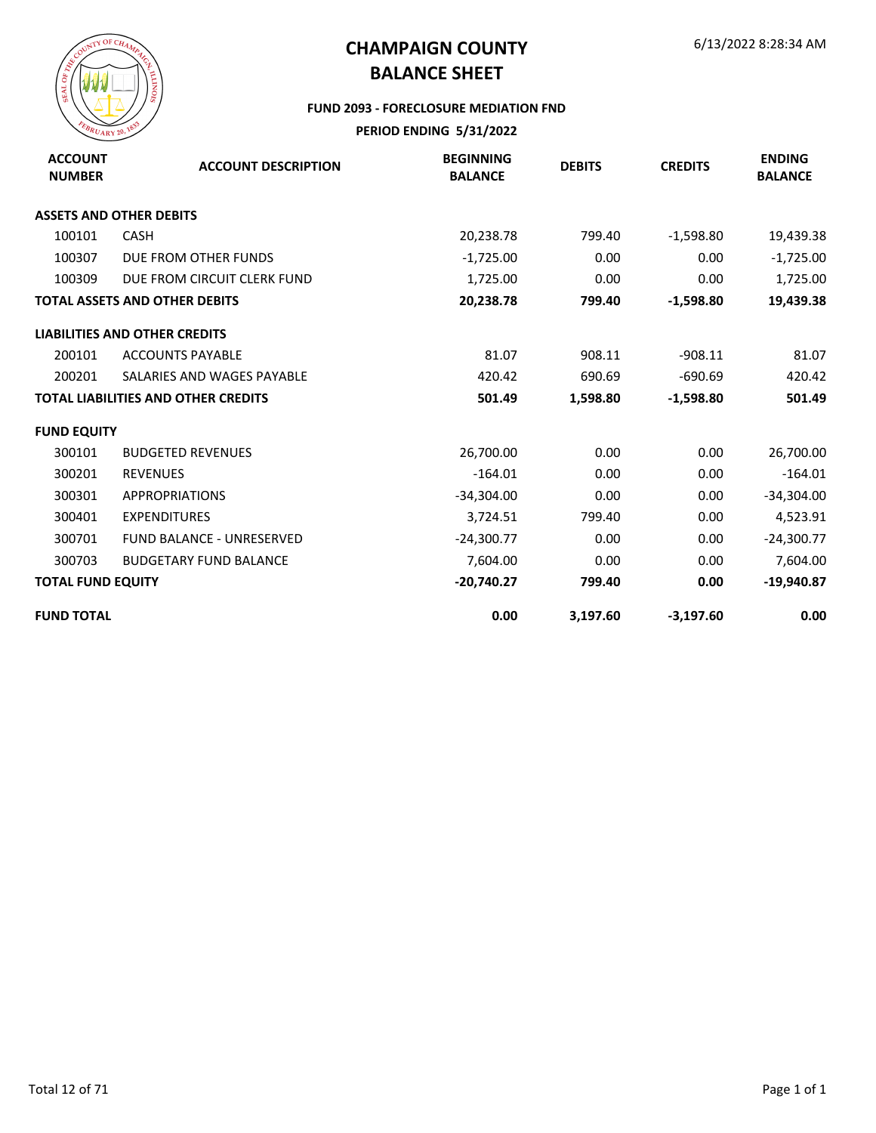

#### **FUND 2093 - FORECLOSURE MEDIATION FND**

| <b>ACCOUNT</b><br><b>NUMBER</b> | <b>ACCOUNT DESCRIPTION</b>                 | <b>BEGINNING</b><br><b>BALANCE</b> | <b>DEBITS</b> | <b>CREDITS</b> | <b>ENDING</b><br><b>BALANCE</b> |
|---------------------------------|--------------------------------------------|------------------------------------|---------------|----------------|---------------------------------|
|                                 | <b>ASSETS AND OTHER DEBITS</b>             |                                    |               |                |                                 |
| 100101                          | <b>CASH</b>                                | 20,238.78                          | 799.40        | $-1,598.80$    | 19,439.38                       |
| 100307                          | DUE FROM OTHER FUNDS                       | $-1,725.00$                        | 0.00          | 0.00           | $-1,725.00$                     |
| 100309                          | DUE FROM CIRCUIT CLERK FUND                | 1,725.00                           | 0.00          | 0.00           | 1,725.00                        |
|                                 | <b>TOTAL ASSETS AND OTHER DEBITS</b>       | 20,238.78                          | 799.40        | $-1,598.80$    | 19,439.38                       |
|                                 | <b>LIABILITIES AND OTHER CREDITS</b>       |                                    |               |                |                                 |
| 200101                          | <b>ACCOUNTS PAYABLE</b>                    | 81.07                              | 908.11        | $-908.11$      | 81.07                           |
| 200201                          | SALARIES AND WAGES PAYABLE                 | 420.42                             | 690.69        | $-690.69$      | 420.42                          |
|                                 | <b>TOTAL LIABILITIES AND OTHER CREDITS</b> | 501.49                             | 1,598.80      | $-1,598.80$    | 501.49                          |
| <b>FUND EQUITY</b>              |                                            |                                    |               |                |                                 |
| 300101                          | <b>BUDGETED REVENUES</b>                   | 26,700.00                          | 0.00          | 0.00           | 26,700.00                       |
| 300201                          | <b>REVENUES</b>                            | $-164.01$                          | 0.00          | 0.00           | $-164.01$                       |
| 300301                          | <b>APPROPRIATIONS</b>                      | $-34,304.00$                       | 0.00          | 0.00           | $-34,304.00$                    |
| 300401                          | <b>EXPENDITURES</b>                        | 3,724.51                           | 799.40        | 0.00           | 4,523.91                        |
| 300701                          | <b>FUND BALANCE - UNRESERVED</b>           | $-24,300.77$                       | 0.00          | 0.00           | $-24,300.77$                    |
| 300703                          | <b>BUDGETARY FUND BALANCE</b>              | 7,604.00                           | 0.00          | 0.00           | 7,604.00                        |
| <b>TOTAL FUND EQUITY</b>        |                                            | $-20,740.27$                       | 799.40        | 0.00           | $-19,940.87$                    |
| <b>FUND TOTAL</b>               |                                            | 0.00                               | 3,197.60      | $-3,197.60$    | 0.00                            |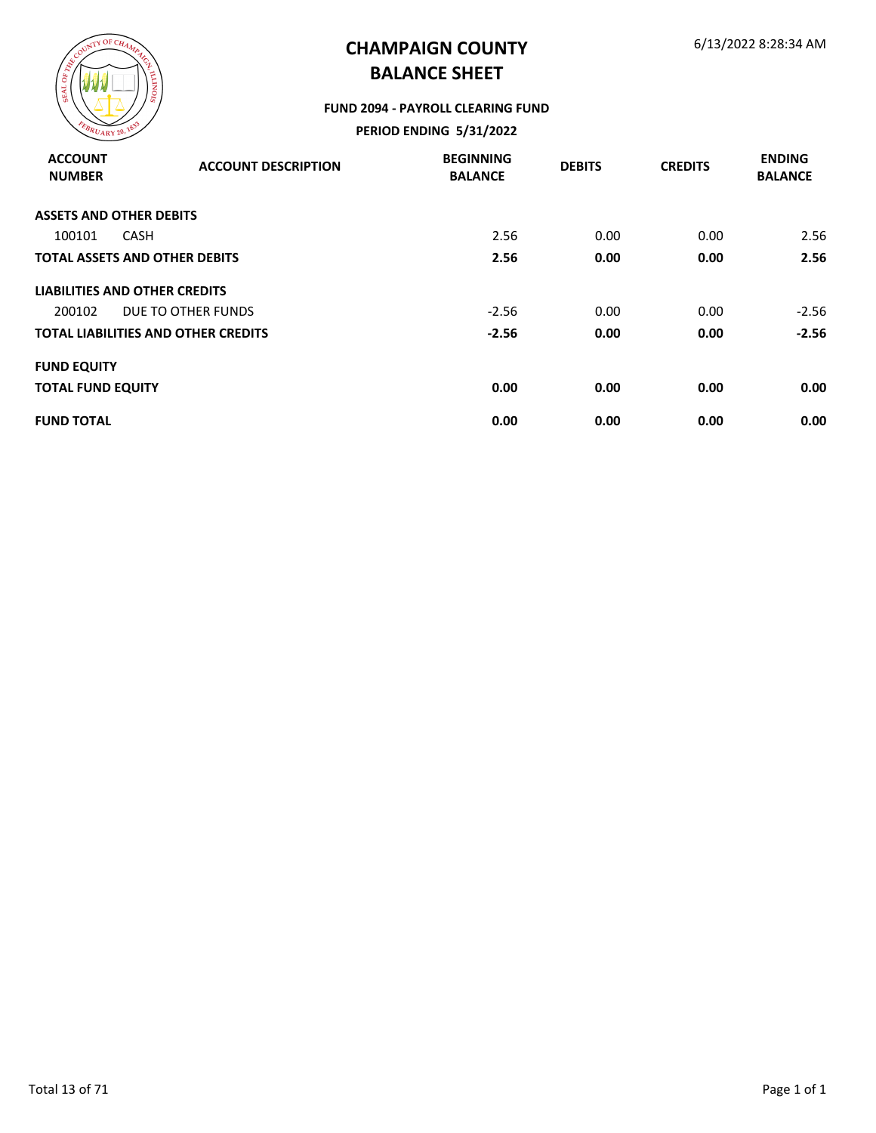

#### **FUND 2094 - PAYROLL CLEARING FUND**

| <b>ACCOUNT</b><br><b>NUMBER</b> | <b>ACCOUNT DESCRIPTION</b>                 | <b>BEGINNING</b><br><b>BALANCE</b> | <b>DEBITS</b> | <b>CREDITS</b> | <b>ENDING</b><br><b>BALANCE</b> |
|---------------------------------|--------------------------------------------|------------------------------------|---------------|----------------|---------------------------------|
|                                 | <b>ASSETS AND OTHER DEBITS</b>             |                                    |               |                |                                 |
| 100101                          | <b>CASH</b>                                | 2.56                               | 0.00          | 0.00           | 2.56                            |
|                                 | <b>TOTAL ASSETS AND OTHER DEBITS</b>       | 2.56                               | 0.00          | 0.00           | 2.56                            |
|                                 | LIABILITIES AND OTHER CREDITS              |                                    |               |                |                                 |
| 200102                          | DUE TO OTHER FUNDS                         | $-2.56$                            | 0.00          | 0.00           | $-2.56$                         |
|                                 | <b>TOTAL LIABILITIES AND OTHER CREDITS</b> | $-2.56$                            | 0.00          | 0.00           | $-2.56$                         |
| <b>FUND EQUITY</b>              |                                            |                                    |               |                |                                 |
| <b>TOTAL FUND EQUITY</b>        |                                            | 0.00                               | 0.00          | 0.00           | 0.00                            |
| <b>FUND TOTAL</b>               |                                            | 0.00                               | 0.00          | 0.00           | 0.00                            |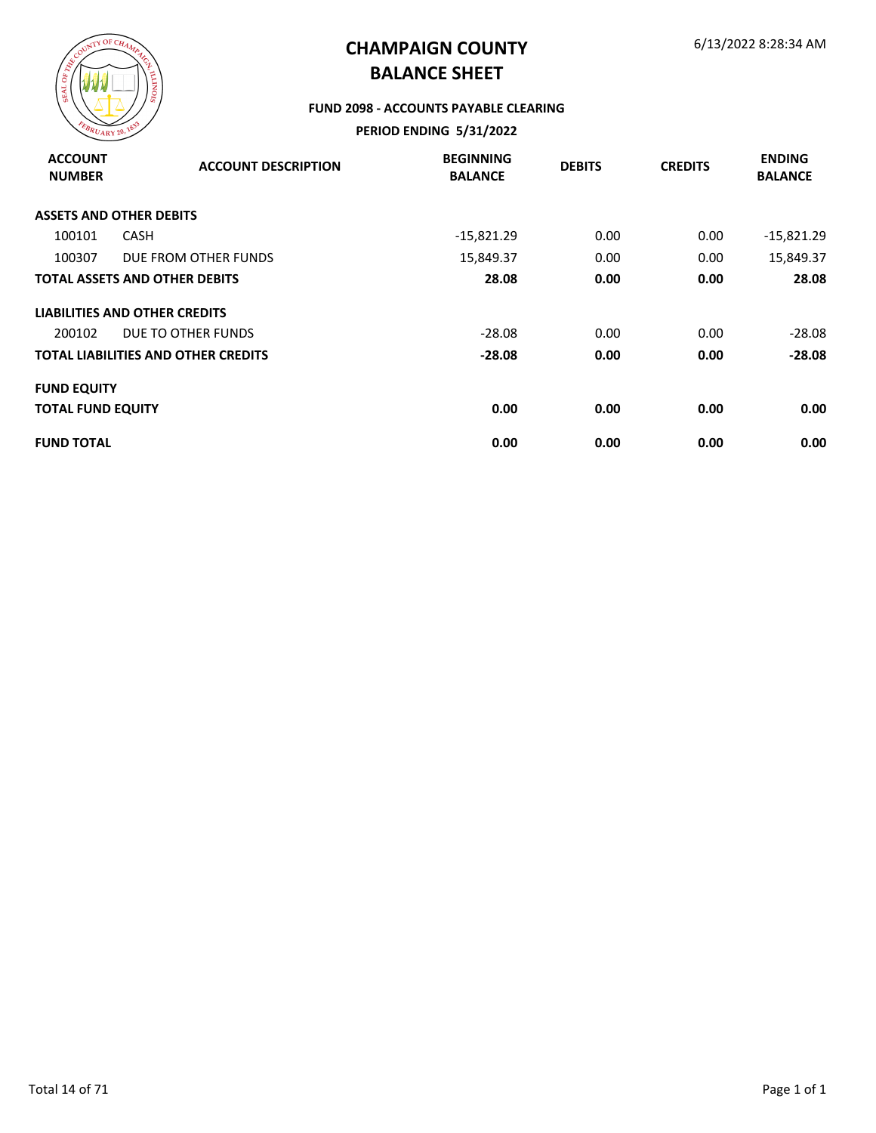

#### **FUND 2098 - ACCOUNTS PAYABLE CLEARING**

| <b>ACCOUNT</b><br><b>NUMBER</b> | <b>ACCOUNT DESCRIPTION</b>           | <b>BEGINNING</b><br><b>BALANCE</b> | <b>DEBITS</b> | <b>CREDITS</b> | <b>ENDING</b><br><b>BALANCE</b> |
|---------------------------------|--------------------------------------|------------------------------------|---------------|----------------|---------------------------------|
|                                 | <b>ASSETS AND OTHER DEBITS</b>       |                                    |               |                |                                 |
| 100101                          | <b>CASH</b>                          | $-15,821.29$                       | 0.00          | 0.00           | $-15,821.29$                    |
| 100307                          | DUE FROM OTHER FUNDS                 | 15,849.37                          | 0.00          | 0.00           | 15,849.37                       |
|                                 | <b>TOTAL ASSETS AND OTHER DEBITS</b> | 28.08                              | 0.00          | 0.00           | 28.08                           |
|                                 | <b>LIABILITIES AND OTHER CREDITS</b> |                                    |               |                |                                 |
| 200102                          | DUE TO OTHER FUNDS                   | $-28.08$                           | 0.00          | 0.00           | $-28.08$                        |
|                                 | TOTAL LIABILITIES AND OTHER CREDITS  | -28.08                             | 0.00          | 0.00           | $-28.08$                        |
| <b>FUND EQUITY</b>              |                                      |                                    |               |                |                                 |
| <b>TOTAL FUND EQUITY</b>        |                                      | 0.00                               | 0.00          | 0.00           | 0.00                            |
| <b>FUND TOTAL</b>               |                                      | 0.00                               | 0.00          | 0.00           | 0.00                            |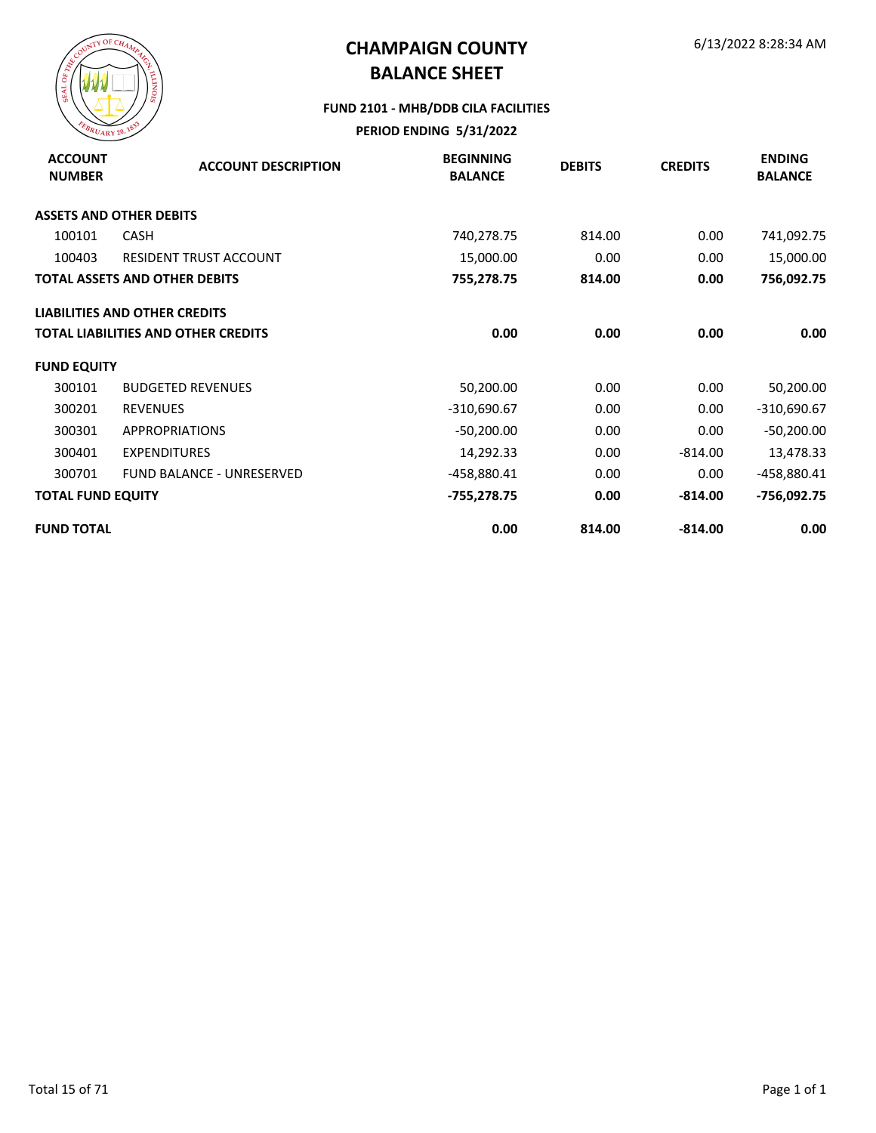

#### **FUND 2101 - MHB/DDB CILA FACILITIES**

| <b>ACCOUNT</b><br><b>NUMBER</b> | <b>ACCOUNT DESCRIPTION</b>                 | <b>BEGINNING</b><br><b>BALANCE</b> | <b>DEBITS</b> | <b>CREDITS</b> | <b>ENDING</b><br><b>BALANCE</b> |
|---------------------------------|--------------------------------------------|------------------------------------|---------------|----------------|---------------------------------|
|                                 | <b>ASSETS AND OTHER DEBITS</b>             |                                    |               |                |                                 |
| 100101                          | <b>CASH</b>                                | 740,278.75                         | 814.00        | 0.00           | 741,092.75                      |
| 100403                          | <b>RESIDENT TRUST ACCOUNT</b>              | 15,000.00                          | 0.00          | 0.00           | 15,000.00                       |
|                                 | <b>TOTAL ASSETS AND OTHER DEBITS</b>       | 755,278.75                         | 814.00        | 0.00           | 756,092.75                      |
|                                 | <b>LIABILITIES AND OTHER CREDITS</b>       |                                    |               |                |                                 |
|                                 | <b>TOTAL LIABILITIES AND OTHER CREDITS</b> | 0.00                               | 0.00          | 0.00           | 0.00                            |
| <b>FUND EQUITY</b>              |                                            |                                    |               |                |                                 |
| 300101                          | <b>BUDGETED REVENUES</b>                   | 50,200.00                          | 0.00          | 0.00           | 50,200.00                       |
| 300201                          | <b>REVENUES</b>                            | $-310,690.67$                      | 0.00          | 0.00           | $-310,690.67$                   |
| 300301                          | <b>APPROPRIATIONS</b>                      | $-50,200.00$                       | 0.00          | 0.00           | $-50,200.00$                    |
| 300401                          | <b>EXPENDITURES</b>                        | 14,292.33                          | 0.00          | $-814.00$      | 13,478.33                       |
| 300701                          | <b>FUND BALANCE - UNRESERVED</b>           | -458,880.41                        | 0.00          | 0.00           | -458,880.41                     |
| <b>TOTAL FUND EQUITY</b>        |                                            | -755,278.75                        | 0.00          | $-814.00$      | -756,092.75                     |
| <b>FUND TOTAL</b>               |                                            | 0.00                               | 814.00        | $-814.00$      | 0.00                            |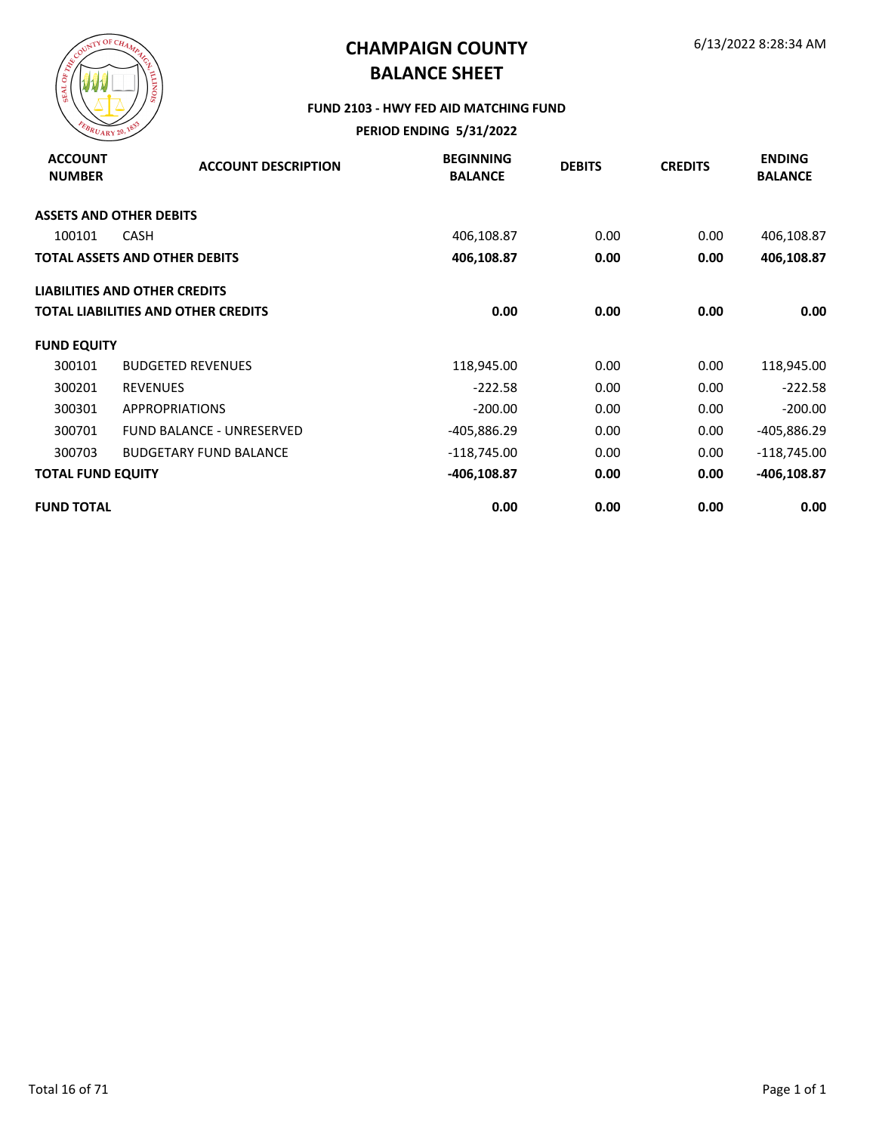

#### **FUND 2103 - HWY FED AID MATCHING FUND**

| <b>ACCOUNT</b><br><b>NUMBER</b> | <b>ACCOUNT DESCRIPTION</b>                 | <b>BEGINNING</b><br><b>BALANCE</b> | <b>DEBITS</b> | <b>CREDITS</b> | <b>ENDING</b><br><b>BALANCE</b> |
|---------------------------------|--------------------------------------------|------------------------------------|---------------|----------------|---------------------------------|
|                                 | <b>ASSETS AND OTHER DEBITS</b>             |                                    |               |                |                                 |
| 100101                          | <b>CASH</b>                                | 406,108.87                         | 0.00          | 0.00           | 406,108.87                      |
|                                 | <b>TOTAL ASSETS AND OTHER DEBITS</b>       | 406,108.87                         | 0.00          | 0.00           | 406,108.87                      |
|                                 | <b>LIABILITIES AND OTHER CREDITS</b>       |                                    |               |                |                                 |
|                                 | <b>TOTAL LIABILITIES AND OTHER CREDITS</b> | 0.00                               | 0.00          | 0.00           | 0.00                            |
| <b>FUND EQUITY</b>              |                                            |                                    |               |                |                                 |
| 300101                          | <b>BUDGETED REVENUES</b>                   | 118,945.00                         | 0.00          | 0.00           | 118,945.00                      |
| 300201                          | <b>REVENUES</b>                            | $-222.58$                          | 0.00          | 0.00           | $-222.58$                       |
| 300301                          | <b>APPROPRIATIONS</b>                      | $-200.00$                          | 0.00          | 0.00           | $-200.00$                       |
| 300701                          | <b>FUND BALANCE - UNRESERVED</b>           | -405,886.29                        | 0.00          | 0.00           | -405,886.29                     |
| 300703                          | <b>BUDGETARY FUND BALANCE</b>              | $-118,745.00$                      | 0.00          | 0.00           | $-118,745.00$                   |
| <b>TOTAL FUND EQUITY</b>        |                                            | $-406, 108.87$                     | 0.00          | 0.00           | -406,108.87                     |
| <b>FUND TOTAL</b>               |                                            | 0.00                               | 0.00          | 0.00           | 0.00                            |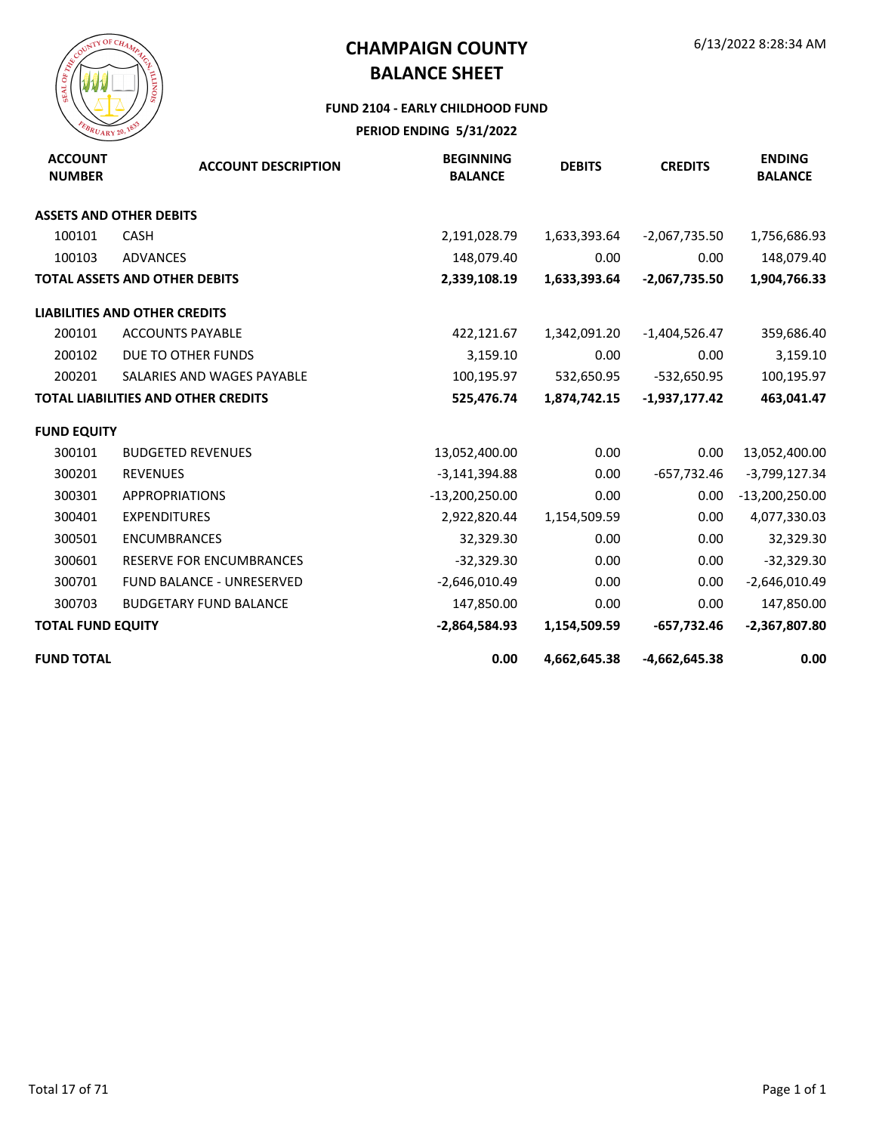

#### **FUND 2104 - EARLY CHILDHOOD FUND**

| <b>ACCOUNT</b><br><b>NUMBER</b> | <b>ACCOUNT DESCRIPTION</b>                 | <b>BEGINNING</b><br><b>BALANCE</b> | <b>DEBITS</b> | <b>CREDITS</b>  | <b>ENDING</b><br><b>BALANCE</b> |
|---------------------------------|--------------------------------------------|------------------------------------|---------------|-----------------|---------------------------------|
|                                 | <b>ASSETS AND OTHER DEBITS</b>             |                                    |               |                 |                                 |
| 100101                          | <b>CASH</b>                                | 2,191,028.79                       | 1,633,393.64  | $-2,067,735.50$ | 1,756,686.93                    |
| 100103                          | <b>ADVANCES</b>                            | 148,079.40                         | 0.00          | 0.00            | 148,079.40                      |
|                                 | <b>TOTAL ASSETS AND OTHER DEBITS</b>       | 2,339,108.19                       | 1,633,393.64  | $-2,067,735.50$ | 1,904,766.33                    |
|                                 | <b>LIABILITIES AND OTHER CREDITS</b>       |                                    |               |                 |                                 |
| 200101                          | <b>ACCOUNTS PAYABLE</b>                    | 422,121.67                         | 1,342,091.20  | $-1,404,526.47$ | 359,686.40                      |
| 200102                          | DUE TO OTHER FUNDS                         | 3,159.10                           | 0.00          | 0.00            | 3,159.10                        |
| 200201                          | SALARIES AND WAGES PAYABLE                 | 100,195.97                         | 532,650.95    | -532,650.95     | 100,195.97                      |
|                                 | <b>TOTAL LIABILITIES AND OTHER CREDITS</b> | 525,476.74                         | 1,874,742.15  | $-1,937,177.42$ | 463,041.47                      |
| <b>FUND EQUITY</b>              |                                            |                                    |               |                 |                                 |
| 300101                          | <b>BUDGETED REVENUES</b>                   | 13,052,400.00                      | 0.00          | 0.00            | 13,052,400.00                   |
| 300201                          | <b>REVENUES</b>                            | $-3,141,394.88$                    | 0.00          | -657,732.46     | $-3,799,127.34$                 |
| 300301                          | <b>APPROPRIATIONS</b>                      | $-13,200,250.00$                   | 0.00          | 0.00            | $-13,200,250.00$                |
| 300401                          | <b>EXPENDITURES</b>                        | 2,922,820.44                       | 1,154,509.59  | 0.00            | 4,077,330.03                    |
| 300501                          | <b>ENCUMBRANCES</b>                        | 32,329.30                          | 0.00          | 0.00            | 32,329.30                       |
| 300601                          | <b>RESERVE FOR ENCUMBRANCES</b>            | $-32,329.30$                       | 0.00          | 0.00            | $-32,329.30$                    |
| 300701                          | <b>FUND BALANCE - UNRESERVED</b>           | $-2,646,010.49$                    | 0.00          | 0.00            | $-2,646,010.49$                 |
| 300703                          | <b>BUDGETARY FUND BALANCE</b>              | 147,850.00                         | 0.00          | 0.00            | 147,850.00                      |
| <b>TOTAL FUND EQUITY</b>        |                                            | $-2,864,584.93$                    | 1,154,509.59  | $-657,732.46$   | $-2,367,807.80$                 |
| <b>FUND TOTAL</b>               |                                            | 0.00                               | 4,662,645.38  | $-4,662,645.38$ | 0.00                            |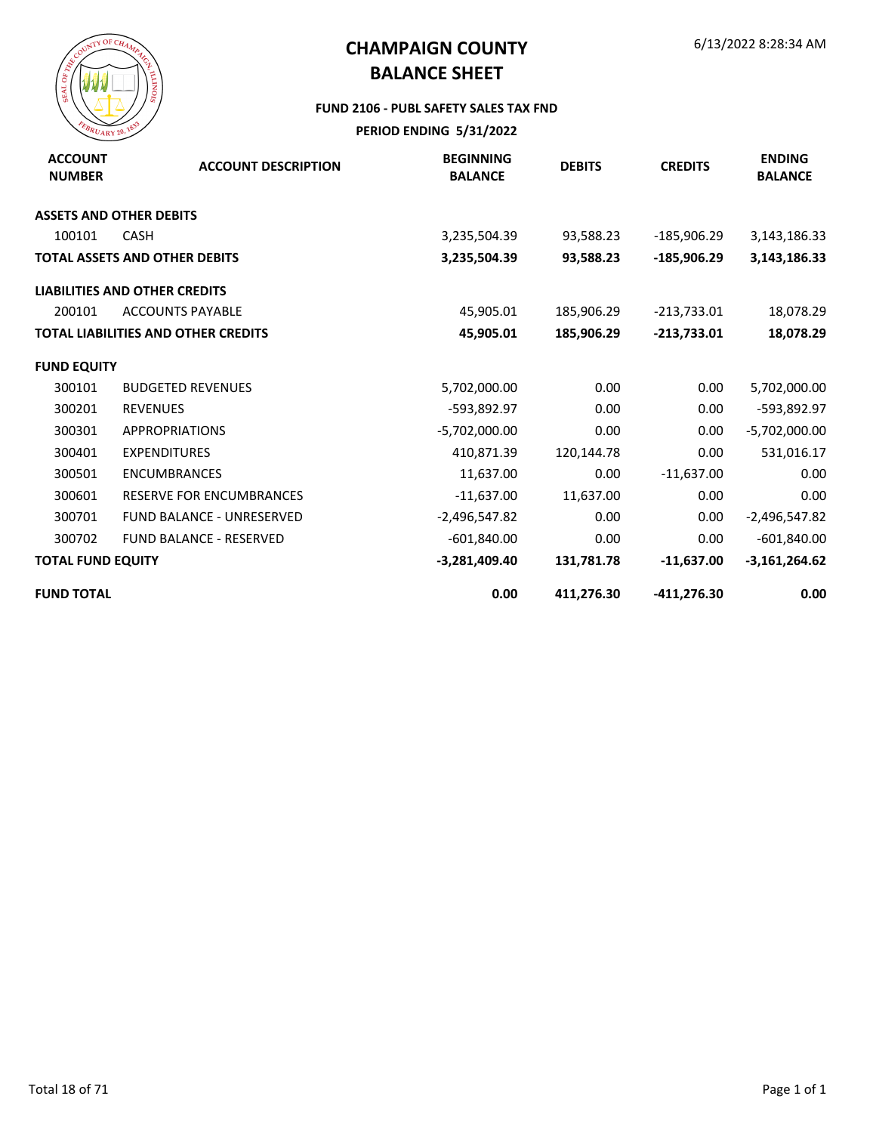

#### **FUND 2106 - PUBL SAFETY SALES TAX FND**

| <b>ACCOUNT</b><br><b>NUMBER</b> | <b>ACCOUNT DESCRIPTION</b>                 | <b>BEGINNING</b><br><b>BALANCE</b> | <b>DEBITS</b> | <b>CREDITS</b> | <b>ENDING</b><br><b>BALANCE</b> |
|---------------------------------|--------------------------------------------|------------------------------------|---------------|----------------|---------------------------------|
|                                 | <b>ASSETS AND OTHER DEBITS</b>             |                                    |               |                |                                 |
| 100101                          | <b>CASH</b>                                | 3,235,504.39                       | 93,588.23     | $-185,906.29$  | 3,143,186.33                    |
|                                 | <b>TOTAL ASSETS AND OTHER DEBITS</b>       | 3,235,504.39                       | 93,588.23     | -185,906.29    | 3,143,186.33                    |
|                                 | <b>LIABILITIES AND OTHER CREDITS</b>       |                                    |               |                |                                 |
| 200101                          | <b>ACCOUNTS PAYABLE</b>                    | 45,905.01                          | 185,906.29    | $-213,733.01$  | 18,078.29                       |
|                                 | <b>TOTAL LIABILITIES AND OTHER CREDITS</b> | 45,905.01                          | 185,906.29    | $-213,733.01$  | 18,078.29                       |
| <b>FUND EQUITY</b>              |                                            |                                    |               |                |                                 |
| 300101                          | <b>BUDGETED REVENUES</b>                   | 5,702,000.00                       | 0.00          | 0.00           | 5,702,000.00                    |
| 300201                          | <b>REVENUES</b>                            | -593,892.97                        | 0.00          | 0.00           | -593,892.97                     |
| 300301                          | <b>APPROPRIATIONS</b>                      | $-5,702,000.00$                    | 0.00          | 0.00           | $-5,702,000.00$                 |
| 300401                          | <b>EXPENDITURES</b>                        | 410,871.39                         | 120,144.78    | 0.00           | 531,016.17                      |
| 300501                          | <b>ENCUMBRANCES</b>                        | 11,637.00                          | 0.00          | $-11,637.00$   | 0.00                            |
| 300601                          | <b>RESERVE FOR ENCUMBRANCES</b>            | $-11,637.00$                       | 11,637.00     | 0.00           | 0.00                            |
| 300701                          | <b>FUND BALANCE - UNRESERVED</b>           | $-2,496,547.82$                    | 0.00          | 0.00           | $-2,496,547.82$                 |
| 300702                          | <b>FUND BALANCE - RESERVED</b>             | $-601,840.00$                      | 0.00          | 0.00           | $-601,840.00$                   |
| <b>TOTAL FUND EQUITY</b>        |                                            | $-3,281,409.40$                    | 131,781.78    | $-11,637.00$   | $-3,161,264.62$                 |
| <b>FUND TOTAL</b>               |                                            | 0.00                               | 411,276.30    | $-411,276.30$  | 0.00                            |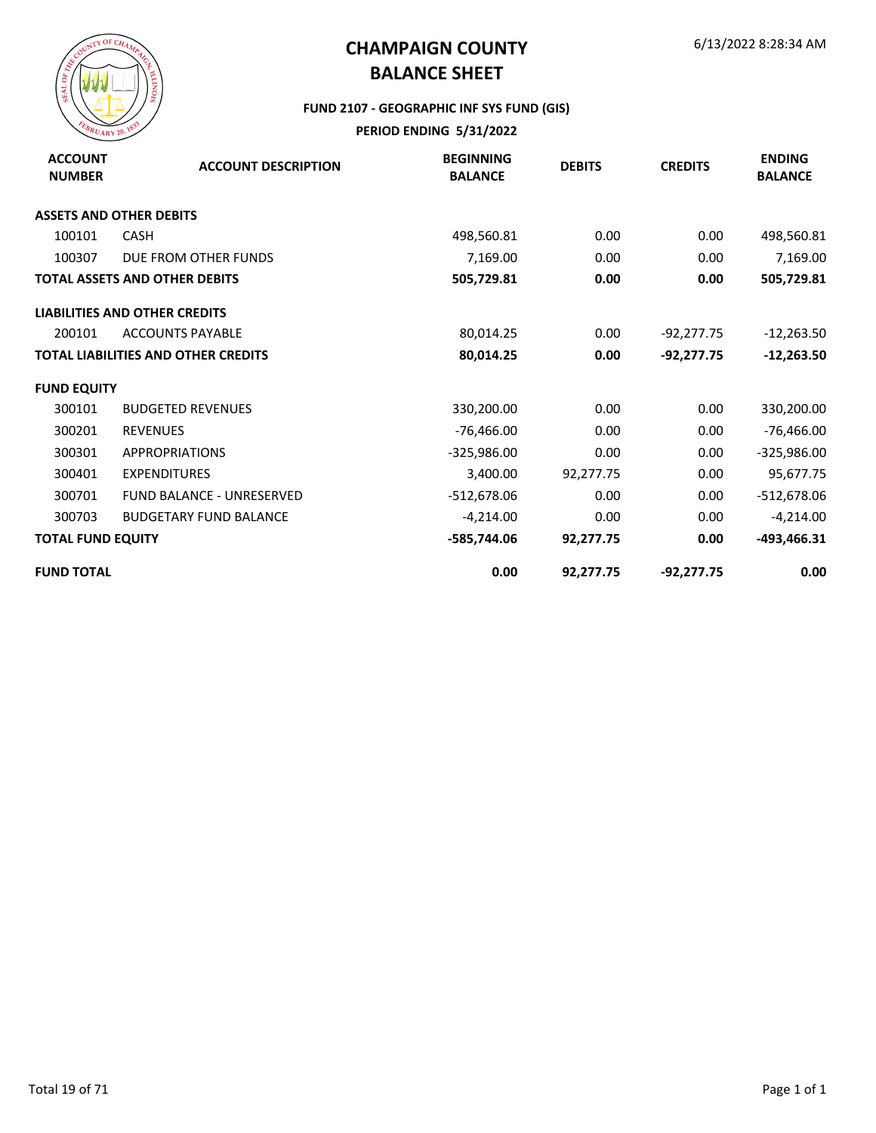

#### **FUND 2107 - GEOGRAPHIC INF SYS FUND (GIS)**

| <b>ACCOUNT</b><br><b>NUMBER</b> | <b>ACCOUNT DESCRIPTION</b>                 | <b>BEGINNING</b><br><b>BALANCE</b> | <b>DEBITS</b> | <b>CREDITS</b> | <b>ENDING</b><br><b>BALANCE</b> |
|---------------------------------|--------------------------------------------|------------------------------------|---------------|----------------|---------------------------------|
| <b>ASSETS AND OTHER DEBITS</b>  |                                            |                                    |               |                |                                 |
| 100101                          | <b>CASH</b>                                | 498,560.81                         | 0.00          | 0.00           | 498,560.81                      |
| 100307                          | DUE FROM OTHER FUNDS                       | 7,169.00                           | 0.00          | 0.00           | 7,169.00                        |
|                                 | <b>TOTAL ASSETS AND OTHER DEBITS</b>       | 505,729.81                         | 0.00          | 0.00           | 505,729.81                      |
|                                 | <b>LIABILITIES AND OTHER CREDITS</b>       |                                    |               |                |                                 |
| 200101                          | <b>ACCOUNTS PAYABLE</b>                    | 80,014.25                          | 0.00          | $-92,277.75$   | $-12,263.50$                    |
|                                 | <b>TOTAL LIABILITIES AND OTHER CREDITS</b> | 80,014.25                          | 0.00          | $-92,277.75$   | $-12,263.50$                    |
| <b>FUND EQUITY</b>              |                                            |                                    |               |                |                                 |
| 300101                          | <b>BUDGETED REVENUES</b>                   | 330,200.00                         | 0.00          | 0.00           | 330,200.00                      |
| 300201                          | <b>REVENUES</b>                            | $-76,466.00$                       | 0.00          | 0.00           | $-76,466.00$                    |
| 300301                          | <b>APPROPRIATIONS</b>                      | $-325,986.00$                      | 0.00          | 0.00           | $-325,986.00$                   |
| 300401                          | <b>EXPENDITURES</b>                        | 3,400.00                           | 92,277.75     | 0.00           | 95,677.75                       |
| 300701                          | <b>FUND BALANCE - UNRESERVED</b>           | -512,678.06                        | 0.00          | 0.00           | $-512,678.06$                   |
| 300703                          | <b>BUDGETARY FUND BALANCE</b>              | $-4,214.00$                        | 0.00          | 0.00           | $-4,214.00$                     |
| <b>TOTAL FUND EQUITY</b>        |                                            | -585,744.06                        | 92,277.75     | 0.00           | -493,466.31                     |
| <b>FUND TOTAL</b>               |                                            | 0.00                               | 92,277.75     | $-92,277.75$   | 0.00                            |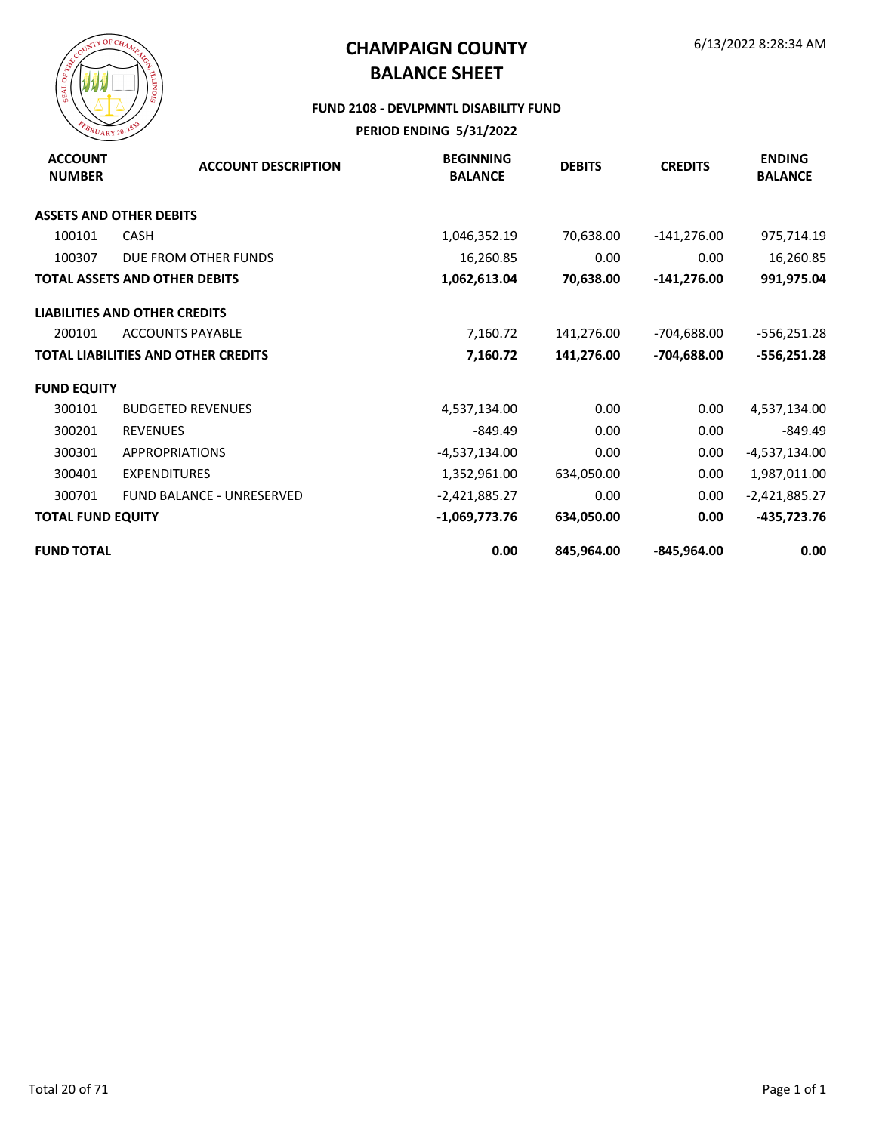

#### **FUND 2108 - DEVLPMNTL DISABILITY FUND**

| <b>ACCOUNT</b><br><b>NUMBER</b> | <b>ACCOUNT DESCRIPTION</b>                 | <b>BEGINNING</b><br><b>BALANCE</b> | <b>DEBITS</b> | <b>CREDITS</b> | <b>ENDING</b><br><b>BALANCE</b> |
|---------------------------------|--------------------------------------------|------------------------------------|---------------|----------------|---------------------------------|
|                                 | <b>ASSETS AND OTHER DEBITS</b>             |                                    |               |                |                                 |
| 100101                          | <b>CASH</b>                                | 1,046,352.19                       | 70,638.00     | $-141,276.00$  | 975,714.19                      |
| 100307                          | DUE FROM OTHER FUNDS                       | 16,260.85                          | 0.00          | 0.00           | 16,260.85                       |
|                                 | <b>TOTAL ASSETS AND OTHER DEBITS</b>       | 1,062,613.04                       | 70,638.00     | $-141,276.00$  | 991,975.04                      |
|                                 | <b>LIABILITIES AND OTHER CREDITS</b>       |                                    |               |                |                                 |
| 200101                          | <b>ACCOUNTS PAYABLE</b>                    | 7,160.72                           | 141,276.00    | -704,688.00    | $-556,251.28$                   |
|                                 | <b>TOTAL LIABILITIES AND OTHER CREDITS</b> | 7,160.72                           | 141,276.00    | -704,688.00    | $-556,251.28$                   |
| <b>FUND EQUITY</b>              |                                            |                                    |               |                |                                 |
| 300101                          | <b>BUDGETED REVENUES</b>                   | 4,537,134.00                       | 0.00          | 0.00           | 4,537,134.00                    |
| 300201                          | <b>REVENUES</b>                            | $-849.49$                          | 0.00          | 0.00           | $-849.49$                       |
| 300301                          | <b>APPROPRIATIONS</b>                      | -4,537,134.00                      | 0.00          | 0.00           | -4,537,134.00                   |
| 300401                          | <b>EXPENDITURES</b>                        | 1,352,961.00                       | 634,050.00    | 0.00           | 1,987,011.00                    |
| 300701                          | <b>FUND BALANCE - UNRESERVED</b>           | $-2,421,885.27$                    | 0.00          | 0.00           | $-2,421,885.27$                 |
| <b>TOTAL FUND EQUITY</b>        |                                            | $-1,069,773.76$                    | 634,050.00    | 0.00           | $-435,723.76$                   |
| <b>FUND TOTAL</b>               |                                            | 0.00                               | 845,964.00    | -845,964.00    | 0.00                            |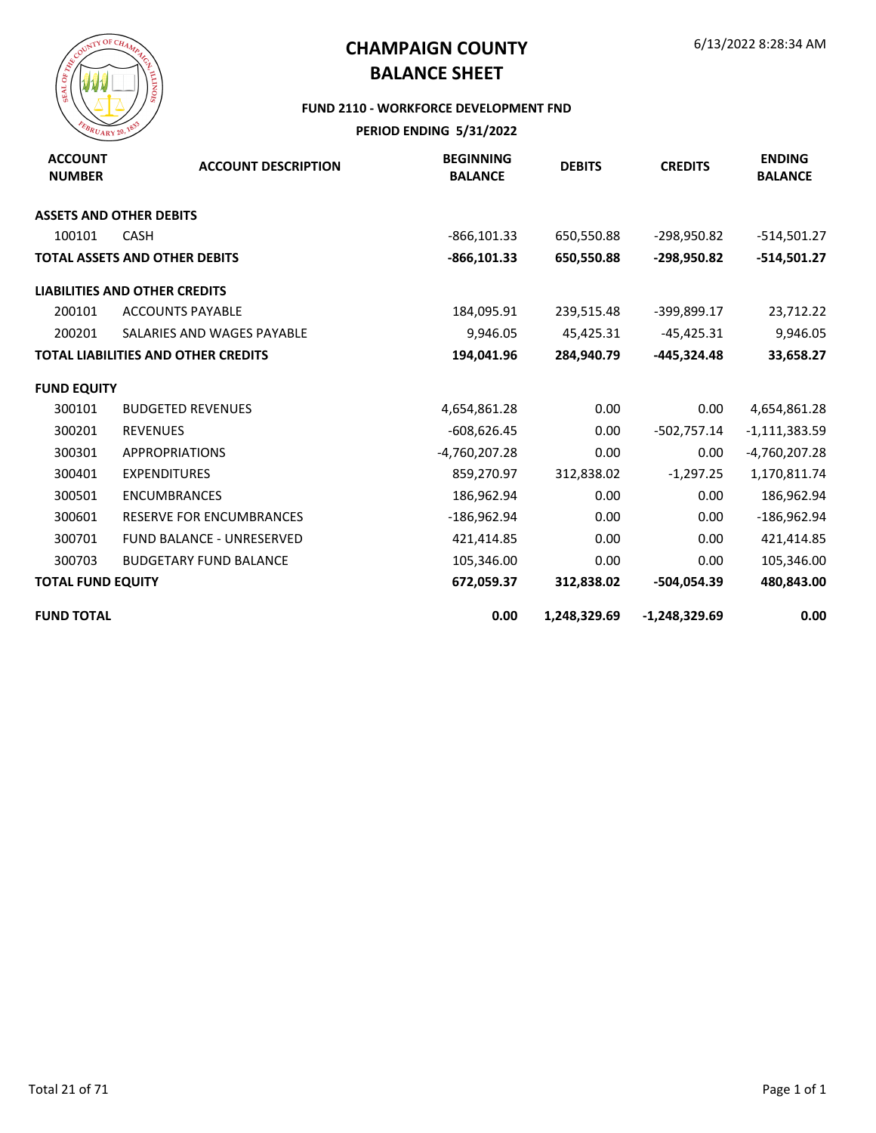

#### **FUND 2110 - WORKFORCE DEVELOPMENT FND**

| <b>ACCOUNT</b><br><b>NUMBER</b> | <b>ACCOUNT DESCRIPTION</b>                 | <b>BEGINNING</b><br><b>BALANCE</b> | <b>DEBITS</b> | <b>CREDITS</b>  | <b>ENDING</b><br><b>BALANCE</b> |
|---------------------------------|--------------------------------------------|------------------------------------|---------------|-----------------|---------------------------------|
|                                 | <b>ASSETS AND OTHER DEBITS</b>             |                                    |               |                 |                                 |
| 100101                          | <b>CASH</b>                                | $-866, 101.33$                     | 650,550.88    | -298,950.82     | $-514,501.27$                   |
|                                 | <b>TOTAL ASSETS AND OTHER DEBITS</b>       | $-866, 101.33$                     | 650,550.88    | -298,950.82     | $-514,501.27$                   |
|                                 | <b>LIABILITIES AND OTHER CREDITS</b>       |                                    |               |                 |                                 |
| 200101                          | <b>ACCOUNTS PAYABLE</b>                    | 184,095.91                         | 239,515.48    | -399,899.17     | 23,712.22                       |
| 200201                          | SALARIES AND WAGES PAYABLE                 | 9,946.05                           | 45,425.31     | $-45,425.31$    | 9,946.05                        |
|                                 | <b>TOTAL LIABILITIES AND OTHER CREDITS</b> | 194,041.96                         | 284,940.79    | -445,324.48     | 33,658.27                       |
| <b>FUND EQUITY</b>              |                                            |                                    |               |                 |                                 |
| 300101                          | <b>BUDGETED REVENUES</b>                   | 4,654,861.28                       | 0.00          | 0.00            | 4,654,861.28                    |
| 300201                          | <b>REVENUES</b>                            | $-608,626.45$                      | 0.00          | $-502,757.14$   | $-1,111,383.59$                 |
| 300301                          | <b>APPROPRIATIONS</b>                      | -4,760,207.28                      | 0.00          | 0.00            | $-4,760,207.28$                 |
| 300401                          | <b>EXPENDITURES</b>                        | 859,270.97                         | 312,838.02    | $-1,297.25$     | 1,170,811.74                    |
| 300501                          | <b>ENCUMBRANCES</b>                        | 186,962.94                         | 0.00          | 0.00            | 186,962.94                      |
| 300601                          | <b>RESERVE FOR ENCUMBRANCES</b>            | $-186,962.94$                      | 0.00          | 0.00            | $-186,962.94$                   |
| 300701                          | <b>FUND BALANCE - UNRESERVED</b>           | 421,414.85                         | 0.00          | 0.00            | 421,414.85                      |
| 300703                          | <b>BUDGETARY FUND BALANCE</b>              | 105,346.00                         | 0.00          | 0.00            | 105,346.00                      |
| <b>TOTAL FUND EQUITY</b>        |                                            | 672,059.37                         | 312,838.02    | -504,054.39     | 480,843.00                      |
| <b>FUND TOTAL</b>               |                                            | 0.00                               | 1,248,329.69  | $-1,248,329.69$ | 0.00                            |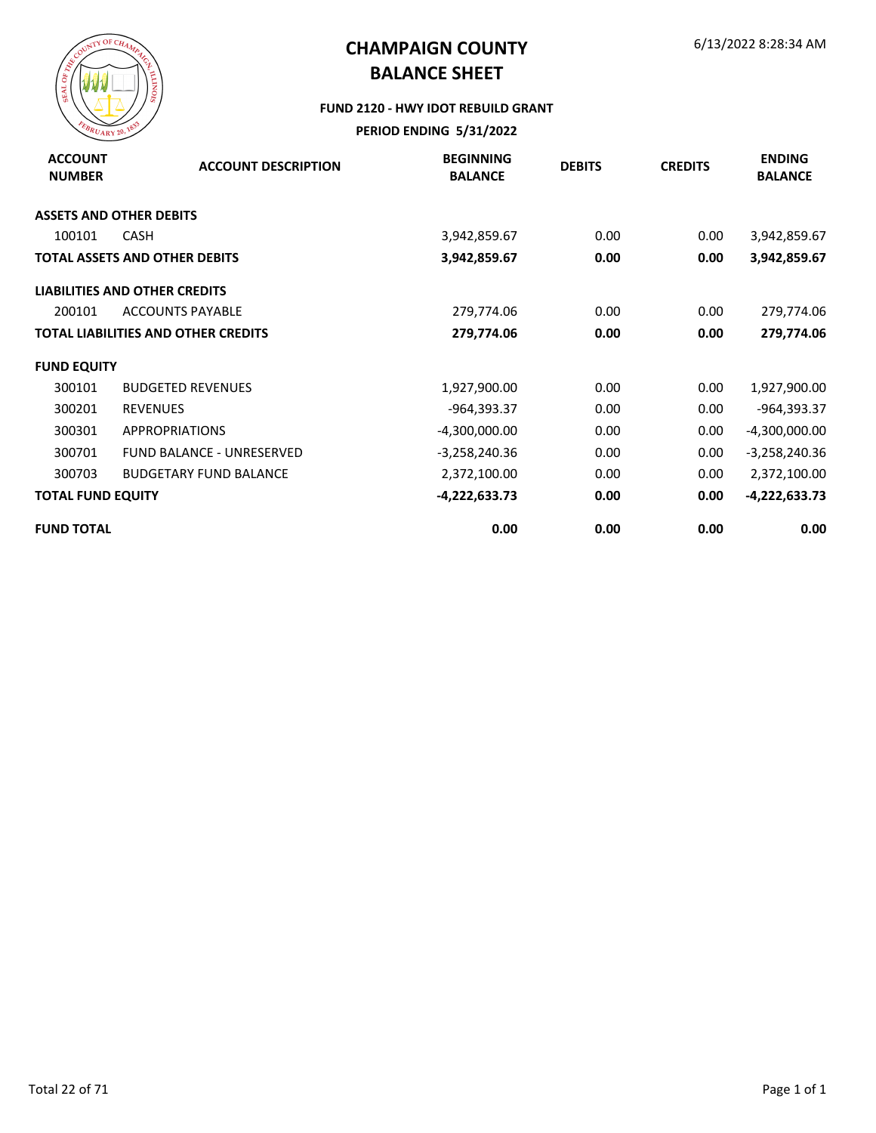

#### **FUND 2120 - HWY IDOT REBUILD GRANT**

| <b>ACCOUNT</b><br><b>NUMBER</b> | <b>ACCOUNT DESCRIPTION</b>                 | <b>BEGINNING</b><br><b>BALANCE</b> | <b>DEBITS</b> | <b>CREDITS</b> | <b>ENDING</b><br><b>BALANCE</b> |
|---------------------------------|--------------------------------------------|------------------------------------|---------------|----------------|---------------------------------|
|                                 | <b>ASSETS AND OTHER DEBITS</b>             |                                    |               |                |                                 |
| 100101                          | <b>CASH</b>                                | 3,942,859.67                       | 0.00          | 0.00           | 3,942,859.67                    |
|                                 | <b>TOTAL ASSETS AND OTHER DEBITS</b>       | 3,942,859.67                       | 0.00          | 0.00           | 3,942,859.67                    |
|                                 | <b>LIABILITIES AND OTHER CREDITS</b>       |                                    |               |                |                                 |
| 200101                          | <b>ACCOUNTS PAYABLE</b>                    | 279,774.06                         | 0.00          | 0.00           | 279,774.06                      |
|                                 | <b>TOTAL LIABILITIES AND OTHER CREDITS</b> | 279,774.06                         | 0.00          | 0.00           | 279,774.06                      |
| <b>FUND EQUITY</b>              |                                            |                                    |               |                |                                 |
| 300101                          | <b>BUDGETED REVENUES</b>                   | 1,927,900.00                       | 0.00          | 0.00           | 1,927,900.00                    |
| 300201                          | <b>REVENUES</b>                            | -964,393.37                        | 0.00          | 0.00           | -964,393.37                     |
| 300301                          | <b>APPROPRIATIONS</b>                      | $-4,300,000.00$                    | 0.00          | 0.00           | $-4,300,000.00$                 |
| 300701                          | <b>FUND BALANCE - UNRESERVED</b>           | $-3,258,240.36$                    | 0.00          | 0.00           | $-3,258,240.36$                 |
| 300703                          | <b>BUDGETARY FUND BALANCE</b>              | 2,372,100.00                       | 0.00          | 0.00           | 2,372,100.00                    |
| <b>TOTAL FUND EQUITY</b>        |                                            | $-4,222,633.73$                    | 0.00          | 0.00           | $-4,222,633.73$                 |
| <b>FUND TOTAL</b>               |                                            | 0.00                               | 0.00          | 0.00           | 0.00                            |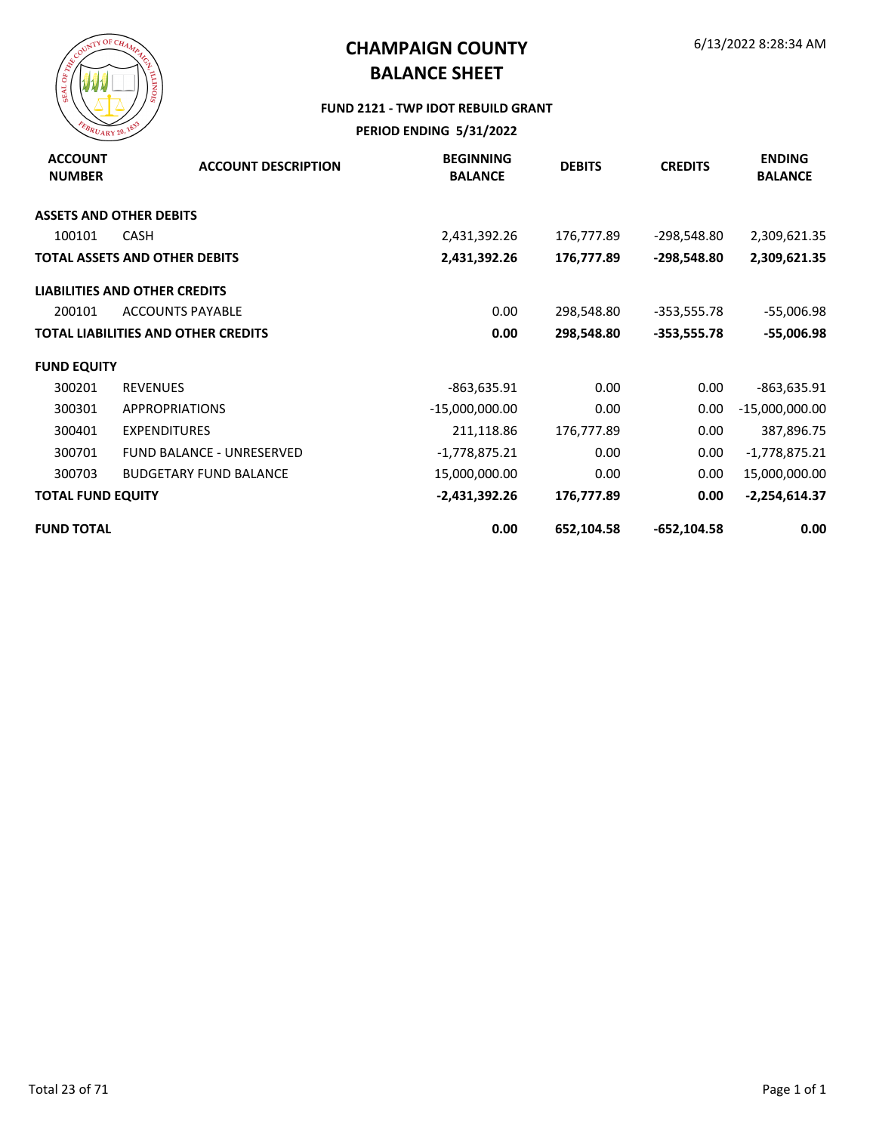

#### **FUND 2121 - TWP IDOT REBUILD GRANT**

| <b>ACCOUNT</b><br><b>NUMBER</b> | <b>ACCOUNT DESCRIPTION</b>                 | <b>BEGINNING</b><br><b>BALANCE</b> | <b>DEBITS</b> | <b>CREDITS</b> | <b>ENDING</b><br><b>BALANCE</b> |
|---------------------------------|--------------------------------------------|------------------------------------|---------------|----------------|---------------------------------|
|                                 | <b>ASSETS AND OTHER DEBITS</b>             |                                    |               |                |                                 |
| 100101                          | <b>CASH</b>                                | 2,431,392.26                       | 176,777.89    | -298,548.80    | 2,309,621.35                    |
|                                 | <b>TOTAL ASSETS AND OTHER DEBITS</b>       | 2,431,392.26                       | 176,777.89    | -298,548.80    | 2,309,621.35                    |
|                                 | <b>LIABILITIES AND OTHER CREDITS</b>       |                                    |               |                |                                 |
| 200101                          | <b>ACCOUNTS PAYABLE</b>                    | 0.00                               | 298,548.80    | $-353,555.78$  | $-55,006.98$                    |
|                                 | <b>TOTAL LIABILITIES AND OTHER CREDITS</b> | 0.00                               | 298,548.80    | -353,555.78    | $-55,006.98$                    |
| <b>FUND EQUITY</b>              |                                            |                                    |               |                |                                 |
| 300201                          | <b>REVENUES</b>                            | -863,635.91                        | 0.00          | 0.00           | -863,635.91                     |
| 300301                          | <b>APPROPRIATIONS</b>                      | $-15,000,000.00$                   | 0.00          | 0.00           | $-15,000,000.00$                |
| 300401                          | <b>EXPENDITURES</b>                        | 211,118.86                         | 176,777.89    | 0.00           | 387,896.75                      |
| 300701                          | <b>FUND BALANCE - UNRESERVED</b>           | $-1,778,875.21$                    | 0.00          | 0.00           | $-1,778,875.21$                 |
| 300703                          | <b>BUDGETARY FUND BALANCE</b>              | 15,000,000.00                      | 0.00          | 0.00           | 15,000,000.00                   |
| <b>TOTAL FUND EQUITY</b>        |                                            | $-2,431,392.26$                    | 176,777.89    | 0.00           | $-2,254,614.37$                 |
| <b>FUND TOTAL</b>               |                                            | 0.00                               | 652,104.58    | $-652, 104.58$ | 0.00                            |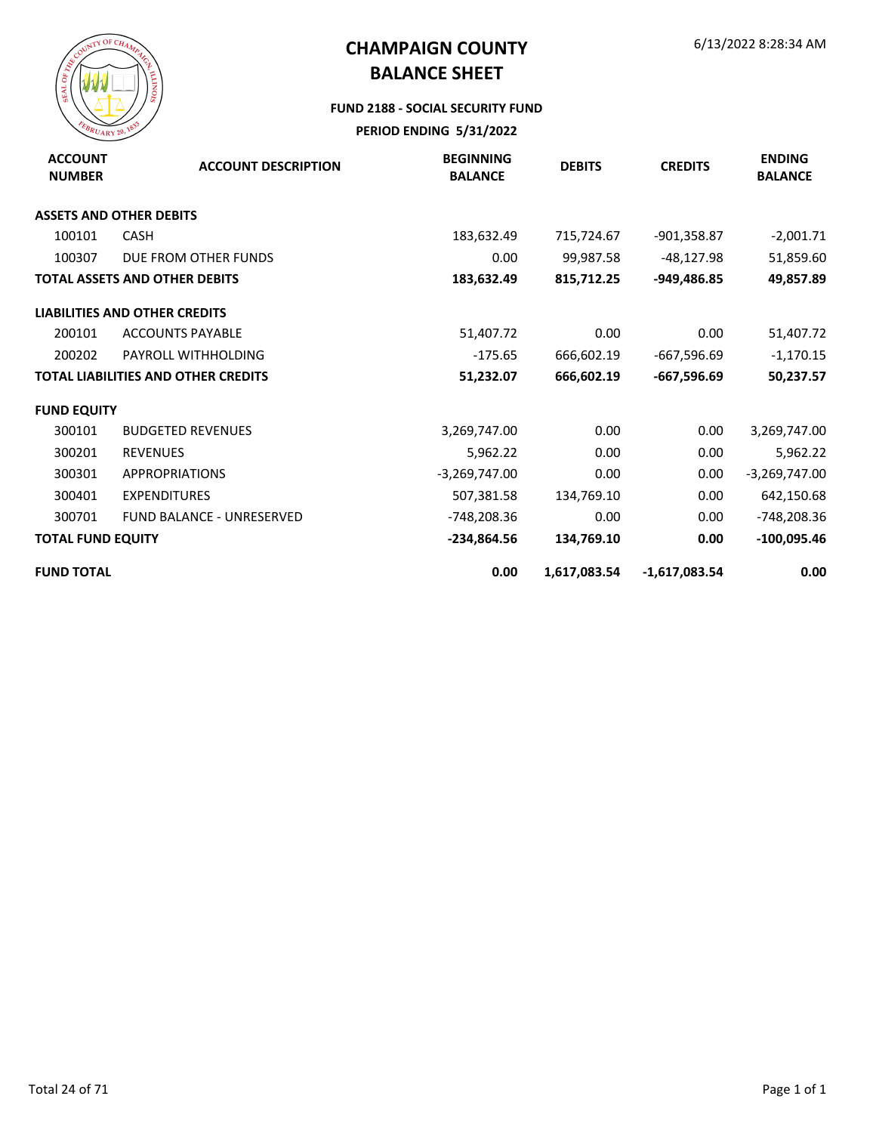

#### **FUND 2188 - SOCIAL SECURITY FUND**

| <b>ACCOUNT</b><br><b>NUMBER</b> | <b>ACCOUNT DESCRIPTION</b>                 | <b>BEGINNING</b><br><b>BALANCE</b> | <b>DEBITS</b> | <b>CREDITS</b>  | <b>ENDING</b><br><b>BALANCE</b> |
|---------------------------------|--------------------------------------------|------------------------------------|---------------|-----------------|---------------------------------|
|                                 | <b>ASSETS AND OTHER DEBITS</b>             |                                    |               |                 |                                 |
| 100101                          | <b>CASH</b>                                | 183,632.49                         | 715,724.67    | $-901,358.87$   | $-2,001.71$                     |
| 100307                          | DUE FROM OTHER FUNDS                       | 0.00                               | 99,987.58     | -48,127.98      | 51,859.60                       |
|                                 | <b>TOTAL ASSETS AND OTHER DEBITS</b>       | 183,632.49                         | 815,712.25    | -949,486.85     | 49,857.89                       |
|                                 | <b>LIABILITIES AND OTHER CREDITS</b>       |                                    |               |                 |                                 |
| 200101                          | <b>ACCOUNTS PAYABLE</b>                    | 51,407.72                          | 0.00          | 0.00            | 51,407.72                       |
| 200202                          | PAYROLL WITHHOLDING                        | $-175.65$                          | 666,602.19    | $-667,596.69$   | $-1,170.15$                     |
|                                 | <b>TOTAL LIABILITIES AND OTHER CREDITS</b> | 51,232.07                          | 666,602.19    | -667,596.69     | 50,237.57                       |
| <b>FUND EQUITY</b>              |                                            |                                    |               |                 |                                 |
| 300101                          | <b>BUDGETED REVENUES</b>                   | 3,269,747.00                       | 0.00          | 0.00            | 3,269,747.00                    |
| 300201                          | <b>REVENUES</b>                            | 5,962.22                           | 0.00          | 0.00            | 5,962.22                        |
| 300301                          | <b>APPROPRIATIONS</b>                      | $-3,269,747.00$                    | 0.00          | 0.00            | $-3,269,747.00$                 |
| 300401                          | <b>EXPENDITURES</b>                        | 507,381.58                         | 134,769.10    | 0.00            | 642,150.68                      |
| 300701                          | <b>FUND BALANCE - UNRESERVED</b>           | -748,208.36                        | 0.00          | 0.00            | -748,208.36                     |
| <b>TOTAL FUND EQUITY</b>        |                                            | -234,864.56                        | 134,769.10    | 0.00            | $-100,095.46$                   |
| <b>FUND TOTAL</b>               |                                            | 0.00                               | 1,617,083.54  | $-1,617,083.54$ | 0.00                            |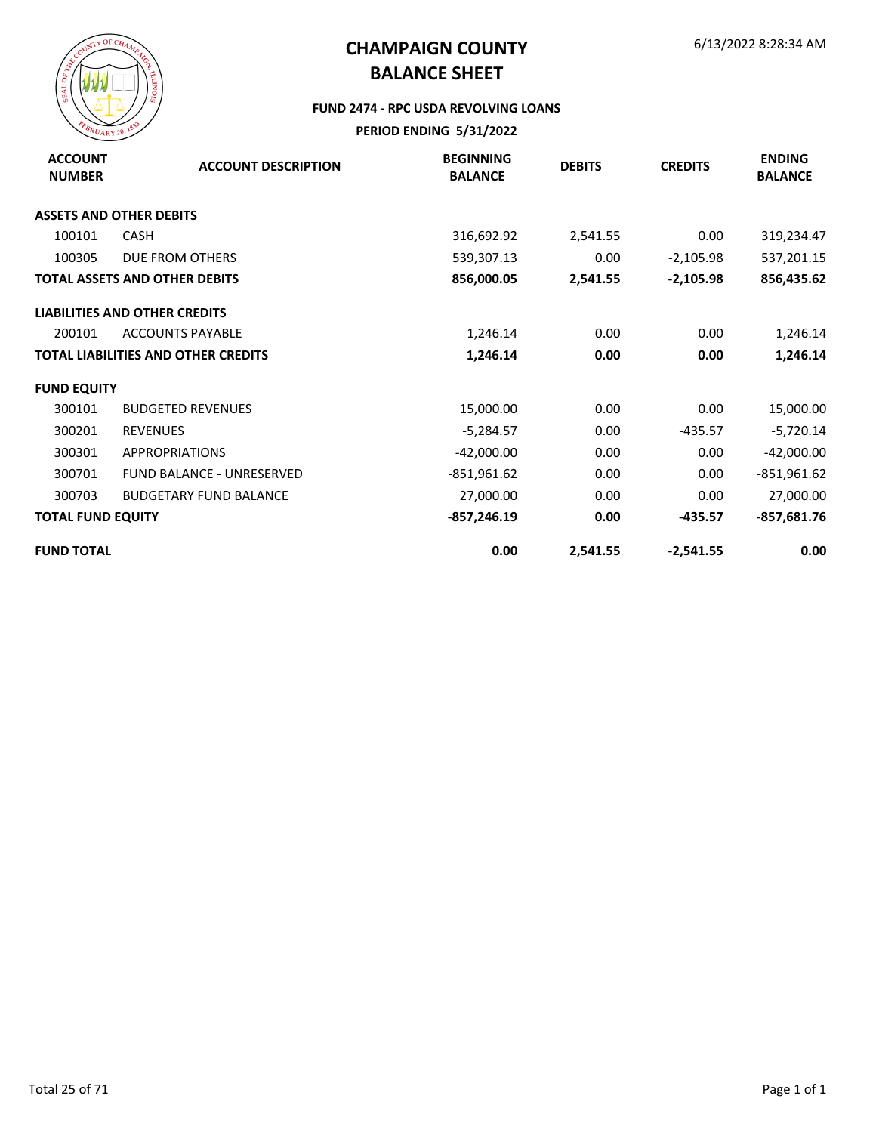

#### **FUND 2474 - RPC USDA REVOLVING LOANS**

| <b>ACCOUNT</b><br><b>NUMBER</b> | <b>ACCOUNT DESCRIPTION</b>                 | <b>BEGINNING</b><br><b>BALANCE</b> | <b>DEBITS</b> | <b>CREDITS</b> | <b>ENDING</b><br><b>BALANCE</b> |
|---------------------------------|--------------------------------------------|------------------------------------|---------------|----------------|---------------------------------|
|                                 | <b>ASSETS AND OTHER DEBITS</b>             |                                    |               |                |                                 |
| 100101                          | <b>CASH</b>                                | 316,692.92                         | 2,541.55      | 0.00           | 319,234.47                      |
| 100305                          | DUE FROM OTHERS                            | 539,307.13                         | 0.00          | $-2,105.98$    | 537,201.15                      |
|                                 | <b>TOTAL ASSETS AND OTHER DEBITS</b>       | 856,000.05                         | 2,541.55      | $-2,105.98$    | 856,435.62                      |
|                                 | <b>LIABILITIES AND OTHER CREDITS</b>       |                                    |               |                |                                 |
| 200101                          | <b>ACCOUNTS PAYABLE</b>                    | 1,246.14                           | 0.00          | 0.00           | 1,246.14                        |
|                                 | <b>TOTAL LIABILITIES AND OTHER CREDITS</b> | 1,246.14                           | 0.00          | 0.00           | 1,246.14                        |
| <b>FUND EQUITY</b>              |                                            |                                    |               |                |                                 |
| 300101                          | <b>BUDGETED REVENUES</b>                   | 15,000.00                          | 0.00          | 0.00           | 15,000.00                       |
| 300201                          | <b>REVENUES</b>                            | $-5,284.57$                        | 0.00          | $-435.57$      | $-5,720.14$                     |
| 300301                          | <b>APPROPRIATIONS</b>                      | $-42,000.00$                       | 0.00          | 0.00           | $-42,000.00$                    |
| 300701                          | FUND BALANCE - UNRESERVED                  | $-851,961.62$                      | 0.00          | 0.00           | $-851,961.62$                   |
| 300703                          | <b>BUDGETARY FUND BALANCE</b>              | 27,000.00                          | 0.00          | 0.00           | 27,000.00                       |
| <b>TOTAL FUND EQUITY</b>        |                                            | $-857,246.19$                      | 0.00          | $-435.57$      | $-857,681.76$                   |
| <b>FUND TOTAL</b>               |                                            | 0.00                               | 2,541.55      | $-2,541.55$    | 0.00                            |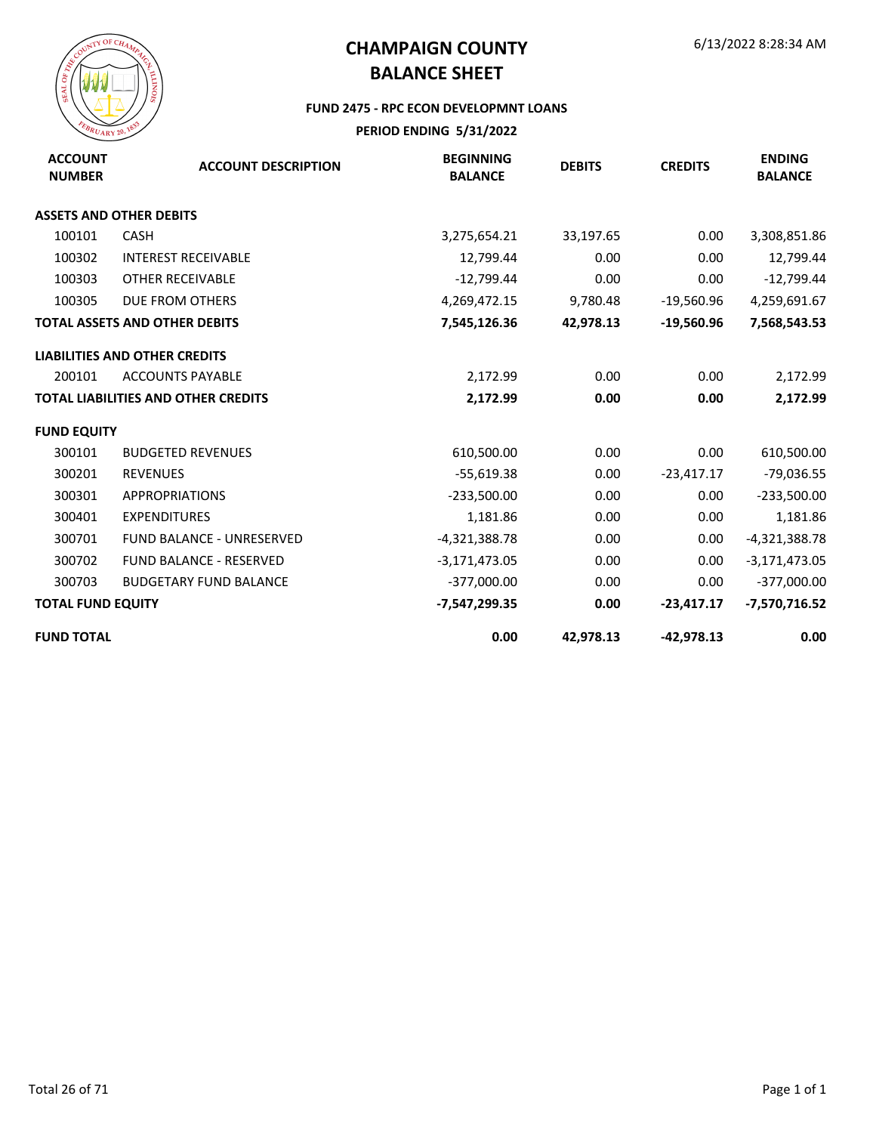

#### **FUND 2475 - RPC ECON DEVELOPMNT LOANS**

| <b>ACCOUNT</b><br><b>NUMBER</b> | <b>ACCOUNT DESCRIPTION</b>                 | <b>BEGINNING</b><br><b>BALANCE</b> | <b>DEBITS</b> | <b>CREDITS</b> | <b>ENDING</b><br><b>BALANCE</b> |
|---------------------------------|--------------------------------------------|------------------------------------|---------------|----------------|---------------------------------|
|                                 | <b>ASSETS AND OTHER DEBITS</b>             |                                    |               |                |                                 |
| 100101                          | <b>CASH</b>                                | 3,275,654.21                       | 33,197.65     | 0.00           | 3,308,851.86                    |
| 100302                          | <b>INTEREST RECEIVABLE</b>                 | 12,799.44                          | 0.00          | 0.00           | 12,799.44                       |
| 100303                          | OTHER RECEIVABLE                           | $-12,799.44$                       | 0.00          | 0.00           | $-12,799.44$                    |
| 100305                          | DUE FROM OTHERS                            | 4,269,472.15                       | 9,780.48      | $-19,560.96$   | 4,259,691.67                    |
|                                 | <b>TOTAL ASSETS AND OTHER DEBITS</b>       | 7,545,126.36                       | 42,978.13     | $-19,560.96$   | 7,568,543.53                    |
|                                 | <b>LIABILITIES AND OTHER CREDITS</b>       |                                    |               |                |                                 |
| 200101                          | <b>ACCOUNTS PAYABLE</b>                    | 2,172.99                           | 0.00          | 0.00           | 2,172.99                        |
|                                 | <b>TOTAL LIABILITIES AND OTHER CREDITS</b> | 2,172.99                           | 0.00          | 0.00           | 2,172.99                        |
| <b>FUND EQUITY</b>              |                                            |                                    |               |                |                                 |
| 300101                          | <b>BUDGETED REVENUES</b>                   | 610,500.00                         | 0.00          | 0.00           | 610,500.00                      |
| 300201                          | <b>REVENUES</b>                            | $-55,619.38$                       | 0.00          | $-23,417.17$   | $-79,036.55$                    |
| 300301                          | <b>APPROPRIATIONS</b>                      | $-233,500.00$                      | 0.00          | 0.00           | $-233,500.00$                   |
| 300401                          | <b>EXPENDITURES</b>                        | 1,181.86                           | 0.00          | 0.00           | 1,181.86                        |
| 300701                          | <b>FUND BALANCE - UNRESERVED</b>           | $-4,321,388.78$                    | 0.00          | 0.00           | $-4,321,388.78$                 |
| 300702                          | <b>FUND BALANCE - RESERVED</b>             | $-3,171,473.05$                    | 0.00          | 0.00           | $-3,171,473.05$                 |
| 300703                          | <b>BUDGETARY FUND BALANCE</b>              | $-377,000.00$                      | 0.00          | 0.00           | $-377,000.00$                   |
| <b>TOTAL FUND EQUITY</b>        |                                            | -7,547,299.35                      | 0.00          | $-23,417.17$   | -7,570,716.52                   |
| <b>FUND TOTAL</b>               |                                            | 0.00                               | 42,978.13     | $-42,978.13$   | 0.00                            |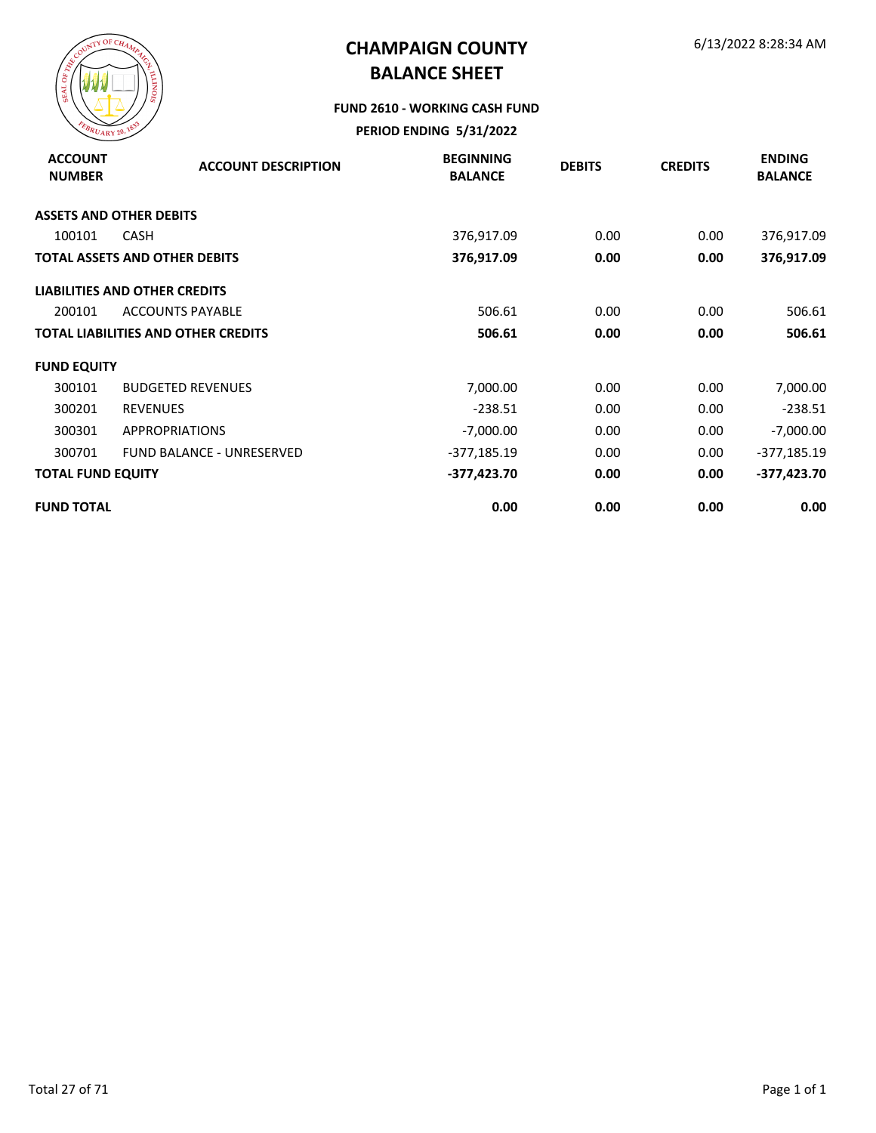

#### **FUND 2610 - WORKING CASH FUND**

| <b>ACCOUNT</b><br><b>NUMBER</b> | <b>ACCOUNT DESCRIPTION</b>                 | <b>BEGINNING</b><br><b>BALANCE</b> | <b>DEBITS</b> | <b>CREDITS</b> | <b>ENDING</b><br><b>BALANCE</b> |
|---------------------------------|--------------------------------------------|------------------------------------|---------------|----------------|---------------------------------|
|                                 | <b>ASSETS AND OTHER DEBITS</b>             |                                    |               |                |                                 |
| 100101                          | <b>CASH</b>                                | 376,917.09                         | 0.00          | 0.00           | 376,917.09                      |
|                                 | <b>TOTAL ASSETS AND OTHER DEBITS</b>       | 376,917.09                         | 0.00          | 0.00           | 376,917.09                      |
|                                 | <b>LIABILITIES AND OTHER CREDITS</b>       |                                    |               |                |                                 |
| 200101                          | <b>ACCOUNTS PAYABLE</b>                    | 506.61                             | 0.00          | 0.00           | 506.61                          |
|                                 | <b>TOTAL LIABILITIES AND OTHER CREDITS</b> | 506.61                             | 0.00          | 0.00           | 506.61                          |
| <b>FUND EQUITY</b>              |                                            |                                    |               |                |                                 |
| 300101                          | <b>BUDGETED REVENUES</b>                   | 7,000.00                           | 0.00          | 0.00           | 7,000.00                        |
| 300201                          | <b>REVENUES</b>                            | $-238.51$                          | 0.00          | 0.00           | $-238.51$                       |
| 300301                          | <b>APPROPRIATIONS</b>                      | $-7,000.00$                        | 0.00          | 0.00           | $-7,000.00$                     |
| 300701                          | <b>FUND BALANCE - UNRESERVED</b>           | $-377,185.19$                      | 0.00          | 0.00           | -377,185.19                     |
| <b>TOTAL FUND EQUITY</b>        |                                            | $-377,423.70$                      | 0.00          | 0.00           | $-377,423.70$                   |
| <b>FUND TOTAL</b>               |                                            | 0.00                               | 0.00          | 0.00           | 0.00                            |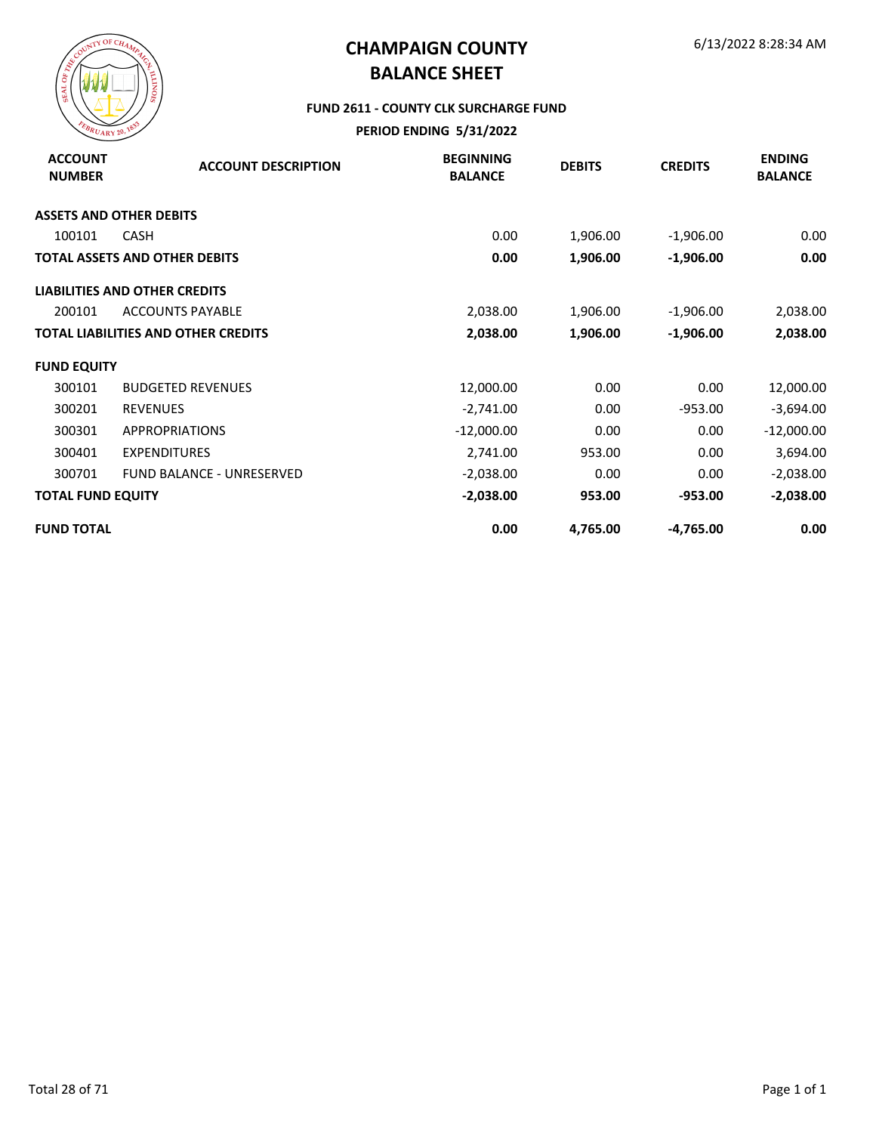

#### **FUND 2611 - COUNTY CLK SURCHARGE FUND**

| <b>ACCOUNT</b><br><b>NUMBER</b> | <b>ACCOUNT DESCRIPTION</b>                 | <b>BEGINNING</b><br><b>BALANCE</b> | <b>DEBITS</b> | <b>CREDITS</b> | <b>ENDING</b><br><b>BALANCE</b> |
|---------------------------------|--------------------------------------------|------------------------------------|---------------|----------------|---------------------------------|
|                                 | <b>ASSETS AND OTHER DEBITS</b>             |                                    |               |                |                                 |
| 100101                          | <b>CASH</b>                                | 0.00                               | 1,906.00      | $-1,906.00$    | 0.00                            |
|                                 | <b>TOTAL ASSETS AND OTHER DEBITS</b>       | 0.00                               | 1,906.00      | $-1,906.00$    | 0.00                            |
|                                 | <b>LIABILITIES AND OTHER CREDITS</b>       |                                    |               |                |                                 |
| 200101                          | <b>ACCOUNTS PAYABLE</b>                    | 2,038.00                           | 1,906.00      | $-1,906.00$    | 2,038.00                        |
|                                 | <b>TOTAL LIABILITIES AND OTHER CREDITS</b> | 2,038.00                           | 1,906.00      | $-1,906.00$    | 2,038.00                        |
| <b>FUND EQUITY</b>              |                                            |                                    |               |                |                                 |
| 300101                          | <b>BUDGETED REVENUES</b>                   | 12,000.00                          | 0.00          | 0.00           | 12,000.00                       |
| 300201                          | <b>REVENUES</b>                            | $-2,741.00$                        | 0.00          | $-953.00$      | $-3,694.00$                     |
| 300301                          | <b>APPROPRIATIONS</b>                      | $-12,000.00$                       | 0.00          | 0.00           | $-12,000.00$                    |
| 300401                          | <b>EXPENDITURES</b>                        | 2,741.00                           | 953.00        | 0.00           | 3,694.00                        |
| 300701                          | <b>FUND BALANCE - UNRESERVED</b>           | $-2,038.00$                        | 0.00          | 0.00           | $-2,038.00$                     |
| <b>TOTAL FUND EQUITY</b>        |                                            | $-2,038.00$                        | 953.00        | $-953.00$      | $-2,038.00$                     |
| <b>FUND TOTAL</b>               |                                            | 0.00                               | 4,765.00      | $-4,765.00$    | 0.00                            |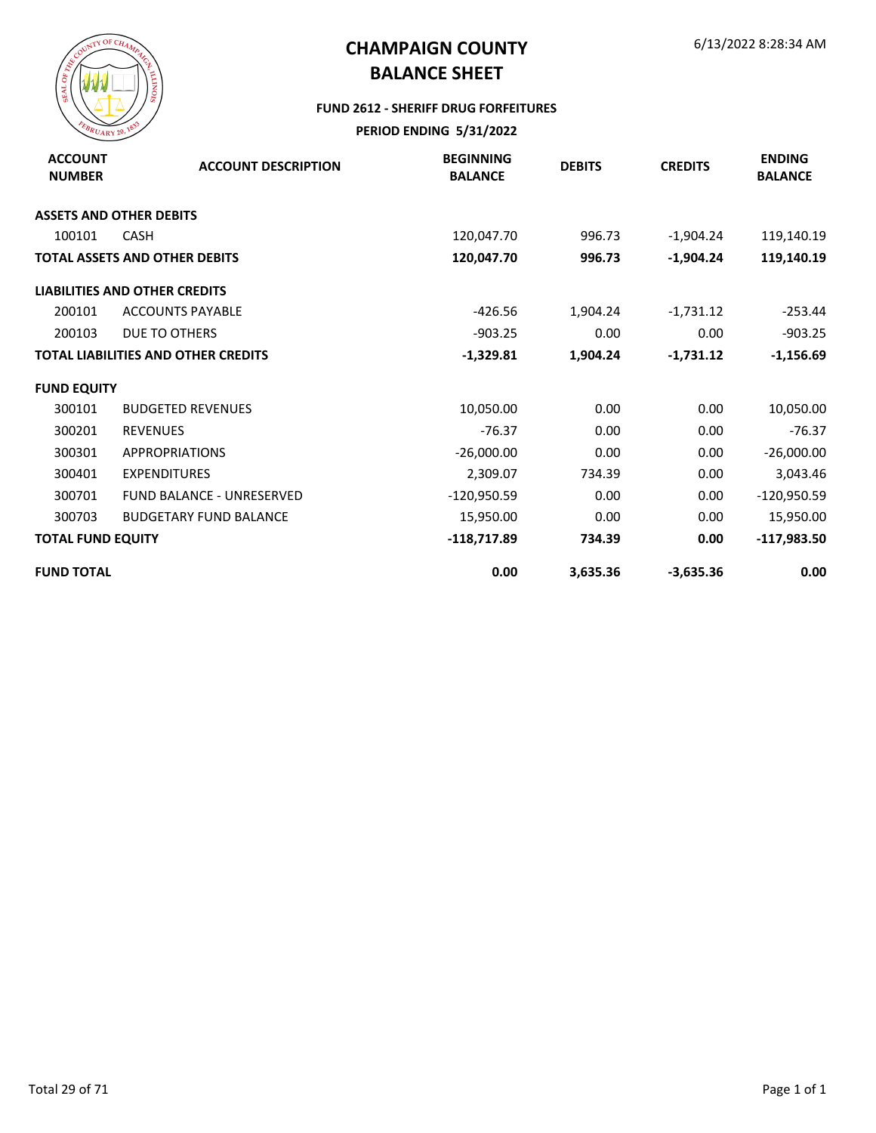

#### **FUND 2612 - SHERIFF DRUG FORFEITURES**

| <b>ACCOUNT</b><br><b>NUMBER</b> | <b>ACCOUNT DESCRIPTION</b>                 | <b>BEGINNING</b><br><b>BALANCE</b> | <b>DEBITS</b> | <b>CREDITS</b> | <b>ENDING</b><br><b>BALANCE</b> |
|---------------------------------|--------------------------------------------|------------------------------------|---------------|----------------|---------------------------------|
|                                 | <b>ASSETS AND OTHER DEBITS</b>             |                                    |               |                |                                 |
| 100101                          | <b>CASH</b>                                | 120,047.70                         | 996.73        | $-1,904.24$    | 119,140.19                      |
|                                 | TOTAL ASSETS AND OTHER DEBITS              | 120,047.70                         | 996.73        | $-1,904.24$    | 119,140.19                      |
|                                 | <b>LIABILITIES AND OTHER CREDITS</b>       |                                    |               |                |                                 |
| 200101                          | <b>ACCOUNTS PAYABLE</b>                    | $-426.56$                          | 1,904.24      | $-1,731.12$    | $-253.44$                       |
| 200103                          | DUE TO OTHERS                              | $-903.25$                          | 0.00          | 0.00           | $-903.25$                       |
|                                 | <b>TOTAL LIABILITIES AND OTHER CREDITS</b> | $-1,329.81$                        | 1,904.24      | $-1,731.12$    | $-1,156.69$                     |
| <b>FUND EQUITY</b>              |                                            |                                    |               |                |                                 |
| 300101                          | <b>BUDGETED REVENUES</b>                   | 10,050.00                          | 0.00          | 0.00           | 10,050.00                       |
| 300201                          | <b>REVENUES</b>                            | $-76.37$                           | 0.00          | 0.00           | $-76.37$                        |
| 300301                          | <b>APPROPRIATIONS</b>                      | $-26,000.00$                       | 0.00          | 0.00           | $-26,000.00$                    |
| 300401                          | <b>EXPENDITURES</b>                        | 2,309.07                           | 734.39        | 0.00           | 3,043.46                        |
| 300701                          | <b>FUND BALANCE - UNRESERVED</b>           | $-120,950.59$                      | 0.00          | 0.00           | $-120,950.59$                   |
| 300703                          | <b>BUDGETARY FUND BALANCE</b>              | 15,950.00                          | 0.00          | 0.00           | 15,950.00                       |
| <b>TOTAL FUND EQUITY</b>        |                                            | $-118,717.89$                      | 734.39        | 0.00           | $-117,983.50$                   |
| <b>FUND TOTAL</b>               |                                            | 0.00                               | 3,635.36      | $-3,635.36$    | 0.00                            |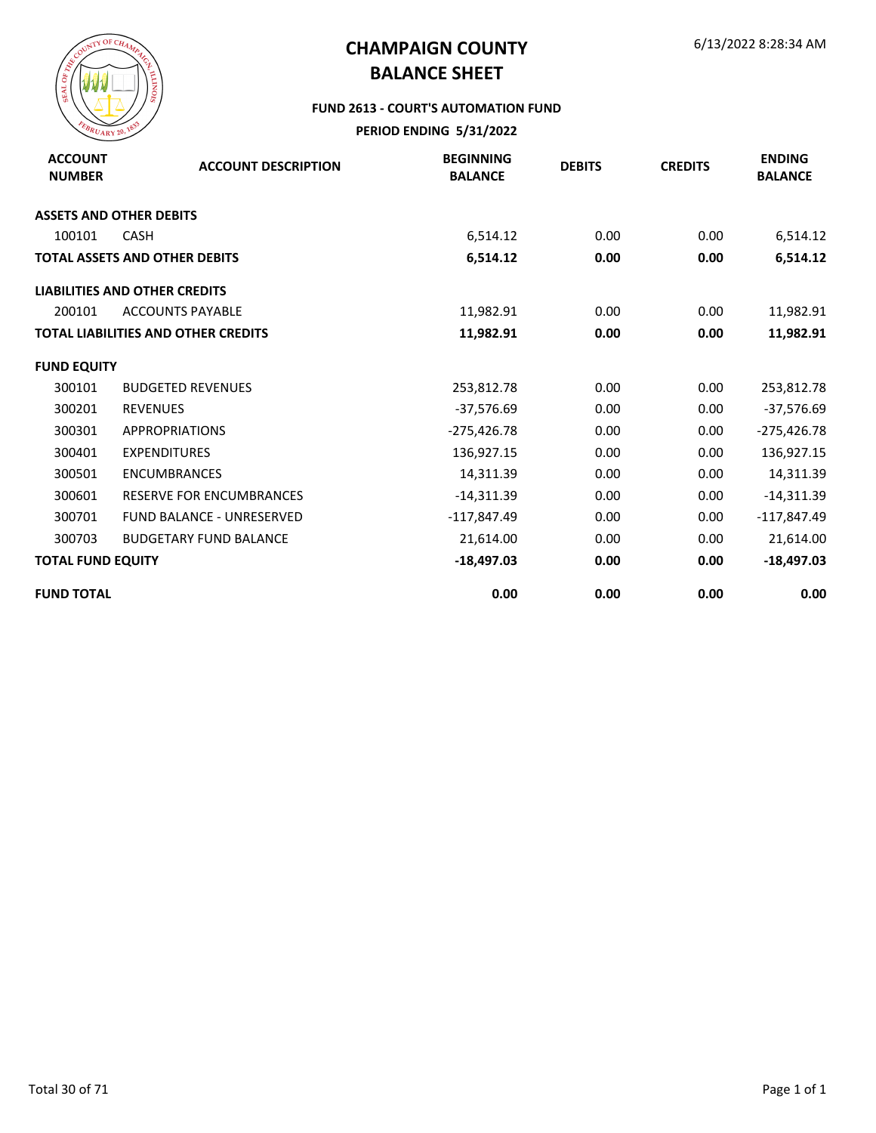

#### **FUND 2613 - COURT'S AUTOMATION FUND**

| <b>ACCOUNT</b><br><b>NUMBER</b> | <b>ACCOUNT DESCRIPTION</b>                 | <b>BEGINNING</b><br><b>BALANCE</b> | <b>DEBITS</b> | <b>CREDITS</b> | <b>ENDING</b><br><b>BALANCE</b> |
|---------------------------------|--------------------------------------------|------------------------------------|---------------|----------------|---------------------------------|
|                                 | <b>ASSETS AND OTHER DEBITS</b>             |                                    |               |                |                                 |
| 100101                          | <b>CASH</b>                                | 6,514.12                           | 0.00          | 0.00           | 6,514.12                        |
|                                 | <b>TOTAL ASSETS AND OTHER DEBITS</b>       | 6,514.12                           | 0.00          | 0.00           | 6,514.12                        |
|                                 | <b>LIABILITIES AND OTHER CREDITS</b>       |                                    |               |                |                                 |
| 200101                          | <b>ACCOUNTS PAYABLE</b>                    | 11,982.91                          | 0.00          | 0.00           | 11,982.91                       |
|                                 | <b>TOTAL LIABILITIES AND OTHER CREDITS</b> | 11,982.91                          | 0.00          | 0.00           | 11,982.91                       |
| <b>FUND EQUITY</b>              |                                            |                                    |               |                |                                 |
| 300101                          | <b>BUDGETED REVENUES</b>                   | 253,812.78                         | 0.00          | 0.00           | 253,812.78                      |
| 300201                          | <b>REVENUES</b>                            | $-37,576.69$                       | 0.00          | 0.00           | $-37,576.69$                    |
| 300301                          | <b>APPROPRIATIONS</b>                      | $-275,426.78$                      | 0.00          | 0.00           | $-275,426.78$                   |
| 300401                          | <b>EXPENDITURES</b>                        | 136,927.15                         | 0.00          | 0.00           | 136,927.15                      |
| 300501                          | <b>ENCUMBRANCES</b>                        | 14,311.39                          | 0.00          | 0.00           | 14,311.39                       |
| 300601                          | <b>RESERVE FOR ENCUMBRANCES</b>            | $-14,311.39$                       | 0.00          | 0.00           | $-14,311.39$                    |
| 300701                          | <b>FUND BALANCE - UNRESERVED</b>           | $-117,847.49$                      | 0.00          | 0.00           | $-117,847.49$                   |
| 300703                          | <b>BUDGETARY FUND BALANCE</b>              | 21,614.00                          | 0.00          | 0.00           | 21,614.00                       |
| <b>TOTAL FUND EQUITY</b>        |                                            | $-18,497.03$                       | 0.00          | 0.00           | $-18,497.03$                    |
| <b>FUND TOTAL</b>               |                                            | 0.00                               | 0.00          | 0.00           | 0.00                            |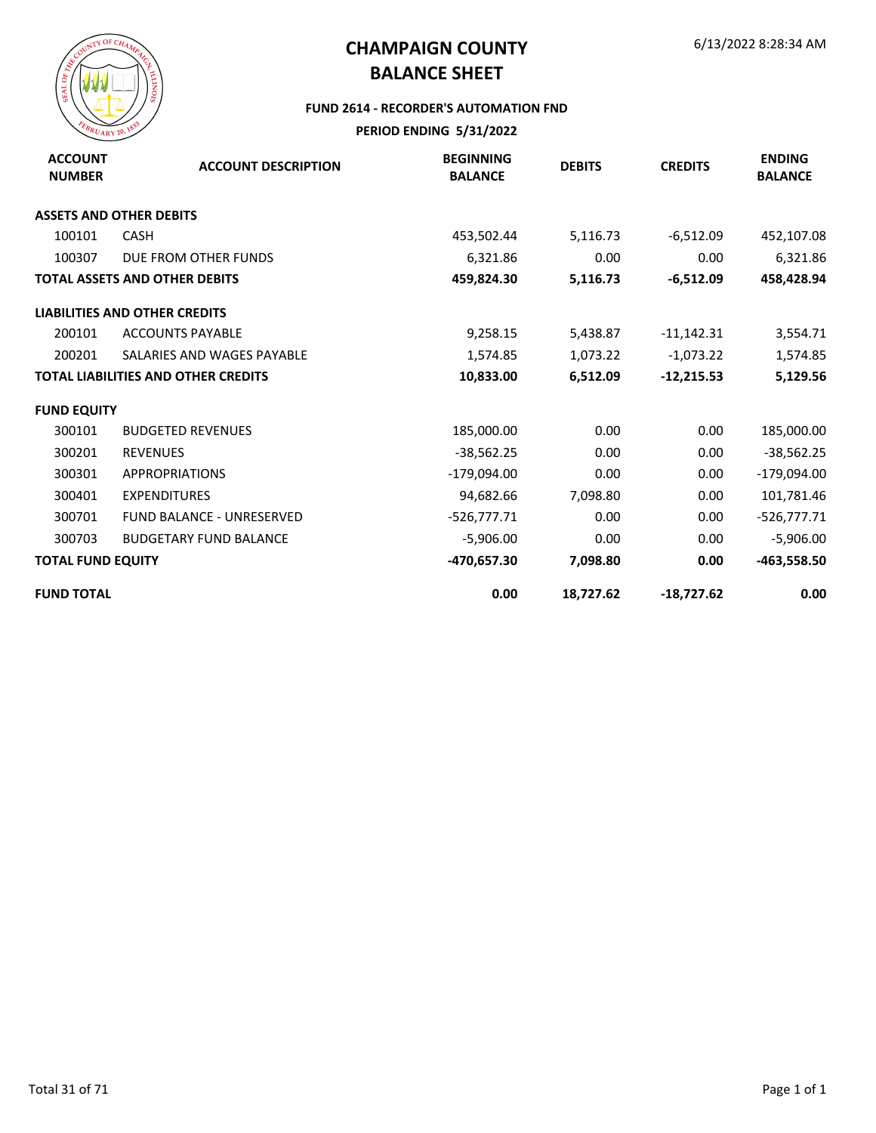

#### **FUND 2614 - RECORDER'S AUTOMATION FND**

| <b>ACCOUNT</b><br><b>NUMBER</b> | <b>ACCOUNT DESCRIPTION</b>                 | <b>BEGINNING</b><br><b>BALANCE</b> | <b>DEBITS</b> | <b>CREDITS</b> | <b>ENDING</b><br><b>BALANCE</b> |
|---------------------------------|--------------------------------------------|------------------------------------|---------------|----------------|---------------------------------|
|                                 | <b>ASSETS AND OTHER DEBITS</b>             |                                    |               |                |                                 |
| 100101                          | <b>CASH</b>                                | 453,502.44                         | 5,116.73      | $-6,512.09$    | 452,107.08                      |
| 100307                          | DUE FROM OTHER FUNDS                       | 6,321.86                           | 0.00          | 0.00           | 6,321.86                        |
|                                 | <b>TOTAL ASSETS AND OTHER DEBITS</b>       | 459,824.30                         | 5,116.73      | $-6,512.09$    | 458,428.94                      |
|                                 | <b>LIABILITIES AND OTHER CREDITS</b>       |                                    |               |                |                                 |
| 200101                          | <b>ACCOUNTS PAYABLE</b>                    | 9,258.15                           | 5,438.87      | $-11,142.31$   | 3,554.71                        |
| 200201                          | SALARIES AND WAGES PAYABLE                 | 1,574.85                           | 1,073.22      | $-1,073.22$    | 1,574.85                        |
|                                 | <b>TOTAL LIABILITIES AND OTHER CREDITS</b> | 10,833.00                          | 6,512.09      | $-12,215.53$   | 5,129.56                        |
| <b>FUND EQUITY</b>              |                                            |                                    |               |                |                                 |
| 300101                          | <b>BUDGETED REVENUES</b>                   | 185,000.00                         | 0.00          | 0.00           | 185,000.00                      |
| 300201                          | <b>REVENUES</b>                            | $-38,562.25$                       | 0.00          | 0.00           | $-38,562.25$                    |
| 300301                          | <b>APPROPRIATIONS</b>                      | $-179,094.00$                      | 0.00          | 0.00           | $-179,094.00$                   |
| 300401                          | <b>EXPENDITURES</b>                        | 94,682.66                          | 7,098.80      | 0.00           | 101,781.46                      |
| 300701                          | <b>FUND BALANCE - UNRESERVED</b>           | $-526,777.71$                      | 0.00          | 0.00           | $-526,777.71$                   |
| 300703                          | <b>BUDGETARY FUND BALANCE</b>              | $-5,906.00$                        | 0.00          | 0.00           | $-5,906.00$                     |
| <b>TOTAL FUND EQUITY</b>        |                                            | -470,657.30                        | 7,098.80      | 0.00           | -463,558.50                     |
| <b>FUND TOTAL</b>               |                                            | 0.00                               | 18,727.62     | $-18,727.62$   | 0.00                            |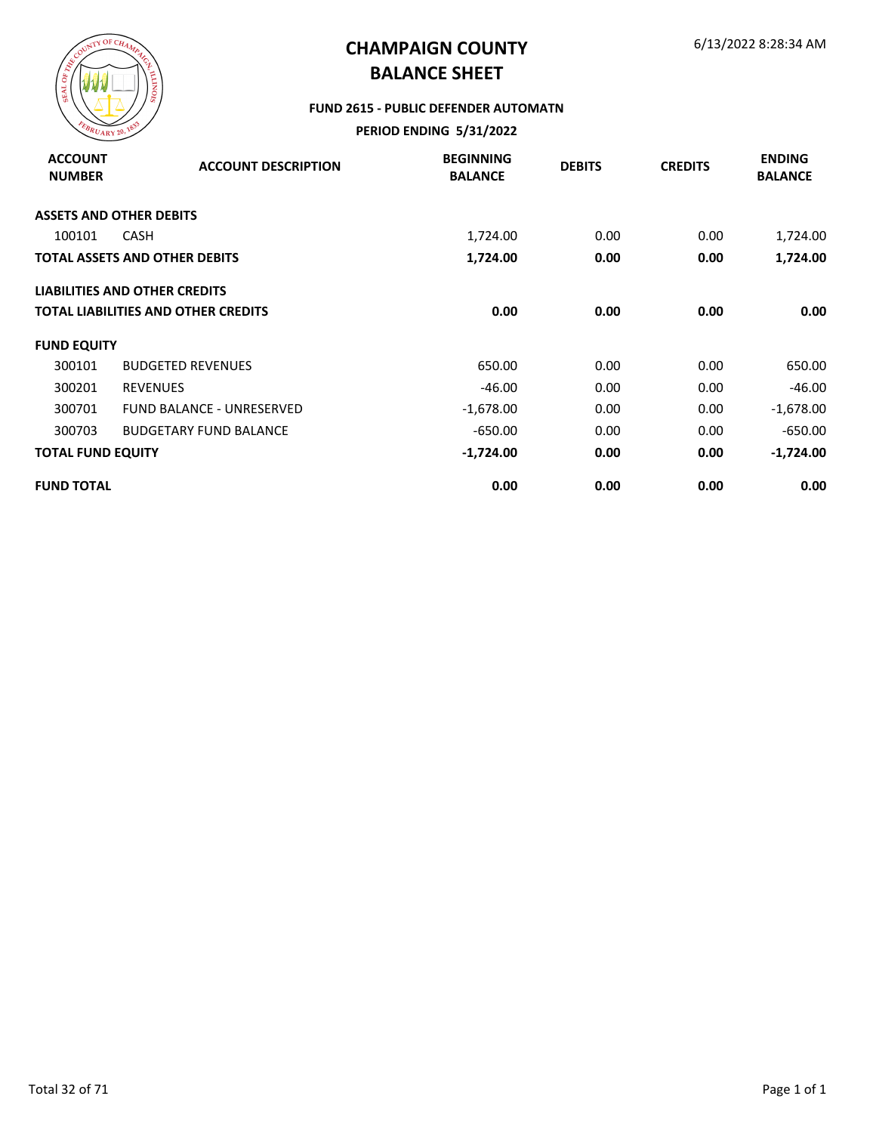

#### **FUND 2615 - PUBLIC DEFENDER AUTOMATN**

| <b>ACCOUNT</b><br><b>NUMBER</b> | <b>ACCOUNT DESCRIPTION</b>                 | <b>BEGINNING</b><br><b>BALANCE</b> | <b>DEBITS</b> | <b>CREDITS</b> | <b>ENDING</b><br><b>BALANCE</b> |
|---------------------------------|--------------------------------------------|------------------------------------|---------------|----------------|---------------------------------|
|                                 | <b>ASSETS AND OTHER DEBITS</b>             |                                    |               |                |                                 |
| 100101                          | <b>CASH</b>                                | 1,724.00                           | 0.00          | 0.00           | 1,724.00                        |
|                                 | <b>TOTAL ASSETS AND OTHER DEBITS</b>       | 1,724.00                           | 0.00          | 0.00           | 1,724.00                        |
|                                 | <b>LIABILITIES AND OTHER CREDITS</b>       |                                    |               |                |                                 |
|                                 | <b>TOTAL LIABILITIES AND OTHER CREDITS</b> | 0.00                               | 0.00          | 0.00           | 0.00                            |
| <b>FUND EQUITY</b>              |                                            |                                    |               |                |                                 |
| 300101                          | <b>BUDGETED REVENUES</b>                   | 650.00                             | 0.00          | 0.00           | 650.00                          |
| 300201                          | <b>REVENUES</b>                            | $-46.00$                           | 0.00          | 0.00           | $-46.00$                        |
| 300701                          | <b>FUND BALANCE - UNRESERVED</b>           | $-1,678.00$                        | 0.00          | 0.00           | $-1,678.00$                     |
| 300703                          | <b>BUDGETARY FUND BALANCE</b>              | $-650.00$                          | 0.00          | 0.00           | $-650.00$                       |
| <b>TOTAL FUND EQUITY</b>        |                                            | $-1,724.00$                        | 0.00          | 0.00           | $-1,724.00$                     |
| <b>FUND TOTAL</b>               |                                            | 0.00                               | 0.00          | 0.00           | 0.00                            |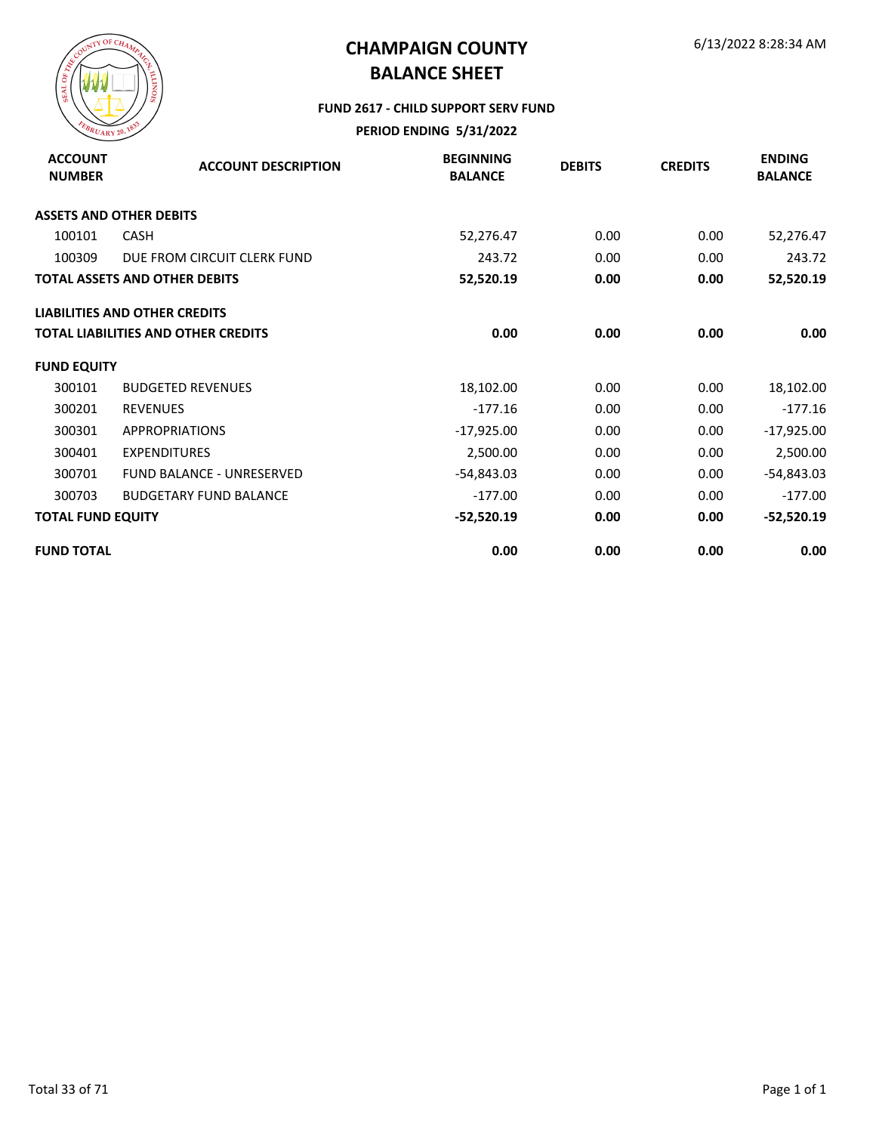

#### **FUND 2617 - CHILD SUPPORT SERV FUND**

| <b>ACCOUNT</b><br><b>NUMBER</b> | <b>ACCOUNT DESCRIPTION</b>           | <b>BEGINNING</b><br><b>BALANCE</b> | <b>DEBITS</b> | <b>CREDITS</b> | <b>ENDING</b><br><b>BALANCE</b> |
|---------------------------------|--------------------------------------|------------------------------------|---------------|----------------|---------------------------------|
|                                 | <b>ASSETS AND OTHER DEBITS</b>       |                                    |               |                |                                 |
| 100101                          | <b>CASH</b>                          | 52,276.47                          | 0.00          | 0.00           | 52,276.47                       |
| 100309                          | DUE FROM CIRCUIT CLERK FUND          | 243.72                             | 0.00          | 0.00           | 243.72                          |
|                                 | <b>TOTAL ASSETS AND OTHER DEBITS</b> | 52,520.19                          | 0.00          | 0.00           | 52,520.19                       |
|                                 | <b>LIABILITIES AND OTHER CREDITS</b> |                                    |               |                |                                 |
|                                 | TOTAL LIABILITIES AND OTHER CREDITS  | 0.00                               | 0.00          | 0.00           | 0.00                            |
| <b>FUND EQUITY</b>              |                                      |                                    |               |                |                                 |
| 300101                          | <b>BUDGETED REVENUES</b>             | 18,102.00                          | 0.00          | 0.00           | 18,102.00                       |
| 300201                          | <b>REVENUES</b>                      | $-177.16$                          | 0.00          | 0.00           | $-177.16$                       |
| 300301                          | <b>APPROPRIATIONS</b>                | $-17,925.00$                       | 0.00          | 0.00           | $-17,925.00$                    |
| 300401                          | <b>EXPENDITURES</b>                  | 2,500.00                           | 0.00          | 0.00           | 2,500.00                        |
| 300701                          | <b>FUND BALANCE - UNRESERVED</b>     | $-54,843.03$                       | 0.00          | 0.00           | -54,843.03                      |
| 300703                          | <b>BUDGETARY FUND BALANCE</b>        | $-177.00$                          | 0.00          | 0.00           | $-177.00$                       |
| <b>TOTAL FUND EQUITY</b>        |                                      | $-52,520.19$                       | 0.00          | 0.00           | $-52,520.19$                    |
| <b>FUND TOTAL</b>               |                                      | 0.00                               | 0.00          | 0.00           | 0.00                            |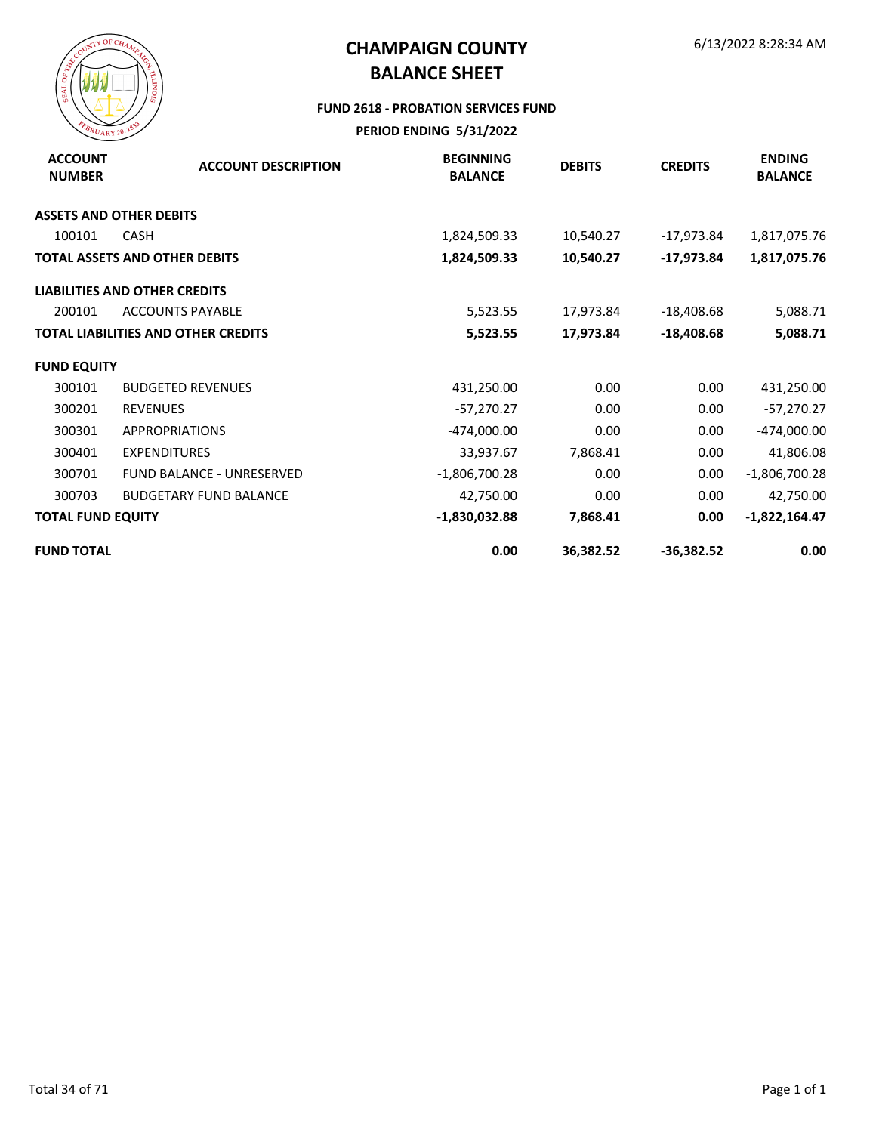

#### **FUND 2618 - PROBATION SERVICES FUND**

| <b>ACCOUNT</b><br><b>NUMBER</b> | <b>ACCOUNT DESCRIPTION</b>                 | <b>BEGINNING</b><br><b>BALANCE</b> | <b>DEBITS</b> | <b>CREDITS</b> | <b>ENDING</b><br><b>BALANCE</b> |
|---------------------------------|--------------------------------------------|------------------------------------|---------------|----------------|---------------------------------|
| <b>ASSETS AND OTHER DEBITS</b>  |                                            |                                    |               |                |                                 |
| 100101                          | <b>CASH</b>                                | 1,824,509.33                       | 10,540.27     | $-17,973.84$   | 1,817,075.76                    |
|                                 | <b>TOTAL ASSETS AND OTHER DEBITS</b>       | 1,824,509.33                       | 10,540.27     | -17,973.84     | 1,817,075.76                    |
|                                 | <b>LIABILITIES AND OTHER CREDITS</b>       |                                    |               |                |                                 |
| 200101                          | <b>ACCOUNTS PAYABLE</b>                    | 5,523.55                           | 17,973.84     | $-18,408.68$   | 5,088.71                        |
|                                 | <b>TOTAL LIABILITIES AND OTHER CREDITS</b> | 5,523.55                           | 17,973.84     | $-18,408.68$   | 5,088.71                        |
| <b>FUND EQUITY</b>              |                                            |                                    |               |                |                                 |
| 300101                          | <b>BUDGETED REVENUES</b>                   | 431,250.00                         | 0.00          | 0.00           | 431,250.00                      |
| 300201                          | <b>REVENUES</b>                            | $-57,270.27$                       | 0.00          | 0.00           | $-57,270.27$                    |
| 300301                          | <b>APPROPRIATIONS</b>                      | -474,000.00                        | 0.00          | 0.00           | -474,000.00                     |
| 300401                          | <b>EXPENDITURES</b>                        | 33,937.67                          | 7,868.41      | 0.00           | 41,806.08                       |
| 300701                          | <b>FUND BALANCE - UNRESERVED</b>           | -1,806,700.28                      | 0.00          | 0.00           | $-1,806,700.28$                 |
| 300703                          | <b>BUDGETARY FUND BALANCE</b>              | 42,750.00                          | 0.00          | 0.00           | 42,750.00                       |
| <b>TOTAL FUND EQUITY</b>        |                                            | $-1,830,032.88$                    | 7,868.41      | 0.00           | $-1,822,164.47$                 |
| <b>FUND TOTAL</b>               |                                            | 0.00                               | 36,382.52     | $-36,382.52$   | 0.00                            |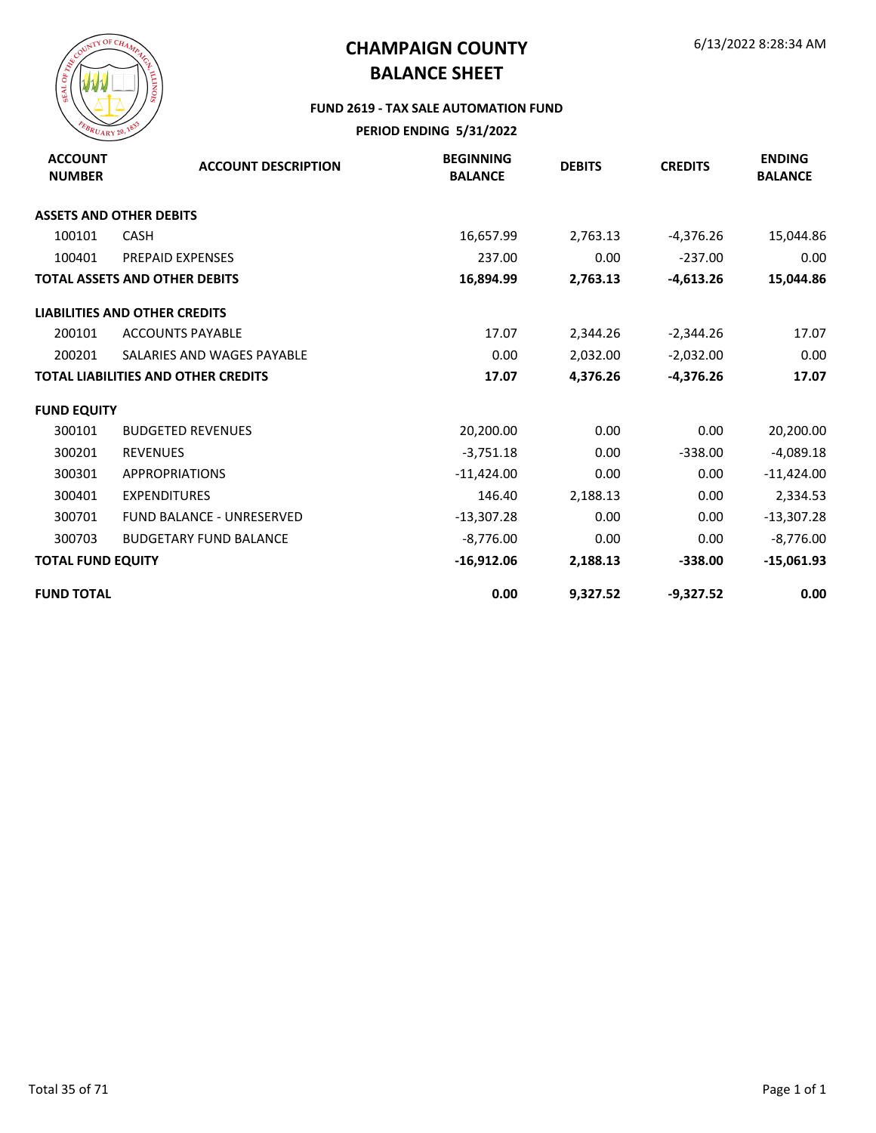

#### **FUND 2619 - TAX SALE AUTOMATION FUND**

| <b>ACCOUNT</b><br><b>NUMBER</b> | <b>ACCOUNT DESCRIPTION</b>                 | <b>BEGINNING</b><br><b>BALANCE</b> | <b>DEBITS</b> | <b>CREDITS</b> | <b>ENDING</b><br><b>BALANCE</b> |
|---------------------------------|--------------------------------------------|------------------------------------|---------------|----------------|---------------------------------|
|                                 | <b>ASSETS AND OTHER DEBITS</b>             |                                    |               |                |                                 |
| 100101                          | <b>CASH</b>                                | 16,657.99                          | 2,763.13      | $-4,376.26$    | 15,044.86                       |
| 100401                          | <b>PREPAID EXPENSES</b>                    | 237.00                             | 0.00          | $-237.00$      | 0.00                            |
|                                 | <b>TOTAL ASSETS AND OTHER DEBITS</b>       | 16,894.99                          | 2,763.13      | $-4,613.26$    | 15,044.86                       |
|                                 | <b>LIABILITIES AND OTHER CREDITS</b>       |                                    |               |                |                                 |
| 200101                          | <b>ACCOUNTS PAYABLE</b>                    | 17.07                              | 2,344.26      | $-2,344.26$    | 17.07                           |
| 200201                          | SALARIES AND WAGES PAYABLE                 | 0.00                               | 2,032.00      | $-2,032.00$    | 0.00                            |
|                                 | <b>TOTAL LIABILITIES AND OTHER CREDITS</b> | 17.07                              | 4,376.26      | $-4,376.26$    | 17.07                           |
| <b>FUND EQUITY</b>              |                                            |                                    |               |                |                                 |
| 300101                          | <b>BUDGETED REVENUES</b>                   | 20,200.00                          | 0.00          | 0.00           | 20,200.00                       |
| 300201                          | <b>REVENUES</b>                            | $-3,751.18$                        | 0.00          | $-338.00$      | $-4,089.18$                     |
| 300301                          | <b>APPROPRIATIONS</b>                      | $-11,424.00$                       | 0.00          | 0.00           | $-11,424.00$                    |
| 300401                          | <b>EXPENDITURES</b>                        | 146.40                             | 2,188.13      | 0.00           | 2,334.53                        |
| 300701                          | <b>FUND BALANCE - UNRESERVED</b>           | $-13,307.28$                       | 0.00          | 0.00           | $-13,307.28$                    |
| 300703                          | <b>BUDGETARY FUND BALANCE</b>              | $-8,776.00$                        | 0.00          | 0.00           | $-8,776.00$                     |
| <b>TOTAL FUND EQUITY</b>        |                                            | $-16,912.06$                       | 2,188.13      | $-338.00$      | $-15,061.93$                    |
| <b>FUND TOTAL</b>               |                                            | 0.00                               | 9,327.52      | $-9,327.52$    | 0.00                            |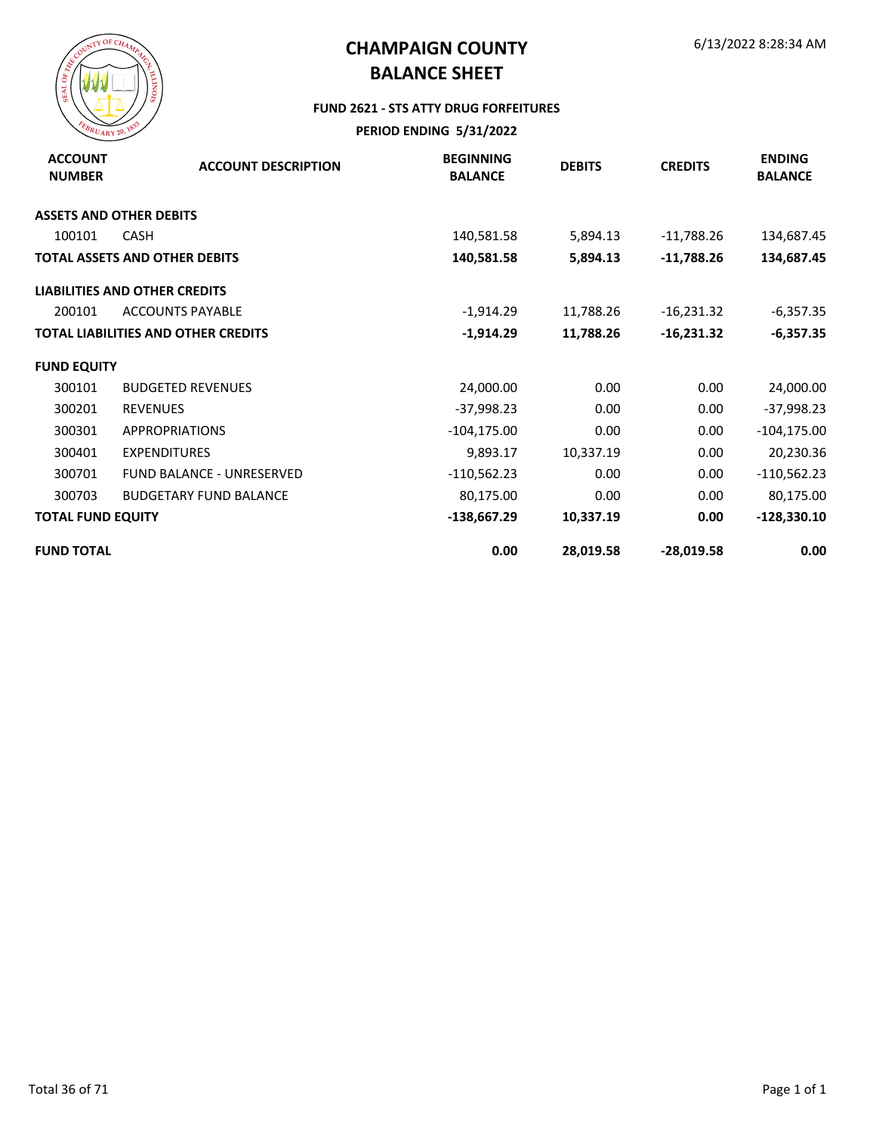

#### **FUND 2621 - STS ATTY DRUG FORFEITURES**

| <b>ACCOUNT</b><br><b>NUMBER</b> | <b>ACCOUNT DESCRIPTION</b>                 | <b>BEGINNING</b><br><b>BALANCE</b> | <b>DEBITS</b> | <b>CREDITS</b> | <b>ENDING</b><br><b>BALANCE</b> |
|---------------------------------|--------------------------------------------|------------------------------------|---------------|----------------|---------------------------------|
|                                 | <b>ASSETS AND OTHER DEBITS</b>             |                                    |               |                |                                 |
| 100101                          | <b>CASH</b>                                | 140,581.58                         | 5,894.13      | $-11,788.26$   | 134,687.45                      |
|                                 | <b>TOTAL ASSETS AND OTHER DEBITS</b>       | 140,581.58                         | 5,894.13      | $-11,788.26$   | 134,687.45                      |
|                                 | <b>LIABILITIES AND OTHER CREDITS</b>       |                                    |               |                |                                 |
| 200101                          | <b>ACCOUNTS PAYABLE</b>                    | $-1,914.29$                        | 11,788.26     | $-16,231.32$   | $-6,357.35$                     |
|                                 | <b>TOTAL LIABILITIES AND OTHER CREDITS</b> | $-1,914.29$                        | 11,788.26     | $-16,231.32$   | -6,357.35                       |
| <b>FUND EQUITY</b>              |                                            |                                    |               |                |                                 |
| 300101                          | <b>BUDGETED REVENUES</b>                   | 24,000.00                          | 0.00          | 0.00           | 24,000.00                       |
| 300201                          | <b>REVENUES</b>                            | $-37,998.23$                       | 0.00          | 0.00           | -37,998.23                      |
| 300301                          | <b>APPROPRIATIONS</b>                      | $-104, 175.00$                     | 0.00          | 0.00           | $-104, 175.00$                  |
| 300401                          | <b>EXPENDITURES</b>                        | 9,893.17                           | 10,337.19     | 0.00           | 20,230.36                       |
| 300701                          | <b>FUND BALANCE - UNRESERVED</b>           | $-110,562.23$                      | 0.00          | 0.00           | $-110,562.23$                   |
| 300703                          | <b>BUDGETARY FUND BALANCE</b>              | 80,175.00                          | 0.00          | 0.00           | 80,175.00                       |
| <b>TOTAL FUND EQUITY</b>        |                                            | $-138,667.29$                      | 10,337.19     | 0.00           | $-128,330.10$                   |
| <b>FUND TOTAL</b>               |                                            | 0.00                               | 28,019.58     | $-28,019.58$   | 0.00                            |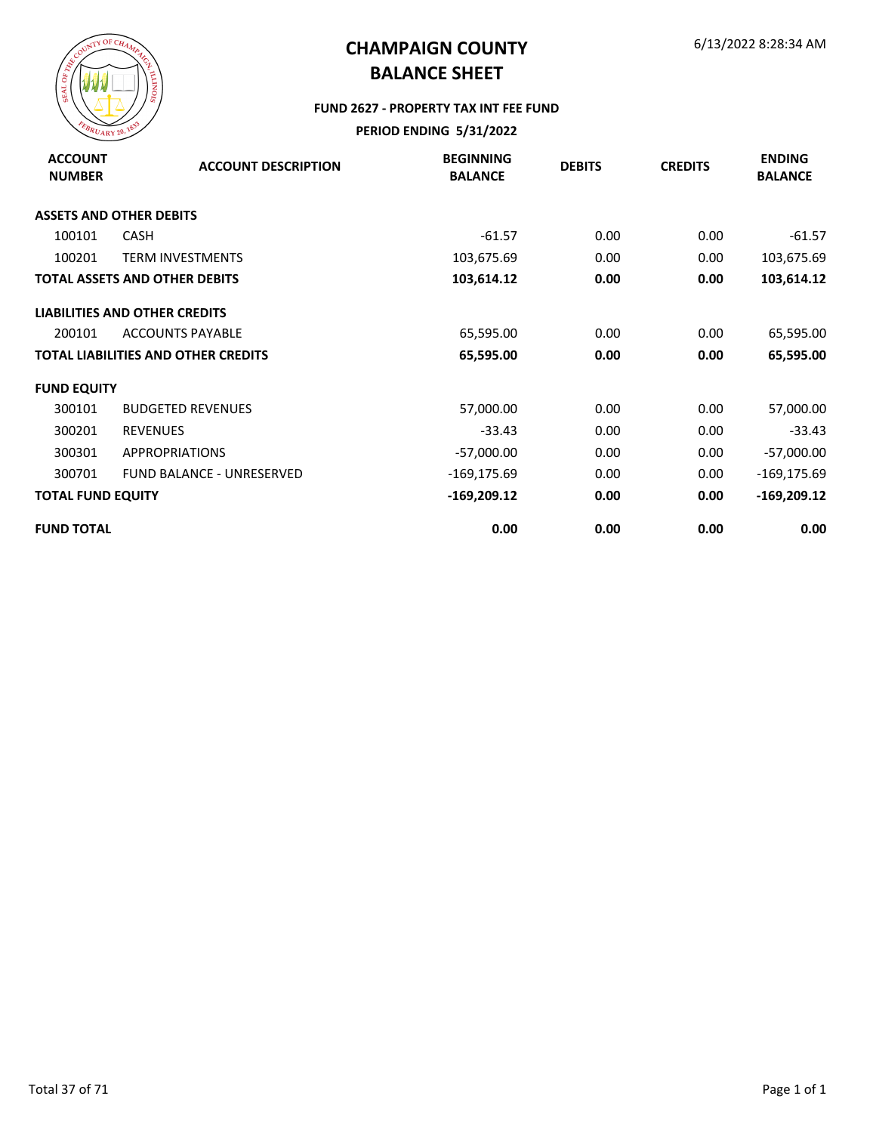

#### **FUND 2627 - PROPERTY TAX INT FEE FUND**

| <b>ACCOUNT</b><br><b>NUMBER</b> | <b>ACCOUNT DESCRIPTION</b>                 | <b>BEGINNING</b><br><b>BALANCE</b> | <b>DEBITS</b> | <b>CREDITS</b> | <b>ENDING</b><br><b>BALANCE</b> |
|---------------------------------|--------------------------------------------|------------------------------------|---------------|----------------|---------------------------------|
|                                 | <b>ASSETS AND OTHER DEBITS</b>             |                                    |               |                |                                 |
| 100101                          | <b>CASH</b>                                | $-61.57$                           | 0.00          | 0.00           | $-61.57$                        |
| 100201                          | <b>TERM INVESTMENTS</b>                    | 103,675.69                         | 0.00          | 0.00           | 103,675.69                      |
|                                 | <b>TOTAL ASSETS AND OTHER DEBITS</b>       | 103,614.12                         | 0.00          | 0.00           | 103,614.12                      |
|                                 | <b>LIABILITIES AND OTHER CREDITS</b>       |                                    |               |                |                                 |
| 200101                          | <b>ACCOUNTS PAYABLE</b>                    | 65,595.00                          | 0.00          | 0.00           | 65,595.00                       |
|                                 | <b>TOTAL LIABILITIES AND OTHER CREDITS</b> | 65,595.00                          | 0.00          | 0.00           | 65,595.00                       |
| <b>FUND EQUITY</b>              |                                            |                                    |               |                |                                 |
| 300101                          | <b>BUDGETED REVENUES</b>                   | 57,000.00                          | 0.00          | 0.00           | 57,000.00                       |
| 300201                          | <b>REVENUES</b>                            | $-33.43$                           | 0.00          | 0.00           | $-33.43$                        |
| 300301                          | <b>APPROPRIATIONS</b>                      | $-57,000.00$                       | 0.00          | 0.00           | $-57,000.00$                    |
| 300701                          | <b>FUND BALANCE - UNRESERVED</b>           | -169,175.69                        | 0.00          | 0.00           | $-169, 175.69$                  |
| <b>TOTAL FUND EQUITY</b>        |                                            | $-169,209.12$                      | 0.00          | 0.00           | $-169,209.12$                   |
| <b>FUND TOTAL</b>               |                                            | 0.00                               | 0.00          | 0.00           | 0.00                            |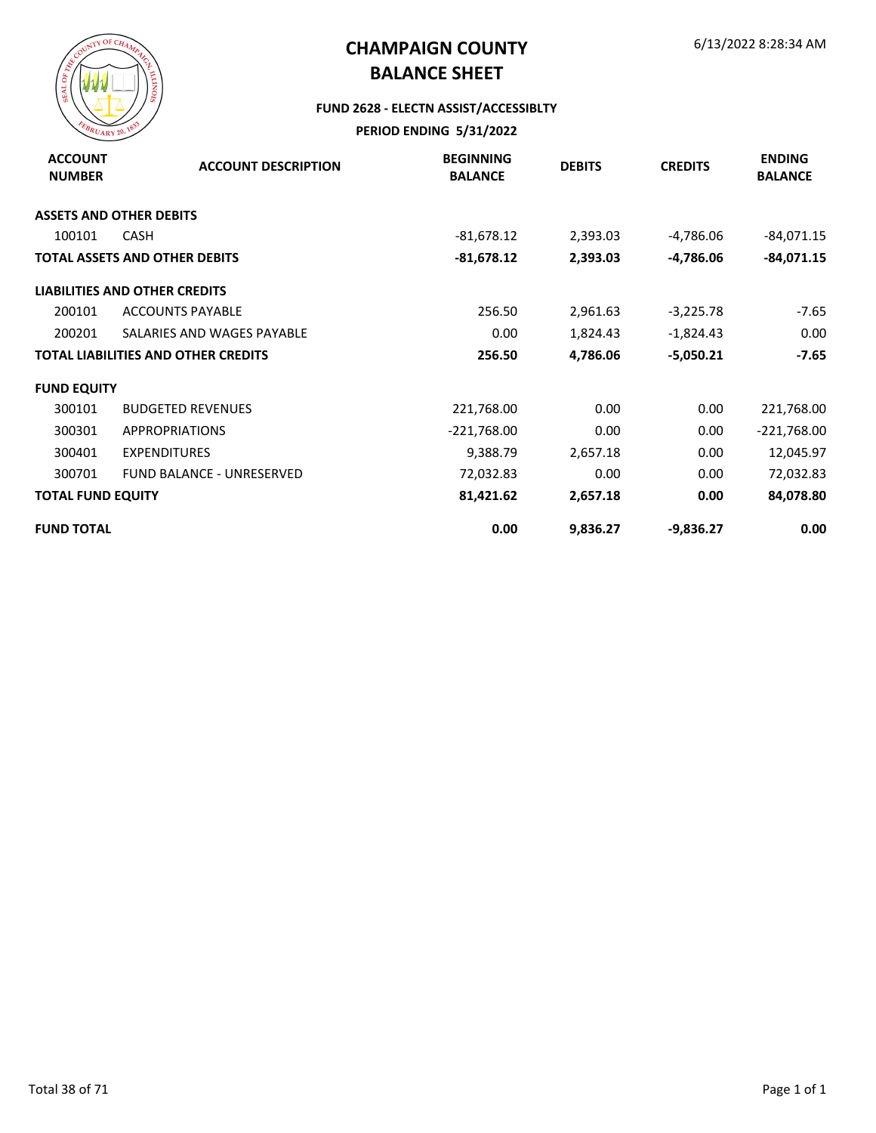

### **FUND 2628 - ELECTN ASSIST/ACCESSIBLTY**

| <b>ACCOUNT</b><br><b>NUMBER</b> | <b>ACCOUNT DESCRIPTION</b>                 | <b>BEGINNING</b><br><b>BALANCE</b> | <b>DEBITS</b> | <b>CREDITS</b> | <b>ENDING</b><br><b>BALANCE</b> |
|---------------------------------|--------------------------------------------|------------------------------------|---------------|----------------|---------------------------------|
|                                 | <b>ASSETS AND OTHER DEBITS</b>             |                                    |               |                |                                 |
| 100101                          | <b>CASH</b>                                | $-81,678.12$                       | 2,393.03      | -4,786.06      | $-84,071.15$                    |
|                                 | <b>TOTAL ASSETS AND OTHER DEBITS</b>       | $-81,678.12$                       | 2,393.03      | $-4,786.06$    | $-84,071.15$                    |
|                                 | <b>LIABILITIES AND OTHER CREDITS</b>       |                                    |               |                |                                 |
| 200101                          | <b>ACCOUNTS PAYABLE</b>                    | 256.50                             | 2,961.63      | $-3,225.78$    | -7.65                           |
| 200201                          | SALARIES AND WAGES PAYABLE                 | 0.00                               | 1,824.43      | $-1,824.43$    | 0.00                            |
|                                 | <b>TOTAL LIABILITIES AND OTHER CREDITS</b> | 256.50                             | 4,786.06      | $-5,050.21$    | $-7.65$                         |
| <b>FUND EQUITY</b>              |                                            |                                    |               |                |                                 |
| 300101                          | <b>BUDGETED REVENUES</b>                   | 221,768.00                         | 0.00          | 0.00           | 221,768.00                      |
| 300301                          | <b>APPROPRIATIONS</b>                      | $-221,768.00$                      | 0.00          | 0.00           | $-221,768.00$                   |
| 300401                          | <b>EXPENDITURES</b>                        | 9,388.79                           | 2,657.18      | 0.00           | 12,045.97                       |
| 300701                          | <b>FUND BALANCE - UNRESERVED</b>           | 72,032.83                          | 0.00          | 0.00           | 72,032.83                       |
| <b>TOTAL FUND EQUITY</b>        |                                            | 81,421.62                          | 2,657.18      | 0.00           | 84,078.80                       |
| <b>FUND TOTAL</b>               |                                            | 0.00                               | 9,836.27      | $-9,836.27$    | 0.00                            |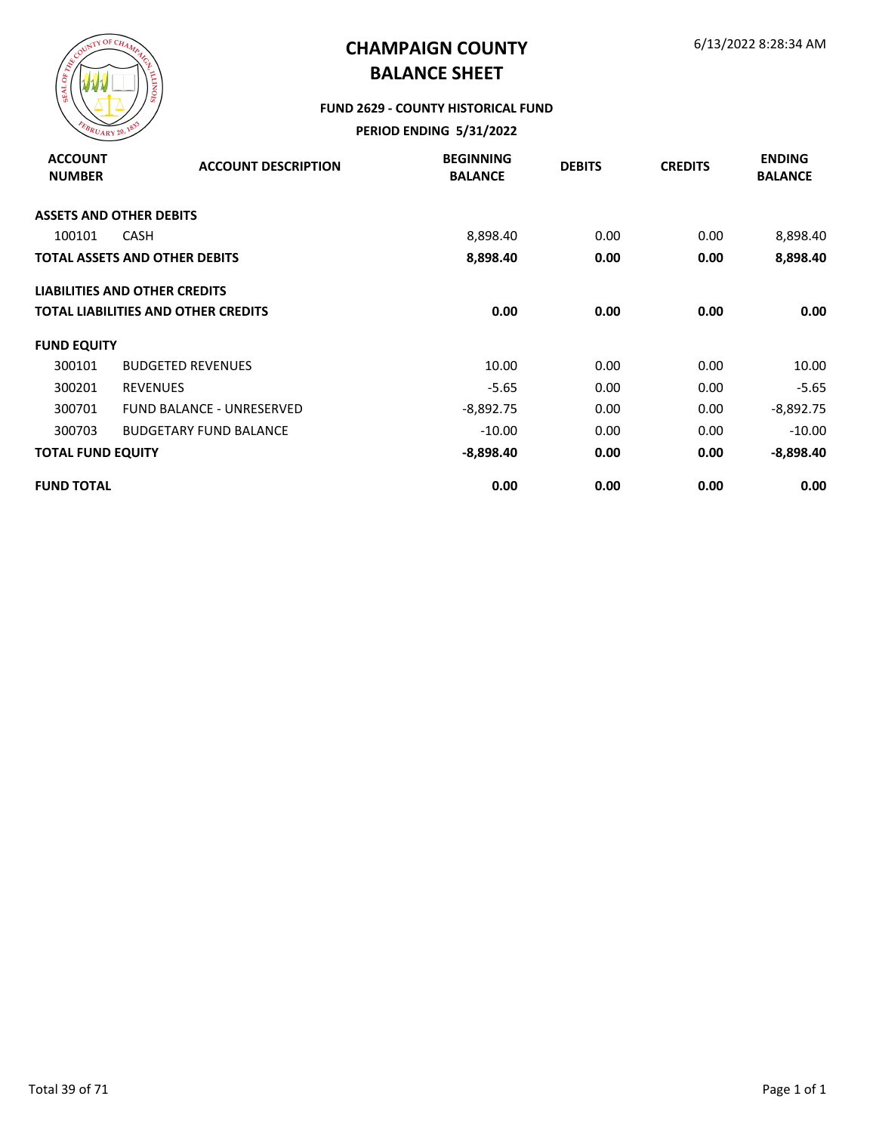

#### **FUND 2629 - COUNTY HISTORICAL FUND**

| <b>ACCOUNT</b><br><b>NUMBER</b> | <b>ACCOUNT DESCRIPTION</b>           | <b>BEGINNING</b><br><b>BALANCE</b> | <b>DEBITS</b> | <b>CREDITS</b> | <b>ENDING</b><br><b>BALANCE</b> |
|---------------------------------|--------------------------------------|------------------------------------|---------------|----------------|---------------------------------|
|                                 | <b>ASSETS AND OTHER DEBITS</b>       |                                    |               |                |                                 |
| 100101                          | <b>CASH</b>                          | 8,898.40                           | 0.00          | 0.00           | 8,898.40                        |
|                                 | <b>TOTAL ASSETS AND OTHER DEBITS</b> | 8,898.40                           | 0.00          | 0.00           | 8,898.40                        |
|                                 | <b>LIABILITIES AND OTHER CREDITS</b> |                                    |               |                |                                 |
|                                 | TOTAL LIABILITIES AND OTHER CREDITS  | 0.00                               | 0.00          | 0.00           | 0.00                            |
| <b>FUND EQUITY</b>              |                                      |                                    |               |                |                                 |
| 300101                          | <b>BUDGETED REVENUES</b>             | 10.00                              | 0.00          | 0.00           | 10.00                           |
| 300201                          | <b>REVENUES</b>                      | $-5.65$                            | 0.00          | 0.00           | $-5.65$                         |
| 300701                          | <b>FUND BALANCE - UNRESERVED</b>     | $-8,892.75$                        | 0.00          | 0.00           | $-8,892.75$                     |
| 300703                          | <b>BUDGETARY FUND BALANCE</b>        | $-10.00$                           | 0.00          | 0.00           | $-10.00$                        |
| <b>TOTAL FUND EQUITY</b>        |                                      | $-8,898.40$                        | 0.00          | 0.00           | -8,898.40                       |
| <b>FUND TOTAL</b>               |                                      | 0.00                               | 0.00          | 0.00           | 0.00                            |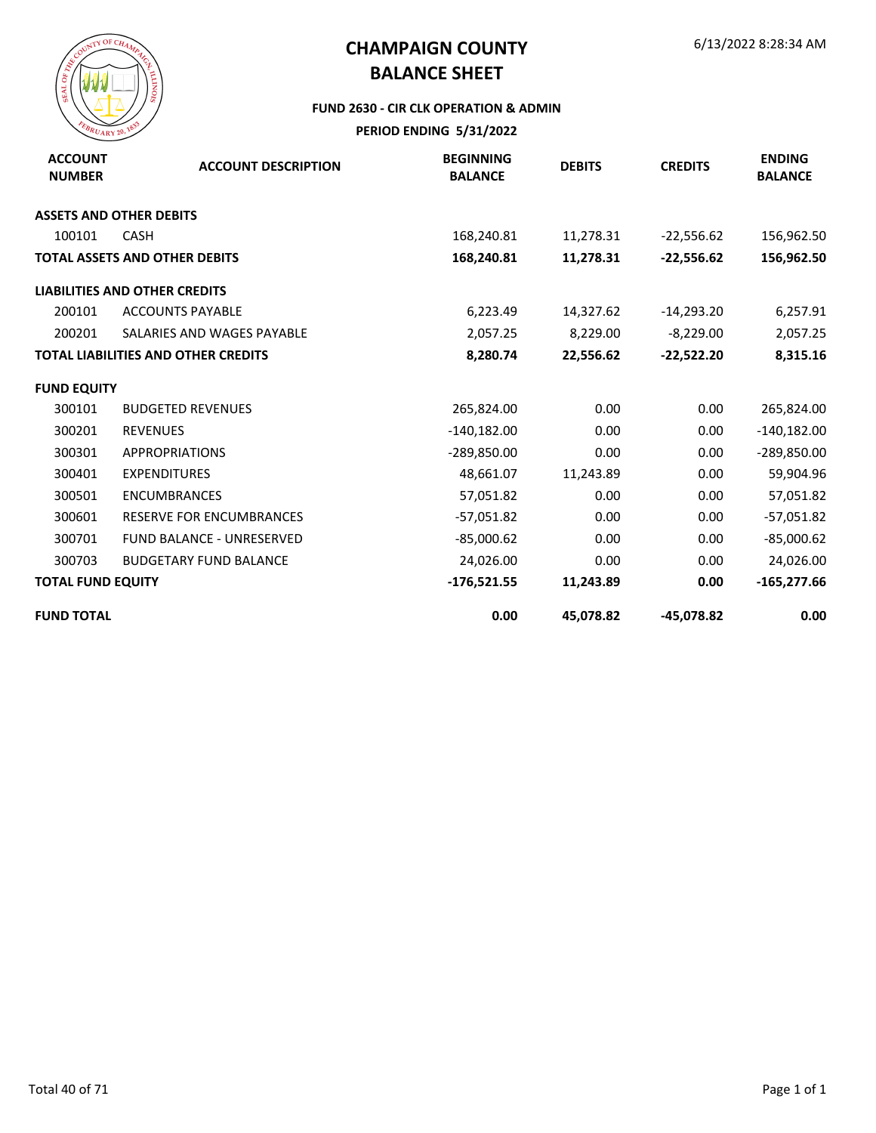

#### **FUND 2630 - CIR CLK OPERATION & ADMIN**

| <b>ACCOUNT</b><br><b>NUMBER</b> | <b>ACCOUNT DESCRIPTION</b>                 | <b>BEGINNING</b><br><b>BALANCE</b> | <b>DEBITS</b> | <b>CREDITS</b> | <b>ENDING</b><br><b>BALANCE</b> |
|---------------------------------|--------------------------------------------|------------------------------------|---------------|----------------|---------------------------------|
|                                 | <b>ASSETS AND OTHER DEBITS</b>             |                                    |               |                |                                 |
| 100101                          | <b>CASH</b>                                | 168,240.81                         | 11,278.31     | $-22,556.62$   | 156,962.50                      |
|                                 | <b>TOTAL ASSETS AND OTHER DEBITS</b>       | 168,240.81                         | 11,278.31     | $-22,556.62$   | 156,962.50                      |
|                                 | <b>LIABILITIES AND OTHER CREDITS</b>       |                                    |               |                |                                 |
| 200101                          | <b>ACCOUNTS PAYABLE</b>                    | 6,223.49                           | 14,327.62     | $-14,293.20$   | 6,257.91                        |
| 200201                          | SALARIES AND WAGES PAYABLE                 | 2,057.25                           | 8,229.00      | $-8,229.00$    | 2,057.25                        |
|                                 | <b>TOTAL LIABILITIES AND OTHER CREDITS</b> | 8,280.74                           | 22,556.62     | $-22,522.20$   | 8,315.16                        |
| <b>FUND EQUITY</b>              |                                            |                                    |               |                |                                 |
| 300101                          | <b>BUDGETED REVENUES</b>                   | 265,824.00                         | 0.00          | 0.00           | 265,824.00                      |
| 300201                          | <b>REVENUES</b>                            | $-140,182.00$                      | 0.00          | 0.00           | $-140,182.00$                   |
| 300301                          | <b>APPROPRIATIONS</b>                      | $-289,850.00$                      | 0.00          | 0.00           | $-289,850.00$                   |
| 300401                          | <b>EXPENDITURES</b>                        | 48,661.07                          | 11,243.89     | 0.00           | 59,904.96                       |
| 300501                          | <b>ENCUMBRANCES</b>                        | 57,051.82                          | 0.00          | 0.00           | 57,051.82                       |
| 300601                          | RESERVE FOR ENCUMBRANCES                   | $-57,051.82$                       | 0.00          | 0.00           | $-57,051.82$                    |
| 300701                          | <b>FUND BALANCE - UNRESERVED</b>           | $-85,000.62$                       | 0.00          | 0.00           | $-85,000.62$                    |
| 300703                          | <b>BUDGETARY FUND BALANCE</b>              | 24,026.00                          | 0.00          | 0.00           | 24,026.00                       |
| <b>TOTAL FUND EQUITY</b>        |                                            | $-176,521.55$                      | 11,243.89     | 0.00           | $-165,277.66$                   |
| <b>FUND TOTAL</b>               |                                            | 0.00                               | 45,078.82     | -45,078.82     | 0.00                            |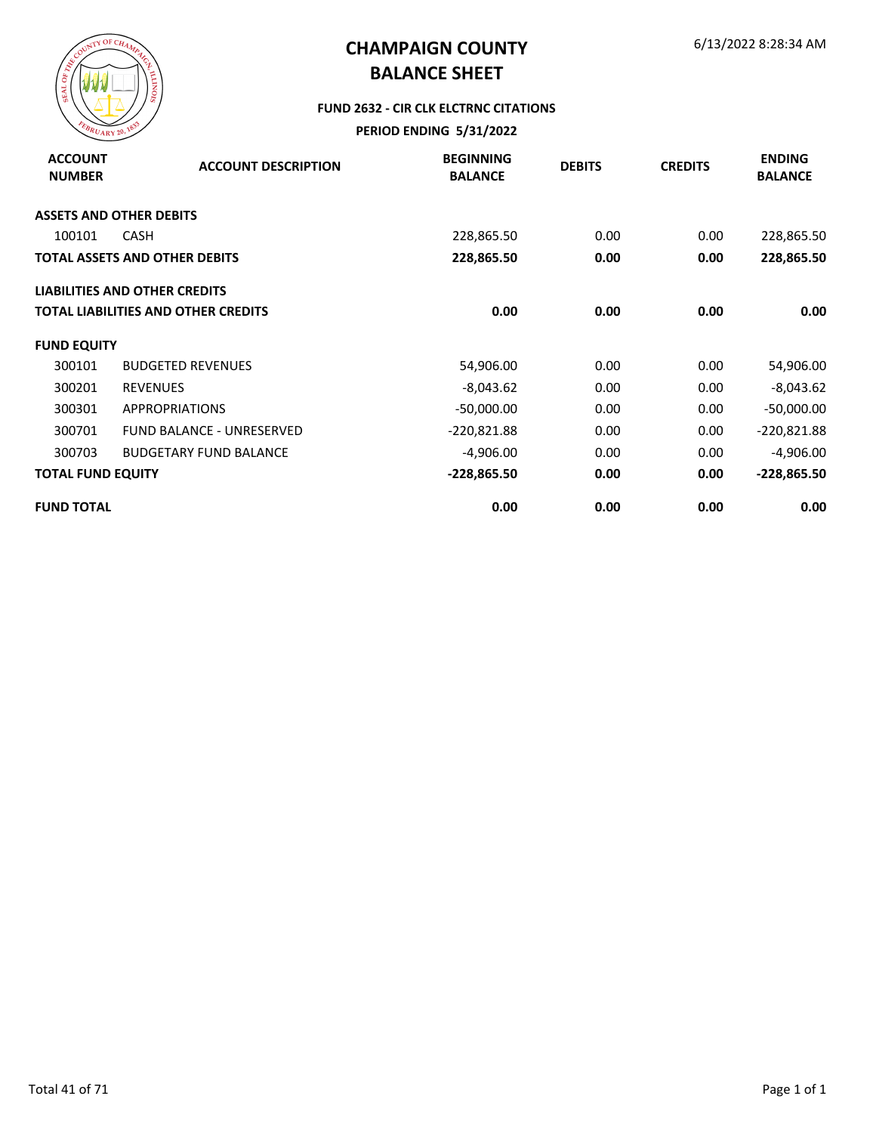

#### **FUND 2632 - CIR CLK ELCTRNC CITATIONS**

| <b>ACCOUNT</b><br><b>NUMBER</b> | <b>ACCOUNT DESCRIPTION</b>                 | <b>BEGINNING</b><br><b>BALANCE</b> | <b>DEBITS</b> | <b>CREDITS</b> | <b>ENDING</b><br><b>BALANCE</b> |
|---------------------------------|--------------------------------------------|------------------------------------|---------------|----------------|---------------------------------|
|                                 | <b>ASSETS AND OTHER DEBITS</b>             |                                    |               |                |                                 |
| 100101                          | <b>CASH</b>                                | 228,865.50                         | 0.00          | 0.00           | 228,865.50                      |
|                                 | <b>TOTAL ASSETS AND OTHER DEBITS</b>       | 228,865.50                         | 0.00          | 0.00           | 228,865.50                      |
|                                 | <b>LIABILITIES AND OTHER CREDITS</b>       |                                    |               |                |                                 |
|                                 | <b>TOTAL LIABILITIES AND OTHER CREDITS</b> | 0.00                               | 0.00          | 0.00           | 0.00                            |
| <b>FUND EQUITY</b>              |                                            |                                    |               |                |                                 |
| 300101                          | <b>BUDGETED REVENUES</b>                   | 54,906.00                          | 0.00          | 0.00           | 54,906.00                       |
| 300201                          | <b>REVENUES</b>                            | $-8,043.62$                        | 0.00          | 0.00           | $-8,043.62$                     |
| 300301                          | <b>APPROPRIATIONS</b>                      | $-50,000.00$                       | 0.00          | 0.00           | $-50,000.00$                    |
| 300701                          | FUND BALANCE - UNRESERVED                  | $-220,821.88$                      | 0.00          | 0.00           | $-220,821.88$                   |
| 300703                          | <b>BUDGETARY FUND BALANCE</b>              | $-4,906.00$                        | 0.00          | 0.00           | $-4,906.00$                     |
| <b>TOTAL FUND EQUITY</b>        |                                            | $-228,865.50$                      | 0.00          | 0.00           | $-228,865.50$                   |
| <b>FUND TOTAL</b>               |                                            | 0.00                               | 0.00          | 0.00           | 0.00                            |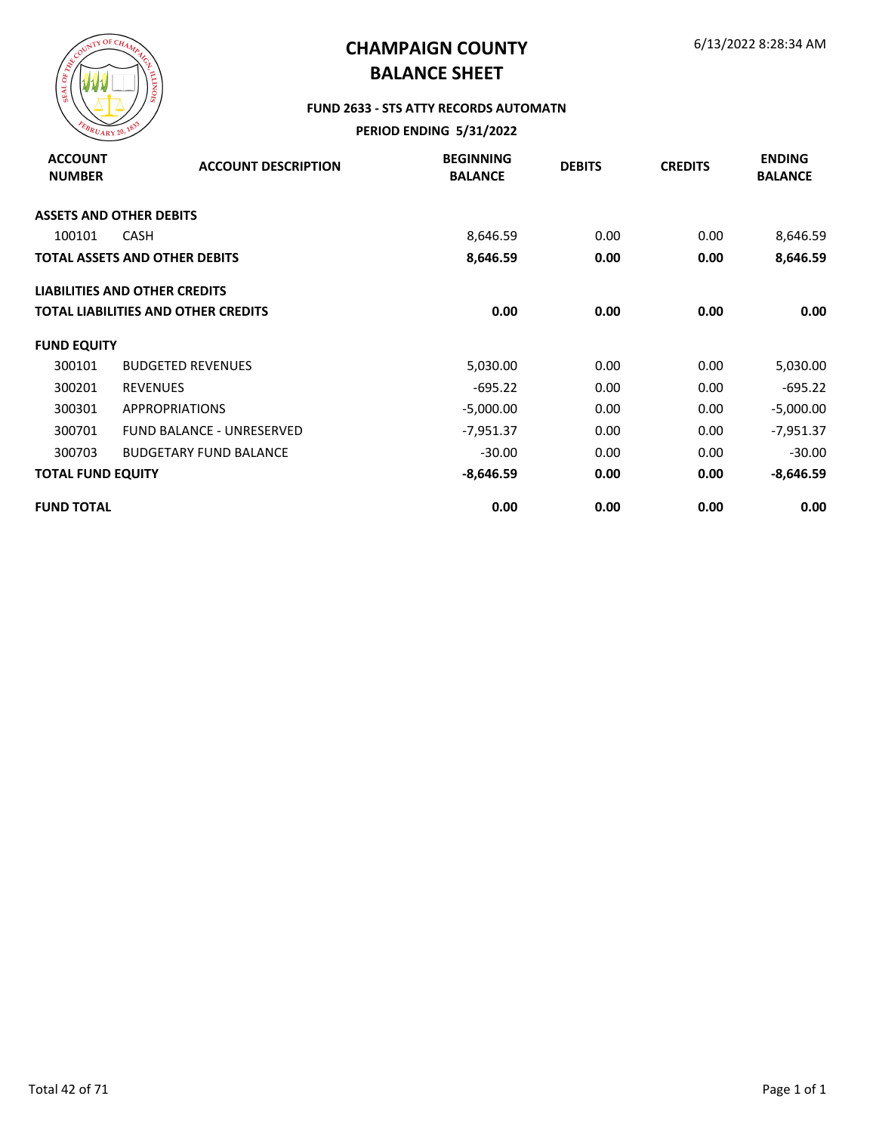

#### **FUND 2633 - STS ATTY RECORDS AUTOMATN**

| <b>ACCOUNT</b><br><b>NUMBER</b> | <b>ACCOUNT DESCRIPTION</b>                 | <b>BEGINNING</b><br><b>BALANCE</b> | <b>DEBITS</b> | <b>CREDITS</b> | <b>ENDING</b><br><b>BALANCE</b> |
|---------------------------------|--------------------------------------------|------------------------------------|---------------|----------------|---------------------------------|
|                                 | <b>ASSETS AND OTHER DEBITS</b>             |                                    |               |                |                                 |
| 100101                          | <b>CASH</b>                                | 8,646.59                           | 0.00          | 0.00           | 8,646.59                        |
|                                 | <b>TOTAL ASSETS AND OTHER DEBITS</b>       | 8,646.59                           | 0.00          | 0.00           | 8,646.59                        |
|                                 | <b>LIABILITIES AND OTHER CREDITS</b>       |                                    |               |                |                                 |
|                                 | <b>TOTAL LIABILITIES AND OTHER CREDITS</b> | 0.00                               | 0.00          | 0.00           | 0.00                            |
| <b>FUND EQUITY</b>              |                                            |                                    |               |                |                                 |
| 300101                          | <b>BUDGETED REVENUES</b>                   | 5,030.00                           | 0.00          | 0.00           | 5,030.00                        |
| 300201                          | <b>REVENUES</b>                            | $-695.22$                          | 0.00          | 0.00           | $-695.22$                       |
| 300301                          | <b>APPROPRIATIONS</b>                      | $-5,000.00$                        | 0.00          | 0.00           | $-5,000.00$                     |
| 300701                          | <b>FUND BALANCE - UNRESERVED</b>           | $-7,951.37$                        | 0.00          | 0.00           | $-7,951.37$                     |
| 300703                          | <b>BUDGETARY FUND BALANCE</b>              | $-30.00$                           | 0.00          | 0.00           | $-30.00$                        |
| <b>TOTAL FUND EQUITY</b>        |                                            | $-8,646.59$                        | 0.00          | 0.00           | $-8,646.59$                     |
| <b>FUND TOTAL</b>               |                                            | 0.00                               | 0.00          | 0.00           | 0.00                            |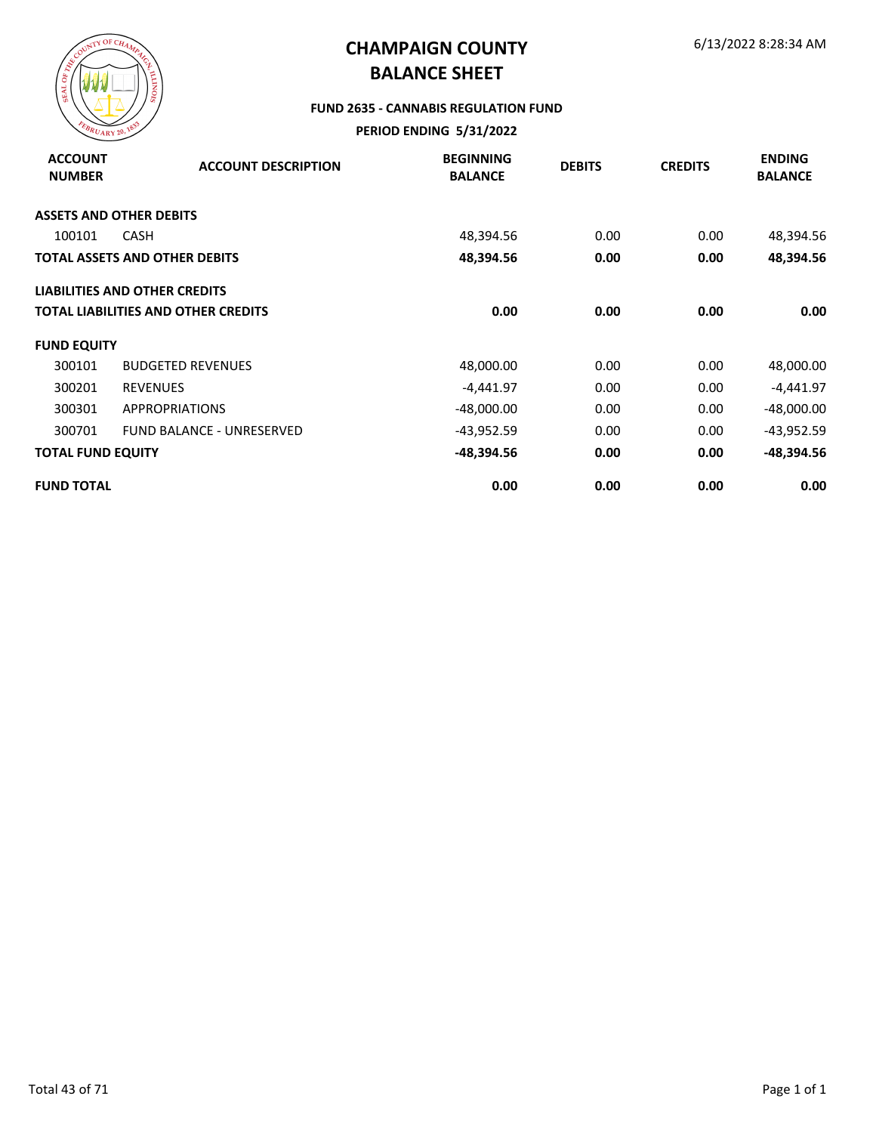

#### **FUND 2635 - CANNABIS REGULATION FUND**

| <b>ACCOUNT</b><br><b>NUMBER</b> | <b>ACCOUNT DESCRIPTION</b>           | <b>BEGINNING</b><br><b>BALANCE</b> | <b>DEBITS</b> | <b>CREDITS</b> | <b>ENDING</b><br><b>BALANCE</b> |
|---------------------------------|--------------------------------------|------------------------------------|---------------|----------------|---------------------------------|
|                                 | <b>ASSETS AND OTHER DEBITS</b>       |                                    |               |                |                                 |
| 100101                          | <b>CASH</b>                          | 48,394.56                          | 0.00          | 0.00           | 48,394.56                       |
|                                 | TOTAL ASSETS AND OTHER DEBITS        | 48,394.56                          | 0.00          | 0.00           | 48,394.56                       |
|                                 | <b>LIABILITIES AND OTHER CREDITS</b> |                                    |               |                |                                 |
|                                 | TOTAL LIABILITIES AND OTHER CREDITS  | 0.00                               | 0.00          | 0.00           | 0.00                            |
| <b>FUND EQUITY</b>              |                                      |                                    |               |                |                                 |
| 300101                          | <b>BUDGETED REVENUES</b>             | 48,000.00                          | 0.00          | 0.00           | 48,000.00                       |
| 300201                          | <b>REVENUES</b>                      | $-4,441.97$                        | 0.00          | 0.00           | -4,441.97                       |
| 300301                          | <b>APPROPRIATIONS</b>                | $-48,000.00$                       | 0.00          | 0.00           | -48,000.00                      |
| 300701                          | <b>FUND BALANCE - UNRESERVED</b>     | -43,952.59                         | 0.00          | 0.00           | $-43,952.59$                    |
| <b>TOTAL FUND EQUITY</b>        |                                      | -48,394.56                         | 0.00          | 0.00           | -48,394.56                      |
| <b>FUND TOTAL</b>               |                                      | 0.00                               | 0.00          | 0.00           | 0.00                            |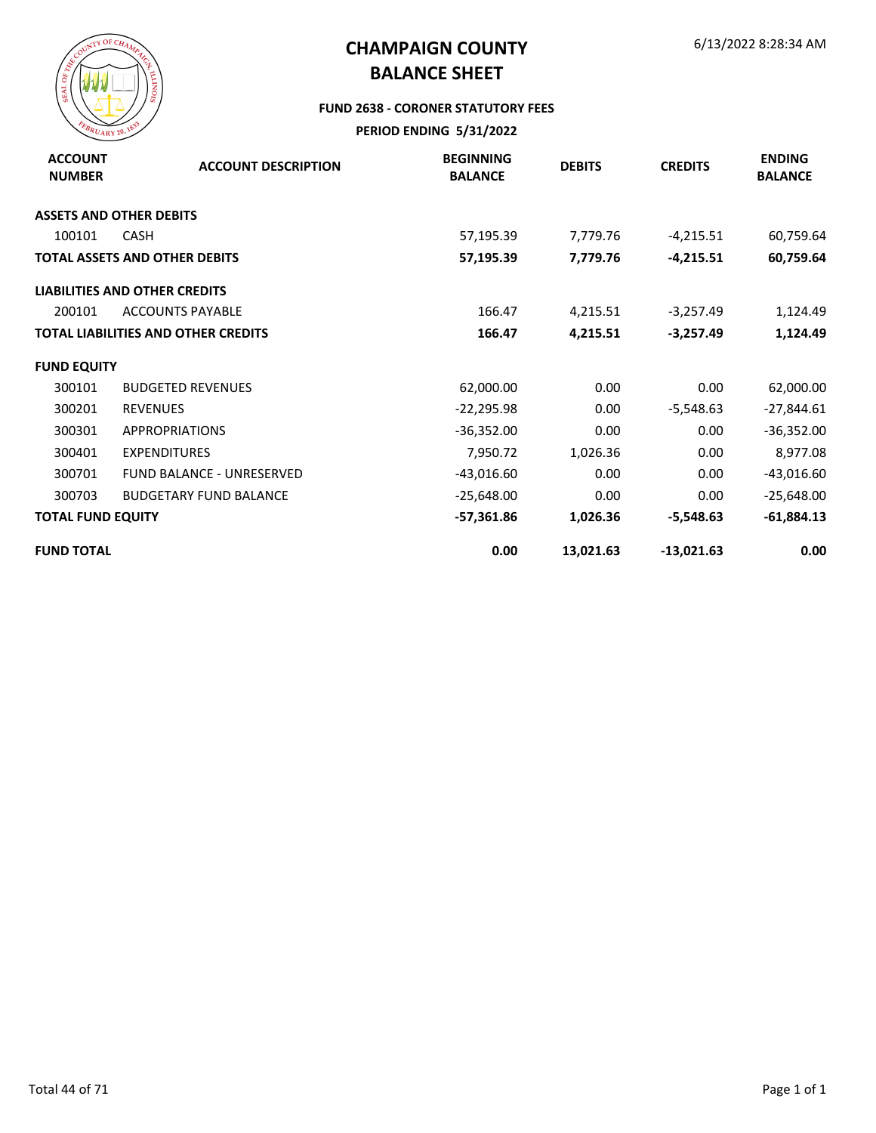

#### **FUND 2638 - CORONER STATUTORY FEES**

| <b>ACCOUNT</b><br><b>NUMBER</b> | <b>ACCOUNT DESCRIPTION</b>                 | <b>BEGINNING</b><br><b>BALANCE</b> | <b>DEBITS</b> | <b>CREDITS</b> | <b>ENDING</b><br><b>BALANCE</b> |
|---------------------------------|--------------------------------------------|------------------------------------|---------------|----------------|---------------------------------|
|                                 | <b>ASSETS AND OTHER DEBITS</b>             |                                    |               |                |                                 |
| 100101                          | <b>CASH</b>                                | 57,195.39                          | 7,779.76      | $-4,215.51$    | 60,759.64                       |
|                                 | <b>TOTAL ASSETS AND OTHER DEBITS</b>       | 57,195.39                          | 7,779.76      | $-4,215.51$    | 60,759.64                       |
|                                 | <b>LIABILITIES AND OTHER CREDITS</b>       |                                    |               |                |                                 |
| 200101                          | <b>ACCOUNTS PAYABLE</b>                    | 166.47                             | 4,215.51      | $-3,257.49$    | 1,124.49                        |
|                                 | <b>TOTAL LIABILITIES AND OTHER CREDITS</b> | 166.47                             | 4,215.51      | $-3,257.49$    | 1,124.49                        |
| <b>FUND EQUITY</b>              |                                            |                                    |               |                |                                 |
| 300101                          | <b>BUDGETED REVENUES</b>                   | 62,000.00                          | 0.00          | 0.00           | 62,000.00                       |
| 300201                          | <b>REVENUES</b>                            | $-22,295.98$                       | 0.00          | $-5,548.63$    | $-27,844.61$                    |
| 300301                          | <b>APPROPRIATIONS</b>                      | $-36,352.00$                       | 0.00          | 0.00           | $-36,352.00$                    |
| 300401                          | <b>EXPENDITURES</b>                        | 7,950.72                           | 1,026.36      | 0.00           | 8,977.08                        |
| 300701                          | <b>FUND BALANCE - UNRESERVED</b>           | $-43,016.60$                       | 0.00          | 0.00           | $-43,016.60$                    |
| 300703                          | <b>BUDGETARY FUND BALANCE</b>              | $-25,648.00$                       | 0.00          | 0.00           | $-25,648.00$                    |
| <b>TOTAL FUND EQUITY</b>        |                                            | $-57,361.86$                       | 1,026.36      | -5,548.63      | $-61,884.13$                    |
| <b>FUND TOTAL</b>               |                                            | 0.00                               | 13,021.63     | $-13,021.63$   | 0.00                            |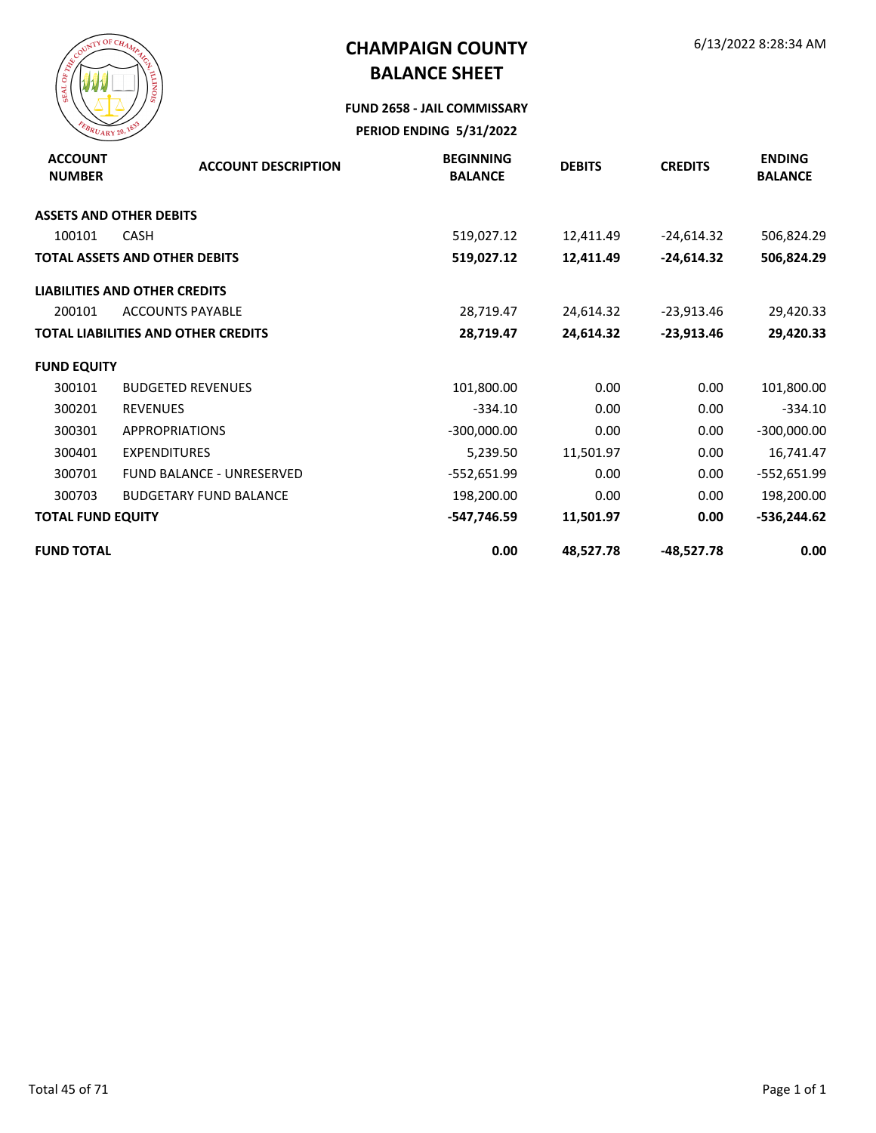

#### **FUND 2658 - JAIL COMMISSARY**

| <b>ACCOUNT</b><br><b>NUMBER</b> | <b>ACCOUNT DESCRIPTION</b>                 | <b>BEGINNING</b><br><b>BALANCE</b> | <b>DEBITS</b> | <b>CREDITS</b> | <b>ENDING</b><br><b>BALANCE</b> |
|---------------------------------|--------------------------------------------|------------------------------------|---------------|----------------|---------------------------------|
|                                 | <b>ASSETS AND OTHER DEBITS</b>             |                                    |               |                |                                 |
| 100101                          | <b>CASH</b>                                | 519,027.12                         | 12,411.49     | $-24,614.32$   | 506,824.29                      |
|                                 | <b>TOTAL ASSETS AND OTHER DEBITS</b>       | 519,027.12                         | 12,411.49     | $-24,614.32$   | 506,824.29                      |
|                                 | <b>LIABILITIES AND OTHER CREDITS</b>       |                                    |               |                |                                 |
| 200101                          | <b>ACCOUNTS PAYABLE</b>                    | 28,719.47                          | 24,614.32     | $-23,913.46$   | 29,420.33                       |
|                                 | <b>TOTAL LIABILITIES AND OTHER CREDITS</b> | 28,719.47                          | 24,614.32     | $-23,913.46$   | 29,420.33                       |
| <b>FUND EQUITY</b>              |                                            |                                    |               |                |                                 |
| 300101                          | <b>BUDGETED REVENUES</b>                   | 101,800.00                         | 0.00          | 0.00           | 101,800.00                      |
| 300201                          | <b>REVENUES</b>                            | $-334.10$                          | 0.00          | 0.00           | $-334.10$                       |
| 300301                          | <b>APPROPRIATIONS</b>                      | $-300,000.00$                      | 0.00          | 0.00           | $-300,000.00$                   |
| 300401                          | <b>EXPENDITURES</b>                        | 5,239.50                           | 11,501.97     | 0.00           | 16,741.47                       |
| 300701                          | <b>FUND BALANCE - UNRESERVED</b>           | -552,651.99                        | 0.00          | 0.00           | $-552,651.99$                   |
| 300703                          | <b>BUDGETARY FUND BALANCE</b>              | 198,200.00                         | 0.00          | 0.00           | 198,200.00                      |
| <b>TOTAL FUND EQUITY</b>        |                                            | -547,746.59                        | 11,501.97     | 0.00           | $-536,244.62$                   |
| <b>FUND TOTAL</b>               |                                            | 0.00                               | 48,527.78     | $-48,527.78$   | 0.00                            |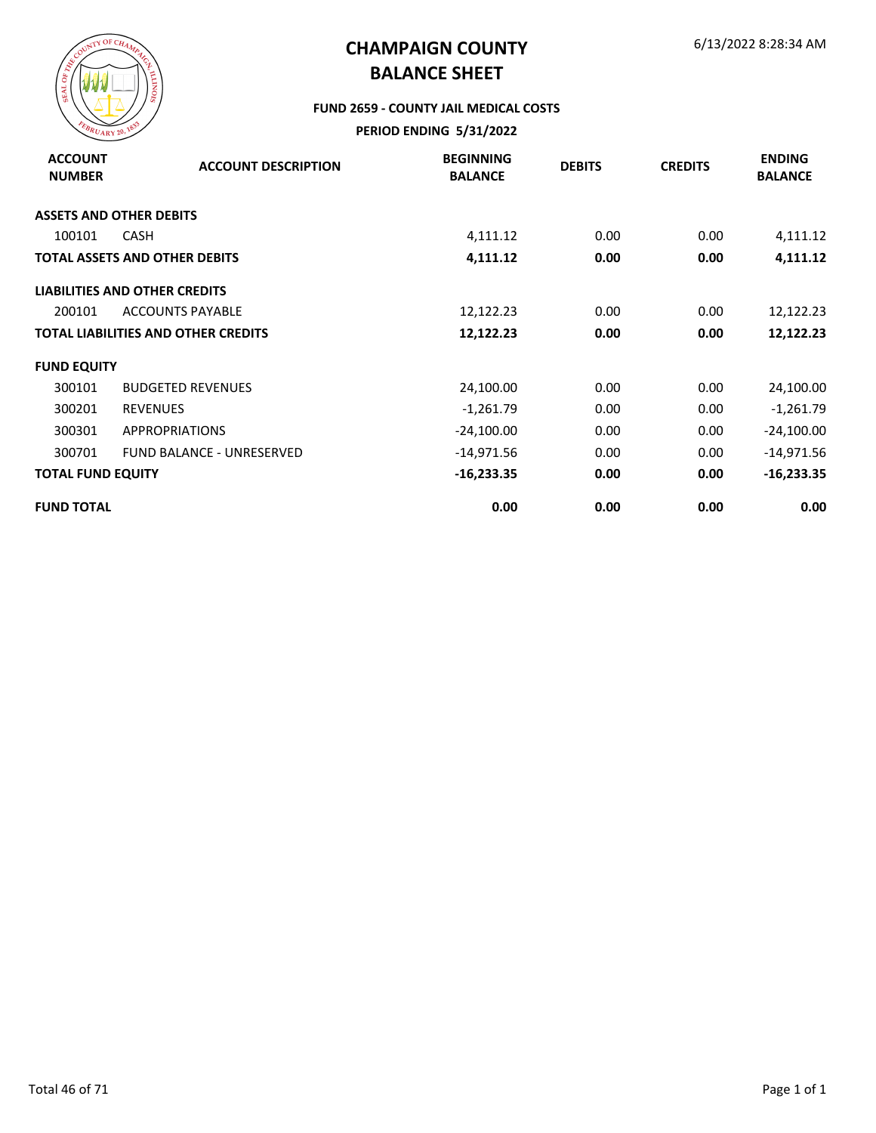

### **FUND 2659 - COUNTY JAIL MEDICAL COSTS**

| <b>ACCOUNT</b><br><b>NUMBER</b> | <b>ACCOUNT DESCRIPTION</b>                 | <b>BEGINNING</b><br><b>BALANCE</b> | <b>DEBITS</b> | <b>CREDITS</b> | <b>ENDING</b><br><b>BALANCE</b> |
|---------------------------------|--------------------------------------------|------------------------------------|---------------|----------------|---------------------------------|
|                                 | <b>ASSETS AND OTHER DEBITS</b>             |                                    |               |                |                                 |
| 100101                          | <b>CASH</b>                                | 4,111.12                           | 0.00          | 0.00           | 4,111.12                        |
|                                 | <b>TOTAL ASSETS AND OTHER DEBITS</b>       | 4,111.12                           | 0.00          | 0.00           | 4,111.12                        |
|                                 | <b>LIABILITIES AND OTHER CREDITS</b>       |                                    |               |                |                                 |
| 200101                          | <b>ACCOUNTS PAYABLE</b>                    | 12,122.23                          | 0.00          | 0.00           | 12,122.23                       |
|                                 | <b>TOTAL LIABILITIES AND OTHER CREDITS</b> | 12,122.23                          | 0.00          | 0.00           | 12,122.23                       |
| <b>FUND EQUITY</b>              |                                            |                                    |               |                |                                 |
| 300101                          | <b>BUDGETED REVENUES</b>                   | 24,100.00                          | 0.00          | 0.00           | 24,100.00                       |
| 300201                          | <b>REVENUES</b>                            | $-1,261.79$                        | 0.00          | 0.00           | $-1,261.79$                     |
| 300301                          | <b>APPROPRIATIONS</b>                      | $-24,100.00$                       | 0.00          | 0.00           | $-24,100.00$                    |
| 300701                          | <b>FUND BALANCE - UNRESERVED</b>           | $-14,971.56$                       | 0.00          | 0.00           | $-14,971.56$                    |
| <b>TOTAL FUND EQUITY</b>        |                                            | $-16,233.35$                       | 0.00          | 0.00           | $-16,233.35$                    |
| <b>FUND TOTAL</b>               |                                            | 0.00                               | 0.00          | 0.00           | 0.00                            |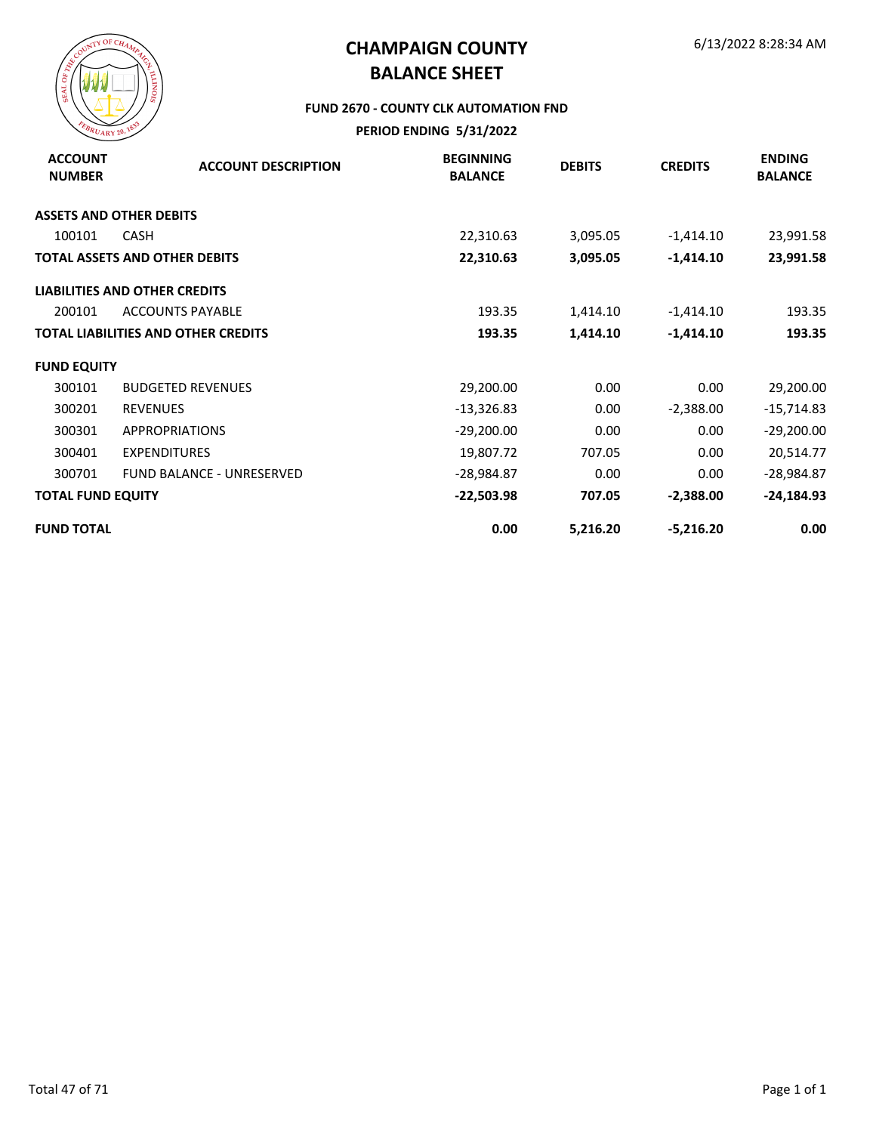

#### **FUND 2670 - COUNTY CLK AUTOMATION FND**

| <b>ACCOUNT</b><br><b>NUMBER</b> | <b>ACCOUNT DESCRIPTION</b>                 | <b>BEGINNING</b><br><b>BALANCE</b> | <b>DEBITS</b> | <b>CREDITS</b> | <b>ENDING</b><br><b>BALANCE</b> |
|---------------------------------|--------------------------------------------|------------------------------------|---------------|----------------|---------------------------------|
|                                 | <b>ASSETS AND OTHER DEBITS</b>             |                                    |               |                |                                 |
| 100101                          | <b>CASH</b>                                | 22,310.63                          | 3,095.05      | $-1,414.10$    | 23,991.58                       |
|                                 | <b>TOTAL ASSETS AND OTHER DEBITS</b>       | 22,310.63                          | 3,095.05      | $-1,414.10$    | 23,991.58                       |
|                                 | <b>LIABILITIES AND OTHER CREDITS</b>       |                                    |               |                |                                 |
| 200101                          | <b>ACCOUNTS PAYABLE</b>                    | 193.35                             | 1,414.10      | $-1,414.10$    | 193.35                          |
|                                 | <b>TOTAL LIABILITIES AND OTHER CREDITS</b> | 193.35                             | 1,414.10      | $-1,414.10$    | 193.35                          |
| <b>FUND EQUITY</b>              |                                            |                                    |               |                |                                 |
| 300101                          | <b>BUDGETED REVENUES</b>                   | 29,200.00                          | 0.00          | 0.00           | 29,200.00                       |
| 300201                          | <b>REVENUES</b>                            | $-13,326.83$                       | 0.00          | $-2,388.00$    | $-15,714.83$                    |
| 300301                          | <b>APPROPRIATIONS</b>                      | $-29,200.00$                       | 0.00          | 0.00           | $-29,200.00$                    |
| 300401                          | <b>EXPENDITURES</b>                        | 19,807.72                          | 707.05        | 0.00           | 20,514.77                       |
| 300701                          | <b>FUND BALANCE - UNRESERVED</b>           | $-28,984.87$                       | 0.00          | 0.00           | $-28,984.87$                    |
| <b>TOTAL FUND EQUITY</b>        |                                            | $-22,503.98$                       | 707.05        | $-2,388.00$    | $-24,184.93$                    |
| <b>FUND TOTAL</b>               |                                            | 0.00                               | 5,216.20      | $-5,216.20$    | 0.00                            |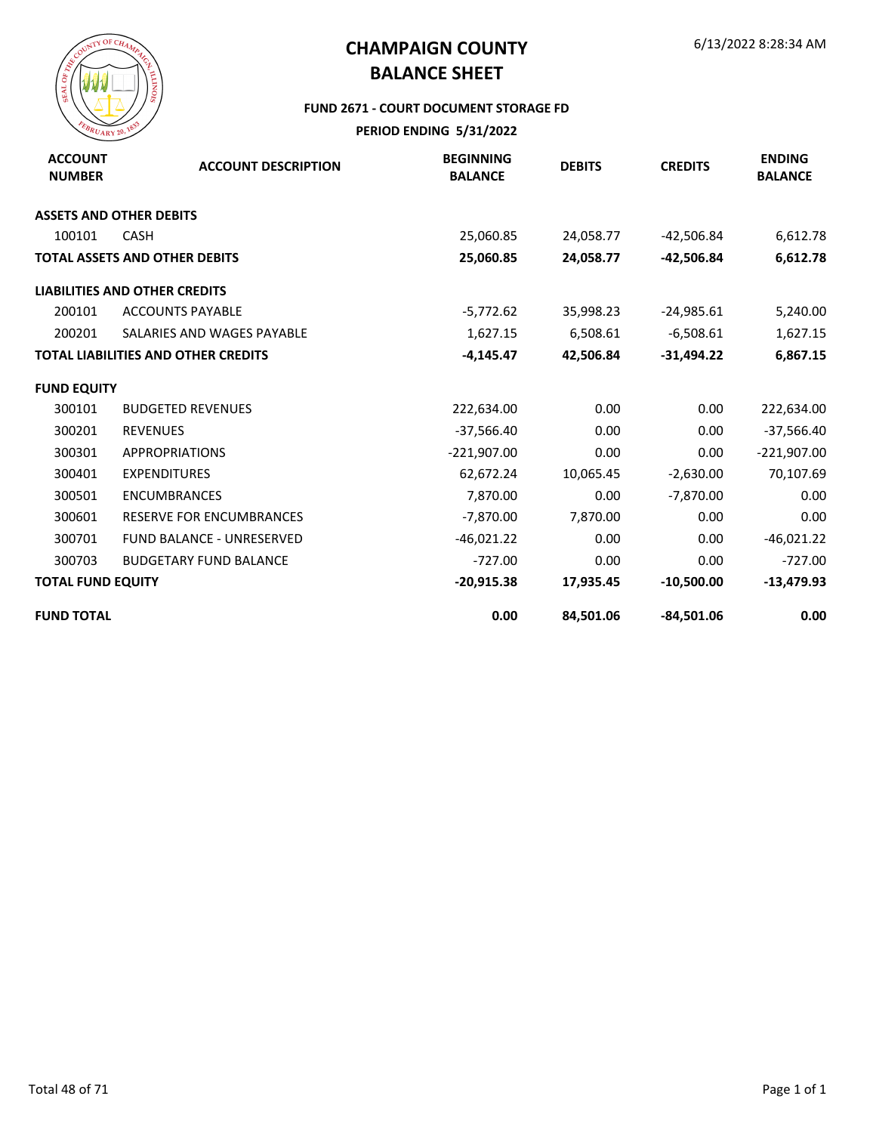

#### **FUND 2671 - COURT DOCUMENT STORAGE FD**

| <b>ACCOUNT</b><br><b>NUMBER</b> | <b>ACCOUNT DESCRIPTION</b>                 | <b>BEGINNING</b><br><b>BALANCE</b> | <b>DEBITS</b> | <b>CREDITS</b> | <b>ENDING</b><br><b>BALANCE</b> |
|---------------------------------|--------------------------------------------|------------------------------------|---------------|----------------|---------------------------------|
|                                 | <b>ASSETS AND OTHER DEBITS</b>             |                                    |               |                |                                 |
| 100101                          | <b>CASH</b>                                | 25,060.85                          | 24,058.77     | $-42,506.84$   | 6,612.78                        |
|                                 | <b>TOTAL ASSETS AND OTHER DEBITS</b>       | 25,060.85                          | 24,058.77     | $-42,506.84$   | 6,612.78                        |
|                                 | <b>LIABILITIES AND OTHER CREDITS</b>       |                                    |               |                |                                 |
| 200101                          | <b>ACCOUNTS PAYABLE</b>                    | $-5,772.62$                        | 35,998.23     | $-24,985.61$   | 5,240.00                        |
| 200201                          | SALARIES AND WAGES PAYABLE                 | 1,627.15                           | 6,508.61      | $-6,508.61$    | 1,627.15                        |
|                                 | <b>TOTAL LIABILITIES AND OTHER CREDITS</b> | $-4,145.47$                        | 42,506.84     | $-31,494.22$   | 6,867.15                        |
| <b>FUND EQUITY</b>              |                                            |                                    |               |                |                                 |
| 300101                          | <b>BUDGETED REVENUES</b>                   | 222,634.00                         | 0.00          | 0.00           | 222,634.00                      |
| 300201                          | <b>REVENUES</b>                            | $-37,566.40$                       | 0.00          | 0.00           | $-37,566.40$                    |
| 300301                          | <b>APPROPRIATIONS</b>                      | $-221,907.00$                      | 0.00          | 0.00           | $-221,907.00$                   |
| 300401                          | <b>EXPENDITURES</b>                        | 62,672.24                          | 10,065.45     | $-2,630.00$    | 70,107.69                       |
| 300501                          | <b>ENCUMBRANCES</b>                        | 7,870.00                           | 0.00          | $-7,870.00$    | 0.00                            |
| 300601                          | RESERVE FOR ENCUMBRANCES                   | $-7,870.00$                        | 7,870.00      | 0.00           | 0.00                            |
| 300701                          | FUND BALANCE - UNRESERVED                  | $-46,021.22$                       | 0.00          | 0.00           | $-46,021.22$                    |
| 300703                          | <b>BUDGETARY FUND BALANCE</b>              | $-727.00$                          | 0.00          | 0.00           | $-727.00$                       |
| <b>TOTAL FUND EQUITY</b>        |                                            | $-20,915.38$                       | 17,935.45     | $-10,500.00$   | $-13,479.93$                    |
| <b>FUND TOTAL</b>               |                                            | 0.00                               | 84,501.06     | $-84,501.06$   | 0.00                            |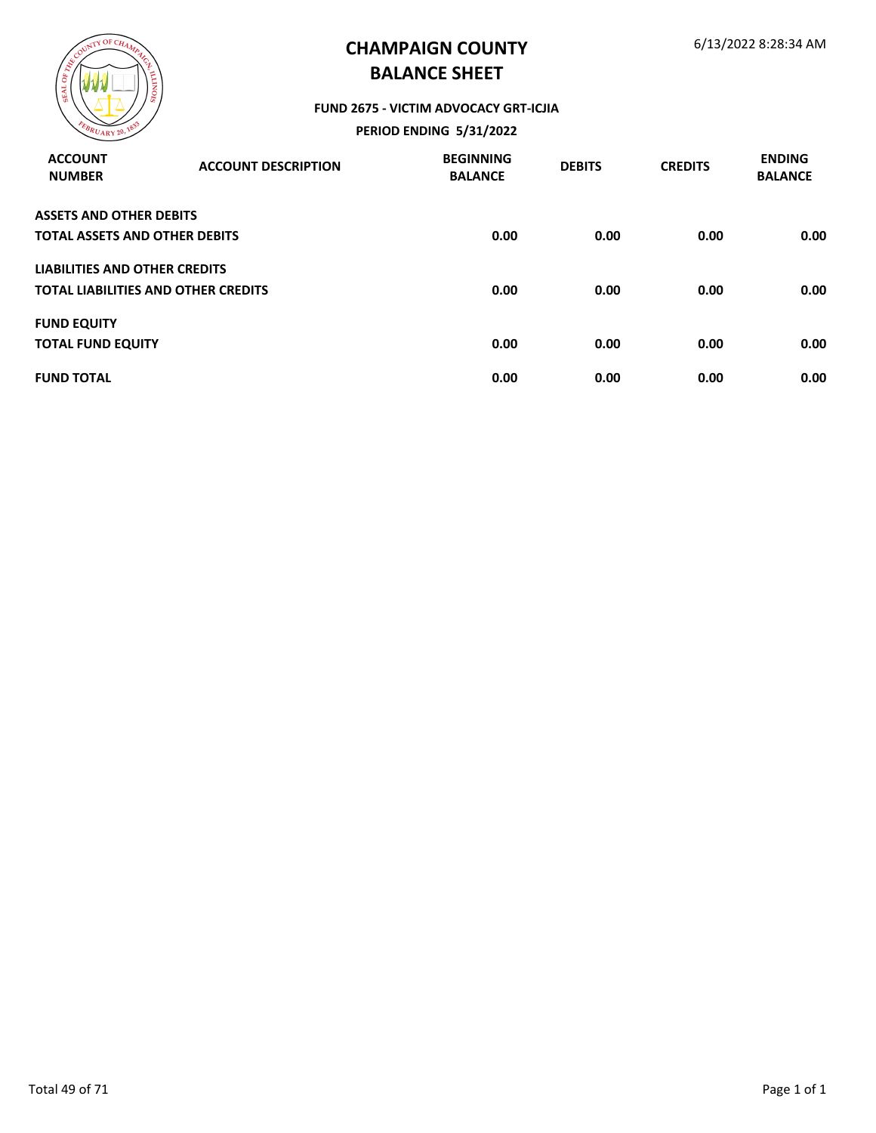

#### **FUND 2675 - VICTIM ADVOCACY GRT-ICJIA**

| <b>ACCOUNT</b><br><b>NUMBER</b>      | <b>ACCOUNT DESCRIPTION</b>                 | <b>BEGINNING</b><br><b>BALANCE</b> | <b>DEBITS</b> | <b>CREDITS</b> | <b>ENDING</b><br><b>BALANCE</b> |
|--------------------------------------|--------------------------------------------|------------------------------------|---------------|----------------|---------------------------------|
| <b>ASSETS AND OTHER DEBITS</b>       |                                            |                                    |               |                |                                 |
| <b>TOTAL ASSETS AND OTHER DEBITS</b> |                                            | 0.00                               | 0.00          | 0.00           | 0.00                            |
| LIABILITIES AND OTHER CREDITS        |                                            |                                    |               |                |                                 |
|                                      | <b>TOTAL LIABILITIES AND OTHER CREDITS</b> | 0.00                               | 0.00          | 0.00           | 0.00                            |
| <b>FUND EQUITY</b>                   |                                            |                                    |               |                |                                 |
| <b>TOTAL FUND EQUITY</b>             |                                            | 0.00                               | 0.00          | 0.00           | 0.00                            |
| <b>FUND TOTAL</b>                    |                                            | 0.00                               | 0.00          | 0.00           | 0.00                            |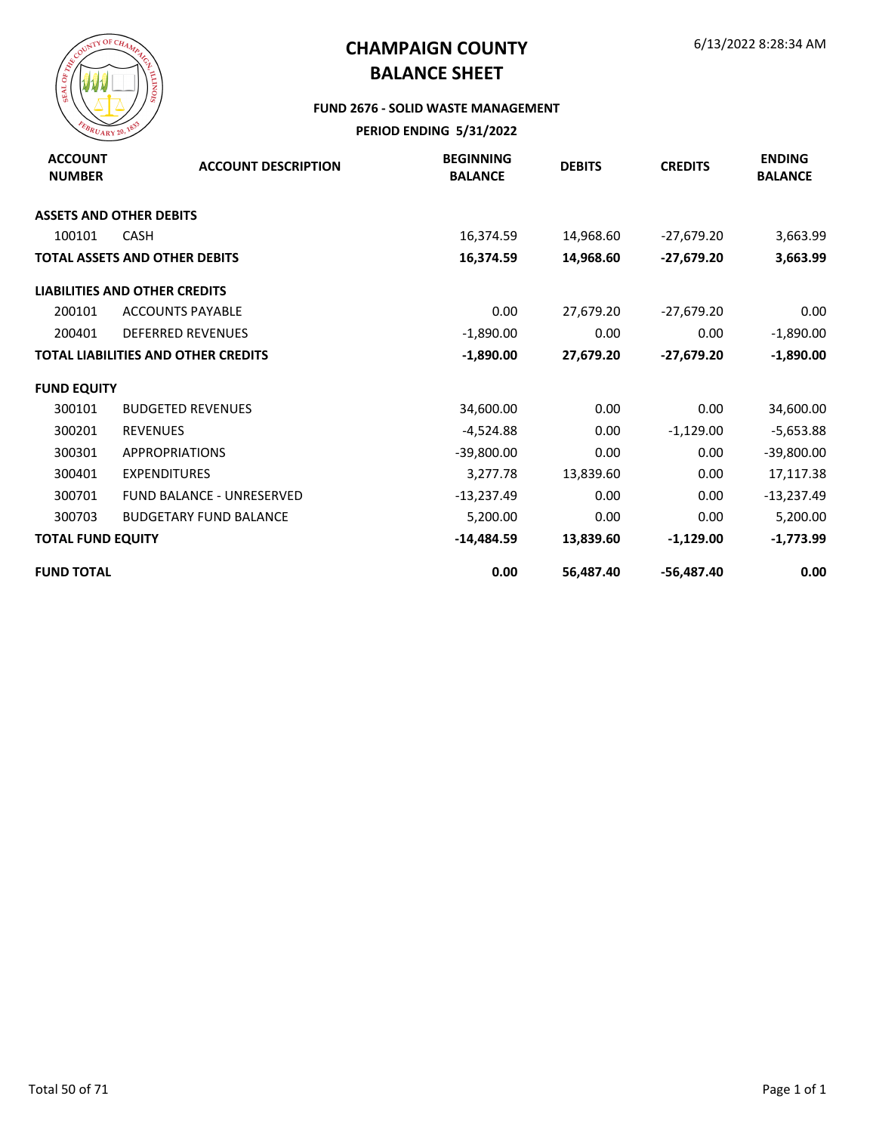

#### **FUND 2676 - SOLID WASTE MANAGEMENT**

| <b>ACCOUNT</b><br><b>NUMBER</b> | <b>ACCOUNT DESCRIPTION</b>                 | <b>BEGINNING</b><br><b>BALANCE</b> | <b>DEBITS</b> | <b>CREDITS</b> | <b>ENDING</b><br><b>BALANCE</b> |
|---------------------------------|--------------------------------------------|------------------------------------|---------------|----------------|---------------------------------|
|                                 | <b>ASSETS AND OTHER DEBITS</b>             |                                    |               |                |                                 |
| 100101                          | <b>CASH</b>                                | 16,374.59                          | 14,968.60     | $-27,679.20$   | 3,663.99                        |
|                                 | <b>TOTAL ASSETS AND OTHER DEBITS</b>       | 16,374.59                          | 14,968.60     | $-27,679.20$   | 3,663.99                        |
|                                 | <b>LIABILITIES AND OTHER CREDITS</b>       |                                    |               |                |                                 |
| 200101                          | <b>ACCOUNTS PAYABLE</b>                    | 0.00                               | 27,679.20     | $-27,679.20$   | 0.00                            |
| 200401                          | <b>DEFERRED REVENUES</b>                   | $-1,890.00$                        | 0.00          | 0.00           | $-1,890.00$                     |
|                                 | <b>TOTAL LIABILITIES AND OTHER CREDITS</b> | $-1,890.00$                        | 27,679.20     | $-27,679.20$   | $-1,890.00$                     |
| <b>FUND EQUITY</b>              |                                            |                                    |               |                |                                 |
| 300101                          | <b>BUDGETED REVENUES</b>                   | 34,600.00                          | 0.00          | 0.00           | 34,600.00                       |
| 300201                          | <b>REVENUES</b>                            | $-4,524.88$                        | 0.00          | $-1,129.00$    | $-5,653.88$                     |
| 300301                          | <b>APPROPRIATIONS</b>                      | $-39,800.00$                       | 0.00          | 0.00           | $-39,800.00$                    |
| 300401                          | <b>EXPENDITURES</b>                        | 3,277.78                           | 13,839.60     | 0.00           | 17,117.38                       |
| 300701                          | <b>FUND BALANCE - UNRESERVED</b>           | $-13,237.49$                       | 0.00          | 0.00           | $-13,237.49$                    |
| 300703                          | <b>BUDGETARY FUND BALANCE</b>              | 5,200.00                           | 0.00          | 0.00           | 5,200.00                        |
| <b>TOTAL FUND EQUITY</b>        |                                            | $-14,484.59$                       | 13,839.60     | $-1,129.00$    | $-1,773.99$                     |
| <b>FUND TOTAL</b>               |                                            | 0.00                               | 56,487.40     | $-56,487.40$   | 0.00                            |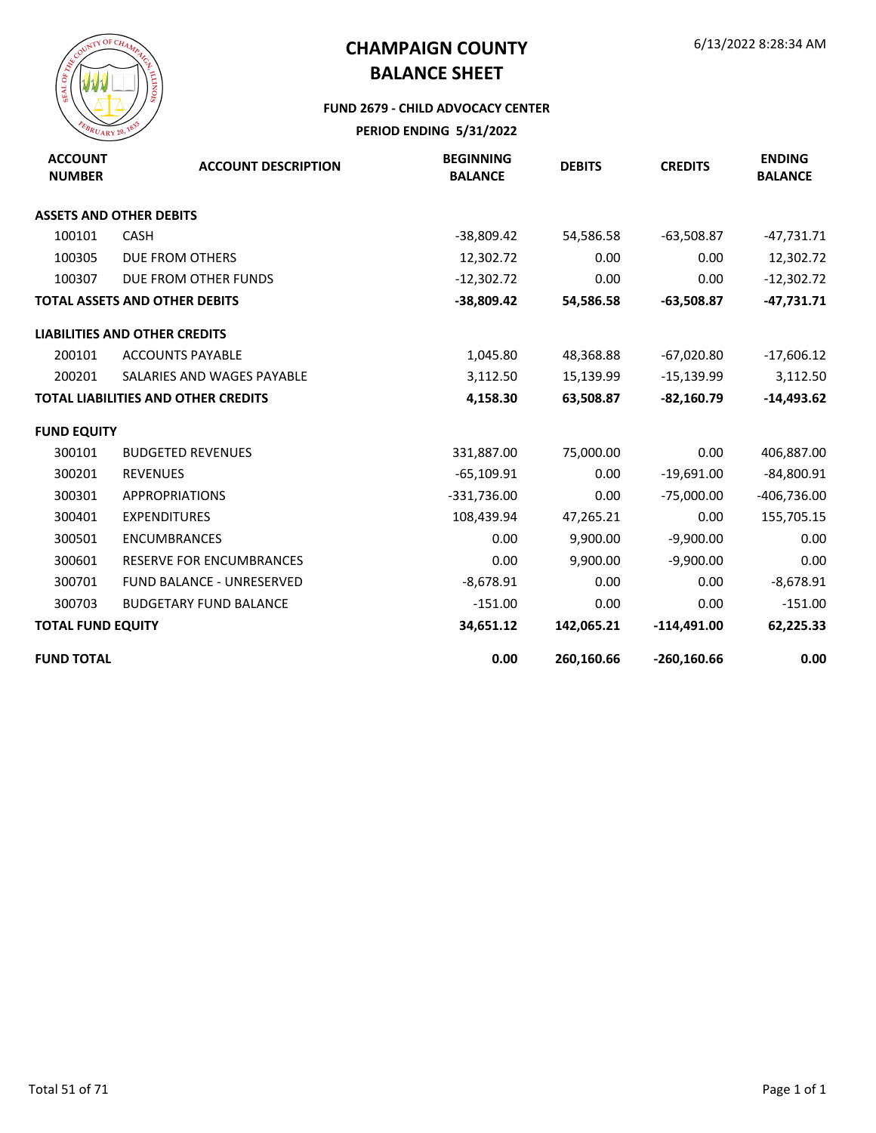

#### **FUND 2679 - CHILD ADVOCACY CENTER**

| <b>ACCOUNT</b><br><b>NUMBER</b> | <b>ACCOUNT DESCRIPTION</b>                 | <b>BEGINNING</b><br><b>BALANCE</b> | <b>DEBITS</b> | <b>CREDITS</b> | <b>ENDING</b><br><b>BALANCE</b> |
|---------------------------------|--------------------------------------------|------------------------------------|---------------|----------------|---------------------------------|
|                                 | <b>ASSETS AND OTHER DEBITS</b>             |                                    |               |                |                                 |
| 100101                          | <b>CASH</b>                                | -38,809.42                         | 54,586.58     | $-63,508.87$   | $-47,731.71$                    |
| 100305                          | <b>DUE FROM OTHERS</b>                     | 12,302.72                          | 0.00          | 0.00           | 12,302.72                       |
| 100307                          | DUE FROM OTHER FUNDS                       | $-12,302.72$                       | 0.00          | 0.00           | $-12,302.72$                    |
|                                 | <b>TOTAL ASSETS AND OTHER DEBITS</b>       | $-38,809.42$                       | 54,586.58     | $-63,508.87$   | $-47,731.71$                    |
|                                 | <b>LIABILITIES AND OTHER CREDITS</b>       |                                    |               |                |                                 |
| 200101                          | <b>ACCOUNTS PAYABLE</b>                    | 1,045.80                           | 48,368.88     | $-67,020.80$   | $-17,606.12$                    |
| 200201                          | SALARIES AND WAGES PAYABLE                 | 3,112.50                           | 15,139.99     | $-15,139.99$   | 3,112.50                        |
|                                 | <b>TOTAL LIABILITIES AND OTHER CREDITS</b> | 4,158.30                           | 63,508.87     | $-82,160.79$   | $-14,493.62$                    |
| <b>FUND EQUITY</b>              |                                            |                                    |               |                |                                 |
| 300101                          | <b>BUDGETED REVENUES</b>                   | 331,887.00                         | 75,000.00     | 0.00           | 406,887.00                      |
| 300201                          | <b>REVENUES</b>                            | $-65,109.91$                       | 0.00          | $-19,691.00$   | $-84,800.91$                    |
| 300301                          | <b>APPROPRIATIONS</b>                      | $-331,736.00$                      | 0.00          | $-75,000.00$   | $-406,736.00$                   |
| 300401                          | <b>EXPENDITURES</b>                        | 108,439.94                         | 47,265.21     | 0.00           | 155,705.15                      |
| 300501                          | <b>ENCUMBRANCES</b>                        | 0.00                               | 9,900.00      | $-9,900.00$    | 0.00                            |
| 300601                          | <b>RESERVE FOR ENCUMBRANCES</b>            | 0.00                               | 9,900.00      | $-9,900.00$    | 0.00                            |
| 300701                          | <b>FUND BALANCE - UNRESERVED</b>           | $-8,678.91$                        | 0.00          | 0.00           | $-8,678.91$                     |
| 300703                          | <b>BUDGETARY FUND BALANCE</b>              | $-151.00$                          | 0.00          | 0.00           | $-151.00$                       |
| <b>TOTAL FUND EQUITY</b>        |                                            | 34,651.12                          | 142,065.21    | $-114,491.00$  | 62,225.33                       |
| <b>FUND TOTAL</b>               |                                            | 0.00                               | 260,160.66    | $-260,160.66$  | 0.00                            |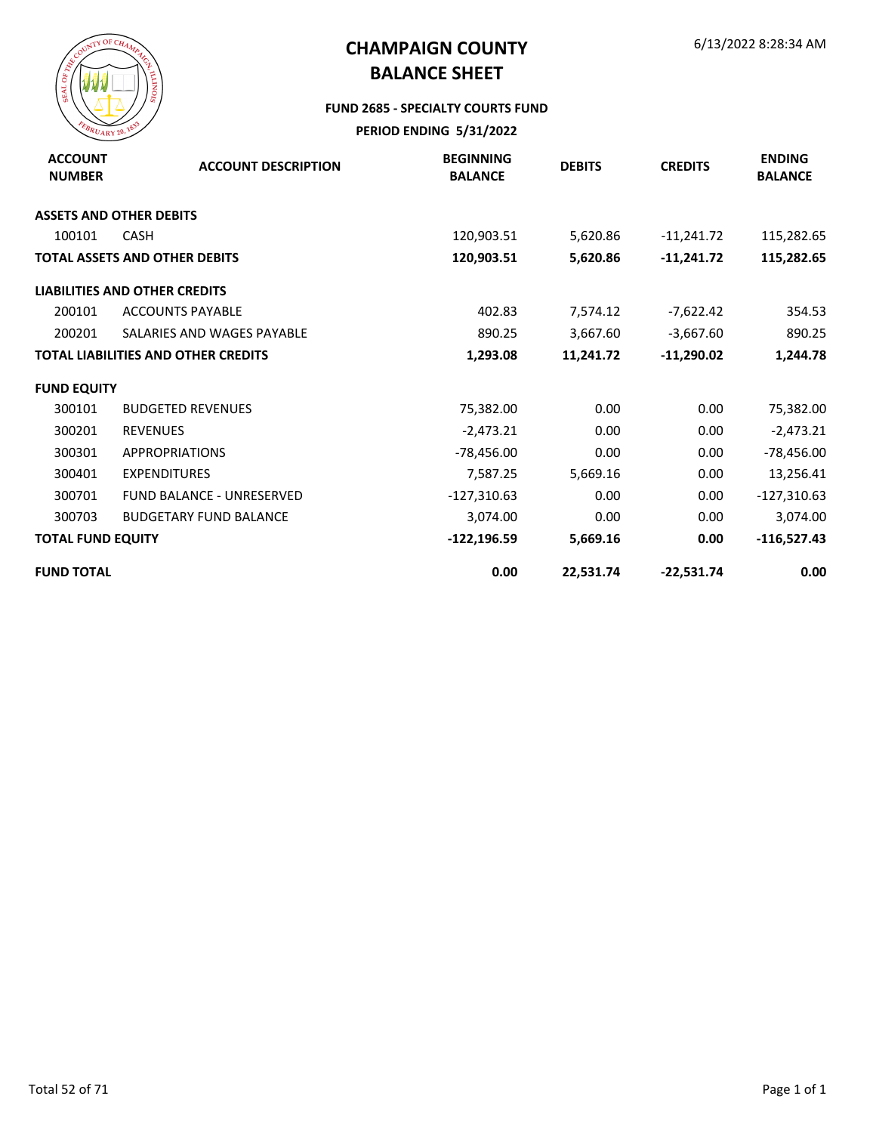

#### **FUND 2685 - SPECIALTY COURTS FUND**

| <b>ACCOUNT</b><br><b>NUMBER</b> | <b>ACCOUNT DESCRIPTION</b>                 | <b>BEGINNING</b><br><b>BALANCE</b> | <b>DEBITS</b> | <b>CREDITS</b> | <b>ENDING</b><br><b>BALANCE</b> |
|---------------------------------|--------------------------------------------|------------------------------------|---------------|----------------|---------------------------------|
|                                 | <b>ASSETS AND OTHER DEBITS</b>             |                                    |               |                |                                 |
| 100101                          | <b>CASH</b>                                | 120,903.51                         | 5,620.86      | $-11,241.72$   | 115,282.65                      |
|                                 | <b>TOTAL ASSETS AND OTHER DEBITS</b>       | 120,903.51                         | 5,620.86      | $-11,241.72$   | 115,282.65                      |
|                                 | <b>LIABILITIES AND OTHER CREDITS</b>       |                                    |               |                |                                 |
| 200101                          | <b>ACCOUNTS PAYABLE</b>                    | 402.83                             | 7,574.12      | $-7,622.42$    | 354.53                          |
| 200201                          | SALARIES AND WAGES PAYABLE                 | 890.25                             | 3,667.60      | $-3,667.60$    | 890.25                          |
|                                 | <b>TOTAL LIABILITIES AND OTHER CREDITS</b> | 1,293.08                           | 11,241.72     | $-11,290.02$   | 1,244.78                        |
| <b>FUND EQUITY</b>              |                                            |                                    |               |                |                                 |
| 300101                          | <b>BUDGETED REVENUES</b>                   | 75,382.00                          | 0.00          | 0.00           | 75,382.00                       |
| 300201                          | <b>REVENUES</b>                            | $-2,473.21$                        | 0.00          | 0.00           | $-2,473.21$                     |
| 300301                          | <b>APPROPRIATIONS</b>                      | -78,456.00                         | 0.00          | 0.00           | $-78,456.00$                    |
| 300401                          | <b>EXPENDITURES</b>                        | 7,587.25                           | 5,669.16      | 0.00           | 13,256.41                       |
| 300701                          | <b>FUND BALANCE - UNRESERVED</b>           | $-127,310.63$                      | 0.00          | 0.00           | $-127,310.63$                   |
| 300703                          | <b>BUDGETARY FUND BALANCE</b>              | 3,074.00                           | 0.00          | 0.00           | 3,074.00                        |
| <b>TOTAL FUND EQUITY</b>        |                                            | $-122,196.59$                      | 5,669.16      | 0.00           | $-116,527.43$                   |
| <b>FUND TOTAL</b>               |                                            | 0.00                               | 22,531.74     | $-22,531.74$   | 0.00                            |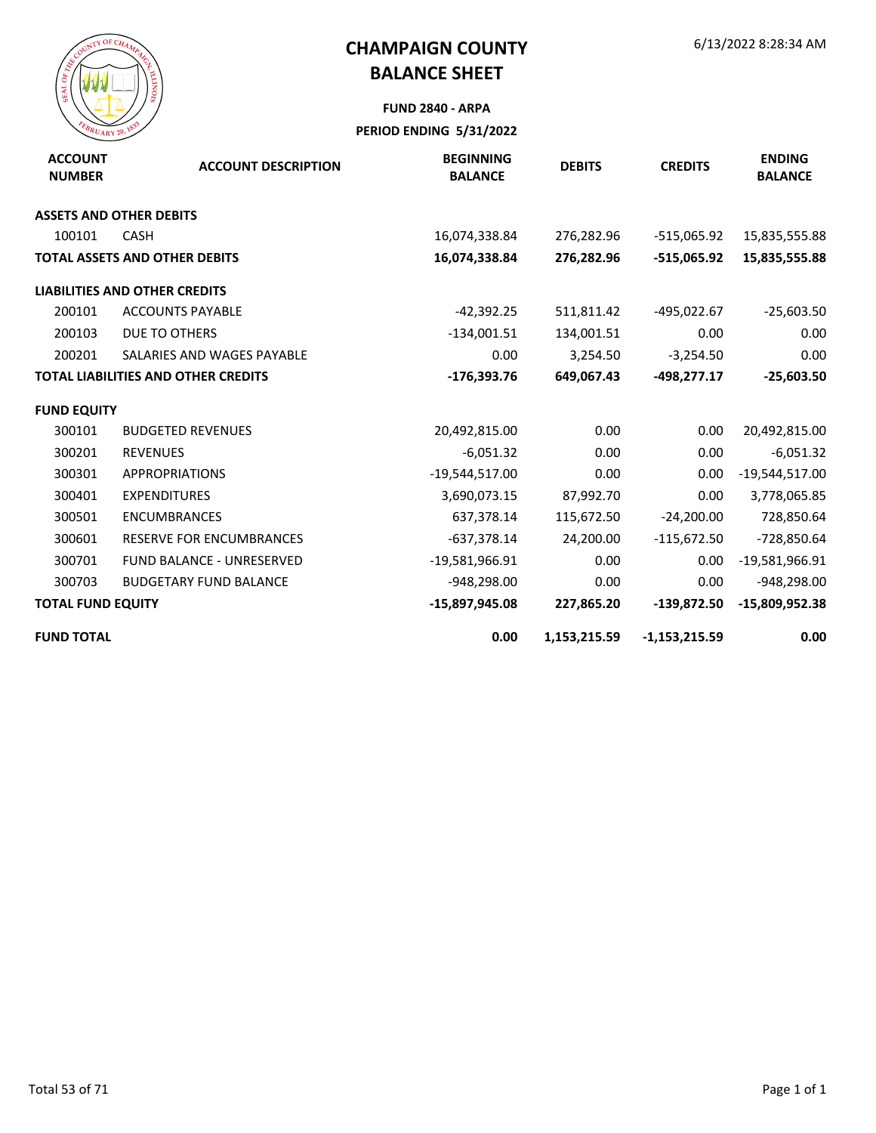

# **FUND 2840 - ARPA**

| <b>ACCOUNT</b><br><b>NUMBER</b> | <b>ACCOUNT DESCRIPTION</b>                 | <b>BEGINNING</b><br><b>BALANCE</b> | <b>DEBITS</b> | <b>CREDITS</b>  | <b>ENDING</b><br><b>BALANCE</b> |
|---------------------------------|--------------------------------------------|------------------------------------|---------------|-----------------|---------------------------------|
|                                 | <b>ASSETS AND OTHER DEBITS</b>             |                                    |               |                 |                                 |
| 100101                          | <b>CASH</b>                                | 16,074,338.84                      | 276,282.96    | -515,065.92     | 15,835,555.88                   |
|                                 | <b>TOTAL ASSETS AND OTHER DEBITS</b>       | 16,074,338.84                      | 276,282.96    | -515,065.92     | 15,835,555.88                   |
|                                 | <b>LIABILITIES AND OTHER CREDITS</b>       |                                    |               |                 |                                 |
| 200101                          | <b>ACCOUNTS PAYABLE</b>                    | $-42,392.25$                       | 511,811.42    | -495,022.67     | $-25,603.50$                    |
| 200103                          | DUE TO OTHERS                              | $-134,001.51$                      | 134,001.51    | 0.00            | 0.00                            |
| 200201                          | SALARIES AND WAGES PAYABLE                 | 0.00                               | 3,254.50      | $-3,254.50$     | 0.00                            |
|                                 | <b>TOTAL LIABILITIES AND OTHER CREDITS</b> | $-176,393.76$                      | 649,067.43    | $-498,277.17$   | $-25,603.50$                    |
| <b>FUND EQUITY</b>              |                                            |                                    |               |                 |                                 |
| 300101                          | <b>BUDGETED REVENUES</b>                   | 20,492,815.00                      | 0.00          | 0.00            | 20,492,815.00                   |
| 300201                          | <b>REVENUES</b>                            | $-6,051.32$                        | 0.00          | 0.00            | $-6,051.32$                     |
| 300301                          | <b>APPROPRIATIONS</b>                      | $-19,544,517.00$                   | 0.00          | 0.00            | $-19,544,517.00$                |
| 300401                          | <b>EXPENDITURES</b>                        | 3,690,073.15                       | 87,992.70     | 0.00            | 3,778,065.85                    |
| 300501                          | <b>ENCUMBRANCES</b>                        | 637,378.14                         | 115,672.50    | $-24,200.00$    | 728,850.64                      |
| 300601                          | <b>RESERVE FOR ENCUMBRANCES</b>            | $-637,378.14$                      | 24,200.00     | $-115,672.50$   | -728,850.64                     |
| 300701                          | FUND BALANCE - UNRESERVED                  | $-19,581,966.91$                   | 0.00          | 0.00            | -19,581,966.91                  |
| 300703                          | <b>BUDGETARY FUND BALANCE</b>              | $-948,298.00$                      | 0.00          | 0.00            | -948,298.00                     |
| <b>TOTAL FUND EQUITY</b>        |                                            | -15,897,945.08                     | 227,865.20    | $-139,872.50$   | $-15,809,952.38$                |
| <b>FUND TOTAL</b>               |                                            | 0.00                               | 1,153,215.59  | $-1,153,215.59$ | 0.00                            |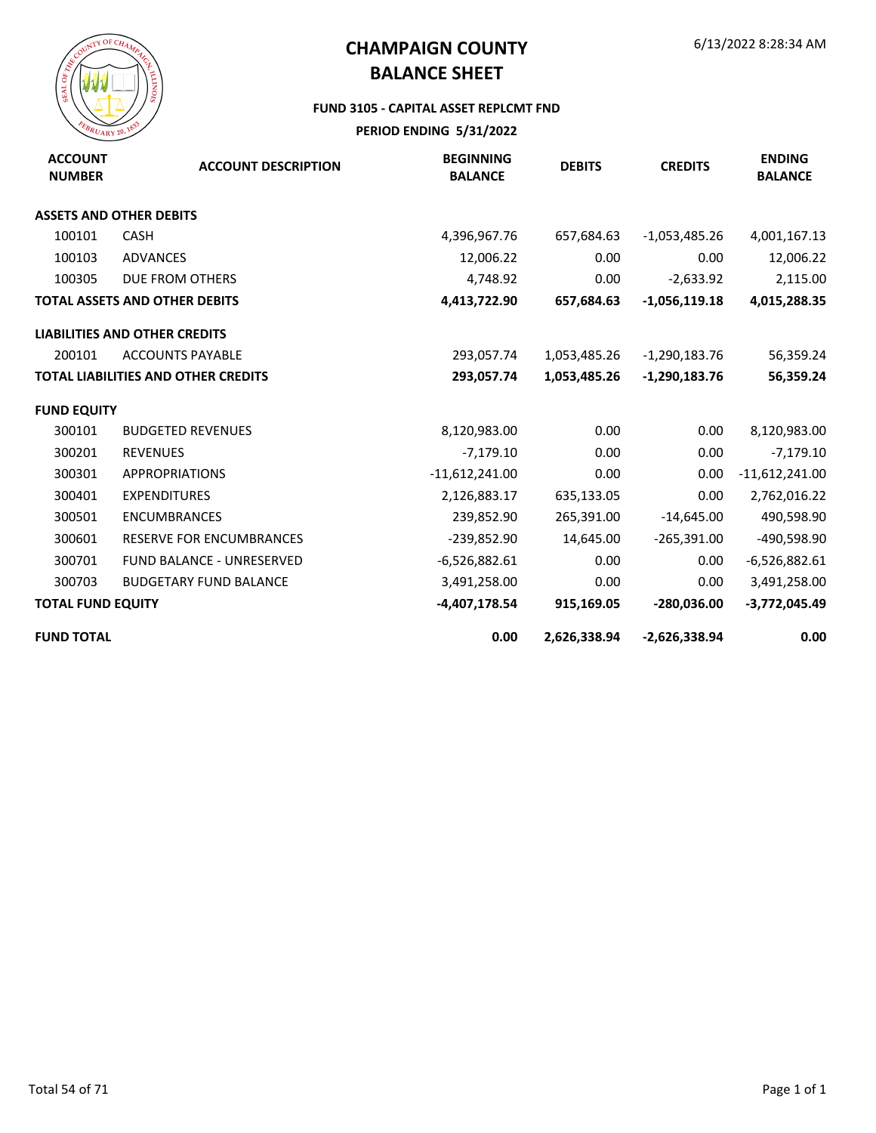

#### **FUND 3105 - CAPITAL ASSET REPLCMT FND**

| <b>ACCOUNT</b><br><b>NUMBER</b> | <b>ACCOUNT DESCRIPTION</b>                 | <b>BEGINNING</b><br><b>BALANCE</b> | <b>DEBITS</b> | <b>CREDITS</b>  | <b>ENDING</b><br><b>BALANCE</b> |
|---------------------------------|--------------------------------------------|------------------------------------|---------------|-----------------|---------------------------------|
|                                 | <b>ASSETS AND OTHER DEBITS</b>             |                                    |               |                 |                                 |
| 100101                          | <b>CASH</b>                                | 4,396,967.76                       | 657,684.63    | $-1,053,485.26$ | 4,001,167.13                    |
| 100103                          | <b>ADVANCES</b>                            | 12,006.22                          | 0.00          | 0.00            | 12,006.22                       |
| 100305                          | <b>DUE FROM OTHERS</b>                     | 4,748.92                           | 0.00          | $-2,633.92$     | 2,115.00                        |
|                                 | <b>TOTAL ASSETS AND OTHER DEBITS</b>       | 4,413,722.90                       | 657,684.63    | $-1,056,119.18$ | 4,015,288.35                    |
|                                 | <b>LIABILITIES AND OTHER CREDITS</b>       |                                    |               |                 |                                 |
| 200101                          | <b>ACCOUNTS PAYABLE</b>                    | 293,057.74                         | 1,053,485.26  | $-1,290,183.76$ | 56,359.24                       |
|                                 | <b>TOTAL LIABILITIES AND OTHER CREDITS</b> | 293,057.74                         | 1,053,485.26  | $-1,290,183.76$ | 56,359.24                       |
| <b>FUND EQUITY</b>              |                                            |                                    |               |                 |                                 |
| 300101                          | <b>BUDGETED REVENUES</b>                   | 8,120,983.00                       | 0.00          | 0.00            | 8,120,983.00                    |
| 300201                          | <b>REVENUES</b>                            | $-7,179.10$                        | 0.00          | 0.00            | $-7,179.10$                     |
| 300301                          | <b>APPROPRIATIONS</b>                      | $-11,612,241.00$                   | 0.00          | 0.00            | $-11,612,241.00$                |
| 300401                          | <b>EXPENDITURES</b>                        | 2,126,883.17                       | 635,133.05    | 0.00            | 2,762,016.22                    |
| 300501                          | <b>ENCUMBRANCES</b>                        | 239,852.90                         | 265,391.00    | $-14,645.00$    | 490,598.90                      |
| 300601                          | <b>RESERVE FOR ENCUMBRANCES</b>            | $-239,852.90$                      | 14,645.00     | $-265,391.00$   | -490,598.90                     |
| 300701                          | FUND BALANCE - UNRESERVED                  | $-6,526,882.61$                    | 0.00          | 0.00            | $-6,526,882.61$                 |
| 300703                          | <b>BUDGETARY FUND BALANCE</b>              | 3,491,258.00                       | 0.00          | 0.00            | 3,491,258.00                    |
| <b>TOTAL FUND EQUITY</b>        |                                            | -4,407,178.54                      | 915,169.05    | $-280,036.00$   | $-3,772,045.49$                 |
| <b>FUND TOTAL</b>               |                                            | 0.00                               | 2,626,338.94  | $-2,626,338.94$ | 0.00                            |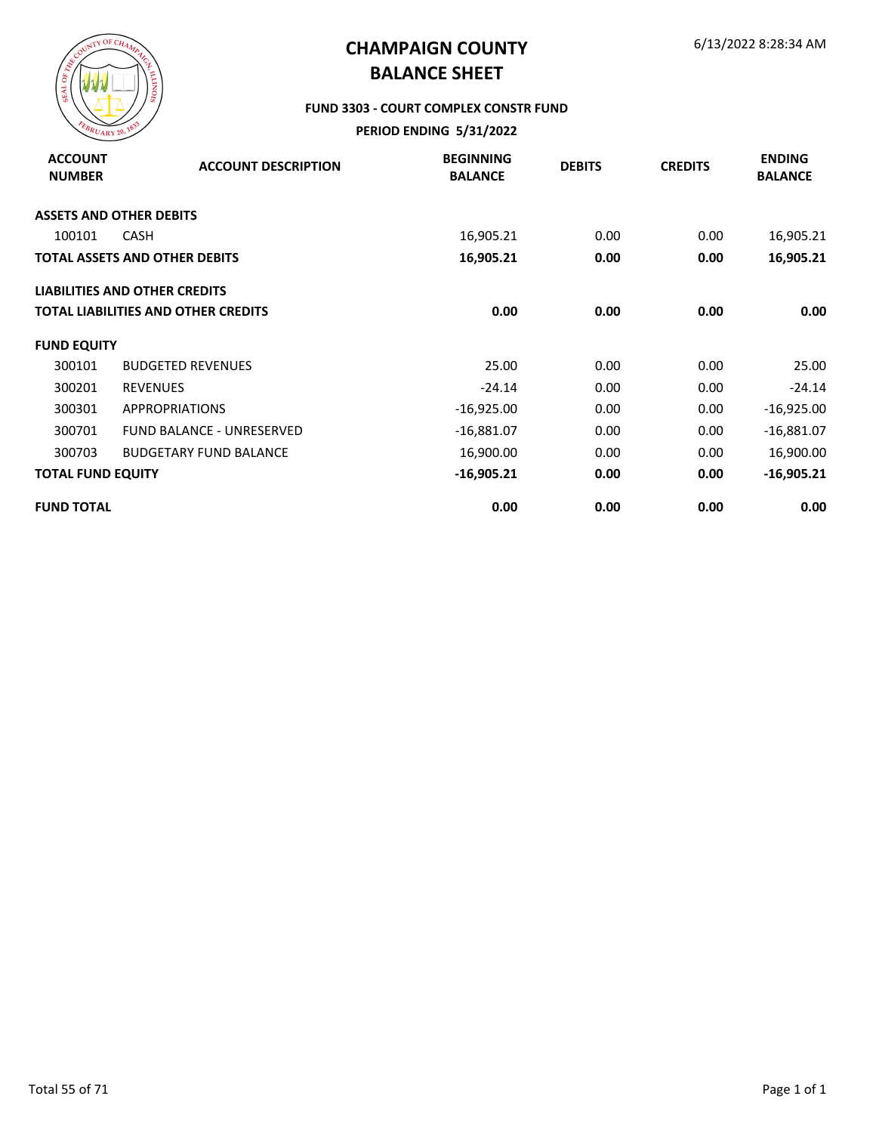

#### **FUND 3303 - COURT COMPLEX CONSTR FUND**

| <b>ACCOUNT</b><br><b>NUMBER</b> | <b>ACCOUNT DESCRIPTION</b>                 | <b>BEGINNING</b><br><b>BALANCE</b> | <b>DEBITS</b> | <b>CREDITS</b> | <b>ENDING</b><br><b>BALANCE</b> |
|---------------------------------|--------------------------------------------|------------------------------------|---------------|----------------|---------------------------------|
|                                 | <b>ASSETS AND OTHER DEBITS</b>             |                                    |               |                |                                 |
| 100101                          | CASH                                       | 16,905.21                          | 0.00          | 0.00           | 16,905.21                       |
|                                 | <b>TOTAL ASSETS AND OTHER DEBITS</b>       | 16,905.21                          | 0.00          | 0.00           | 16,905.21                       |
|                                 | <b>LIABILITIES AND OTHER CREDITS</b>       |                                    |               |                |                                 |
|                                 | <b>TOTAL LIABILITIES AND OTHER CREDITS</b> | 0.00                               | 0.00          | 0.00           | 0.00                            |
| <b>FUND EQUITY</b>              |                                            |                                    |               |                |                                 |
| 300101                          | <b>BUDGETED REVENUES</b>                   | 25.00                              | 0.00          | 0.00           | 25.00                           |
| 300201                          | <b>REVENUES</b>                            | $-24.14$                           | 0.00          | 0.00           | $-24.14$                        |
| 300301                          | <b>APPROPRIATIONS</b>                      | $-16,925.00$                       | 0.00          | 0.00           | $-16,925.00$                    |
| 300701                          | <b>FUND BALANCE - UNRESERVED</b>           | $-16,881.07$                       | 0.00          | 0.00           | $-16,881.07$                    |
| 300703                          | <b>BUDGETARY FUND BALANCE</b>              | 16,900.00                          | 0.00          | 0.00           | 16,900.00                       |
| <b>TOTAL FUND EQUITY</b>        |                                            | $-16,905.21$                       | 0.00          | 0.00           | $-16,905.21$                    |
| <b>FUND TOTAL</b>               |                                            | 0.00                               | 0.00          | 0.00           | 0.00                            |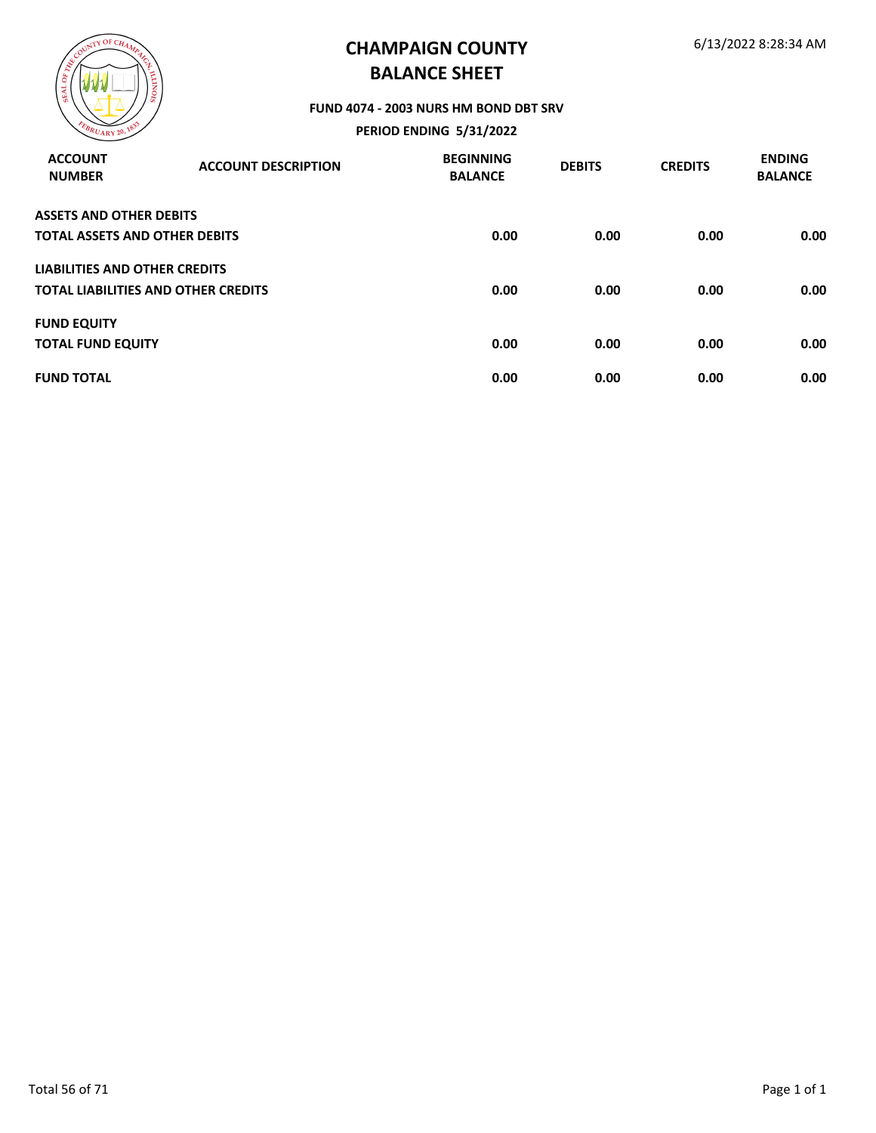

#### **FUND 4074 - 2003 NURS HM BOND DBT SRV**

| <b>ACCOUNT</b><br><b>NUMBER</b>      | <b>ACCOUNT DESCRIPTION</b>                 | <b>BEGINNING</b><br><b>BALANCE</b> | <b>DEBITS</b> | <b>CREDITS</b> | <b>ENDING</b><br><b>BALANCE</b> |
|--------------------------------------|--------------------------------------------|------------------------------------|---------------|----------------|---------------------------------|
| <b>ASSETS AND OTHER DEBITS</b>       |                                            |                                    |               |                |                                 |
| <b>TOTAL ASSETS AND OTHER DEBITS</b> |                                            | 0.00                               | 0.00          | 0.00           | 0.00                            |
| LIABILITIES AND OTHER CREDITS        |                                            |                                    |               |                |                                 |
|                                      | <b>TOTAL LIABILITIES AND OTHER CREDITS</b> | 0.00                               | 0.00          | 0.00           | 0.00                            |
| <b>FUND EQUITY</b>                   |                                            |                                    |               |                |                                 |
| <b>TOTAL FUND EQUITY</b>             |                                            | 0.00                               | 0.00          | 0.00           | 0.00                            |
| <b>FUND TOTAL</b>                    |                                            | 0.00                               | 0.00          | 0.00           | 0.00                            |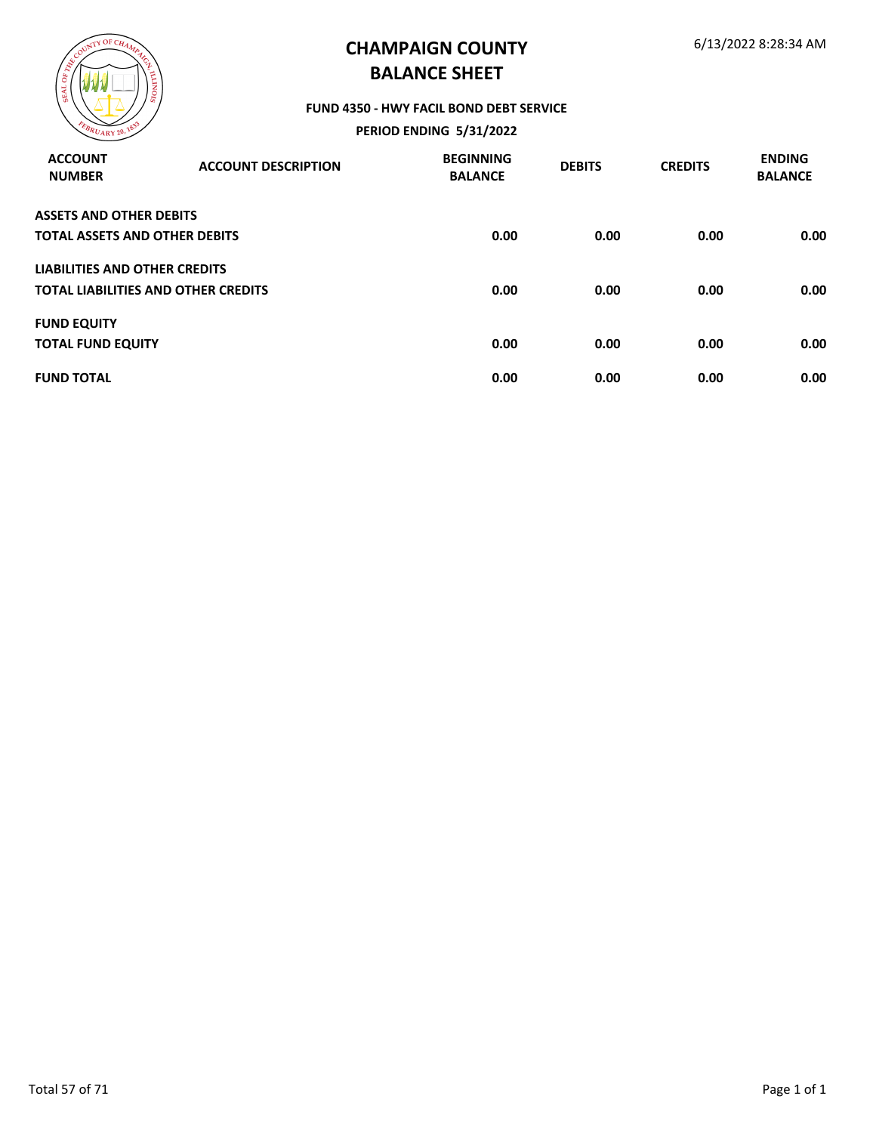

#### **FUND 4350 - HWY FACIL BOND DEBT SERVICE**

| <b>ACCOUNT</b><br><b>NUMBER</b>      | <b>ACCOUNT DESCRIPTION</b>                 | <b>BEGINNING</b><br><b>BALANCE</b> | <b>DEBITS</b> | <b>CREDITS</b> | <b>ENDING</b><br><b>BALANCE</b> |
|--------------------------------------|--------------------------------------------|------------------------------------|---------------|----------------|---------------------------------|
| <b>ASSETS AND OTHER DEBITS</b>       |                                            |                                    |               |                |                                 |
| <b>TOTAL ASSETS AND OTHER DEBITS</b> |                                            | 0.00                               | 0.00          | 0.00           | 0.00                            |
| LIABILITIES AND OTHER CREDITS        |                                            |                                    |               |                |                                 |
|                                      | <b>TOTAL LIABILITIES AND OTHER CREDITS</b> | 0.00                               | 0.00          | 0.00           | 0.00                            |
| <b>FUND EQUITY</b>                   |                                            |                                    |               |                |                                 |
| <b>TOTAL FUND EQUITY</b>             |                                            | 0.00                               | 0.00          | 0.00           | 0.00                            |
| <b>FUND TOTAL</b>                    |                                            | 0.00                               | 0.00          | 0.00           | 0.00                            |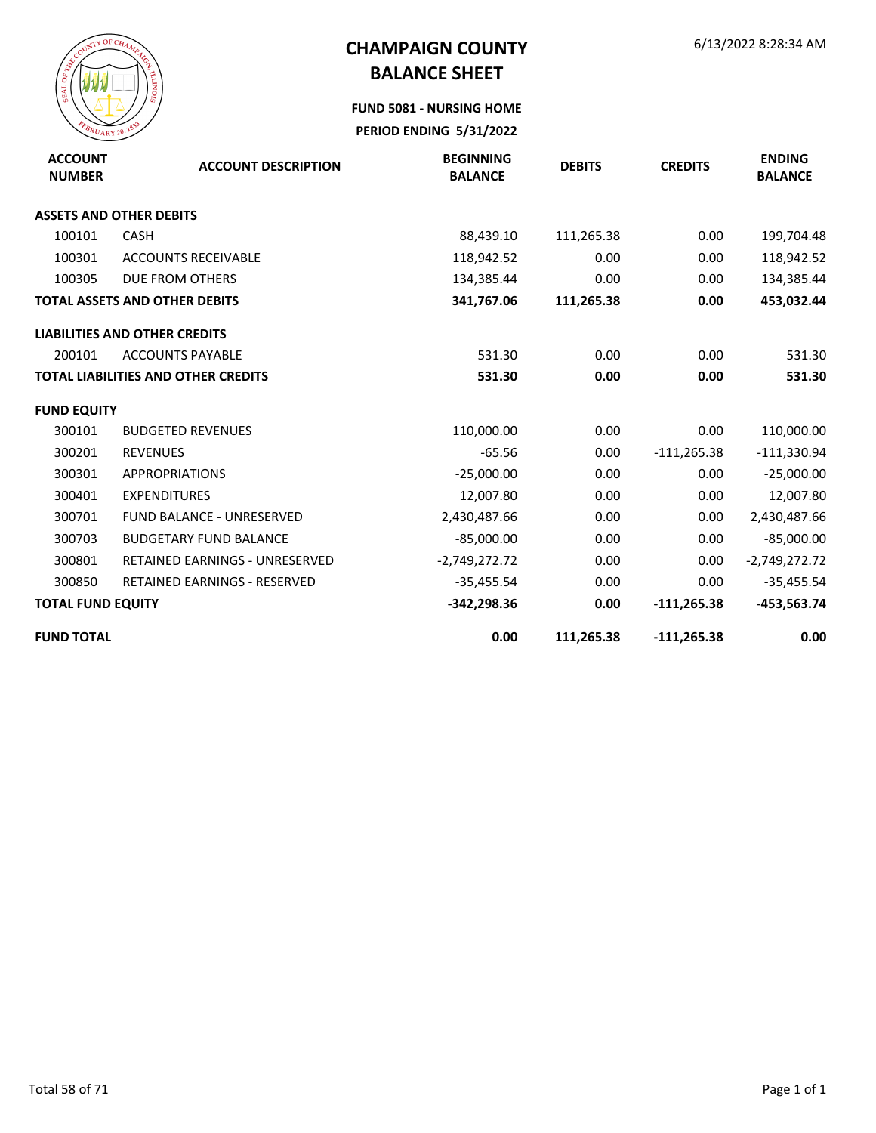

**FUND 5081 - NURSING HOME**

| <b>ACCOUNT</b><br><b>NUMBER</b> | <b>ACCOUNT DESCRIPTION</b>                 | <b>BEGINNING</b><br><b>BALANCE</b> | <b>DEBITS</b> | <b>CREDITS</b> | <b>ENDING</b><br><b>BALANCE</b> |
|---------------------------------|--------------------------------------------|------------------------------------|---------------|----------------|---------------------------------|
|                                 | <b>ASSETS AND OTHER DEBITS</b>             |                                    |               |                |                                 |
| 100101                          | CASH                                       | 88,439.10                          | 111,265.38    | 0.00           | 199,704.48                      |
| 100301                          | <b>ACCOUNTS RECEIVABLE</b>                 | 118,942.52                         | 0.00          | 0.00           | 118,942.52                      |
| 100305                          | DUE FROM OTHERS                            | 134,385.44                         | 0.00          | 0.00           | 134,385.44                      |
|                                 | <b>TOTAL ASSETS AND OTHER DEBITS</b>       | 341,767.06                         | 111,265.38    | 0.00           | 453,032.44                      |
|                                 | <b>LIABILITIES AND OTHER CREDITS</b>       |                                    |               |                |                                 |
| 200101                          | <b>ACCOUNTS PAYABLE</b>                    | 531.30                             | 0.00          | 0.00           | 531.30                          |
|                                 | <b>TOTAL LIABILITIES AND OTHER CREDITS</b> | 531.30                             | 0.00          | 0.00           | 531.30                          |
| <b>FUND EQUITY</b>              |                                            |                                    |               |                |                                 |
| 300101                          | <b>BUDGETED REVENUES</b>                   | 110,000.00                         | 0.00          | 0.00           | 110,000.00                      |
| 300201                          | <b>REVENUES</b>                            | $-65.56$                           | 0.00          | $-111,265.38$  | $-111,330.94$                   |
| 300301                          | <b>APPROPRIATIONS</b>                      | $-25,000.00$                       | 0.00          | 0.00           | $-25,000.00$                    |
| 300401                          | <b>EXPENDITURES</b>                        | 12,007.80                          | 0.00          | 0.00           | 12,007.80                       |
| 300701                          | <b>FUND BALANCE - UNRESERVED</b>           | 2,430,487.66                       | 0.00          | 0.00           | 2,430,487.66                    |
| 300703                          | <b>BUDGETARY FUND BALANCE</b>              | $-85,000.00$                       | 0.00          | 0.00           | $-85,000.00$                    |
| 300801                          | <b>RETAINED EARNINGS - UNRESERVED</b>      | $-2,749,272.72$                    | 0.00          | 0.00           | $-2,749,272.72$                 |
| 300850                          | <b>RETAINED EARNINGS - RESERVED</b>        | $-35,455.54$                       | 0.00          | 0.00           | $-35,455.54$                    |
| <b>TOTAL FUND EQUITY</b>        |                                            | $-342,298.36$                      | 0.00          | $-111,265.38$  | -453,563.74                     |
| <b>FUND TOTAL</b>               |                                            | 0.00                               | 111,265.38    | $-111,265.38$  | 0.00                            |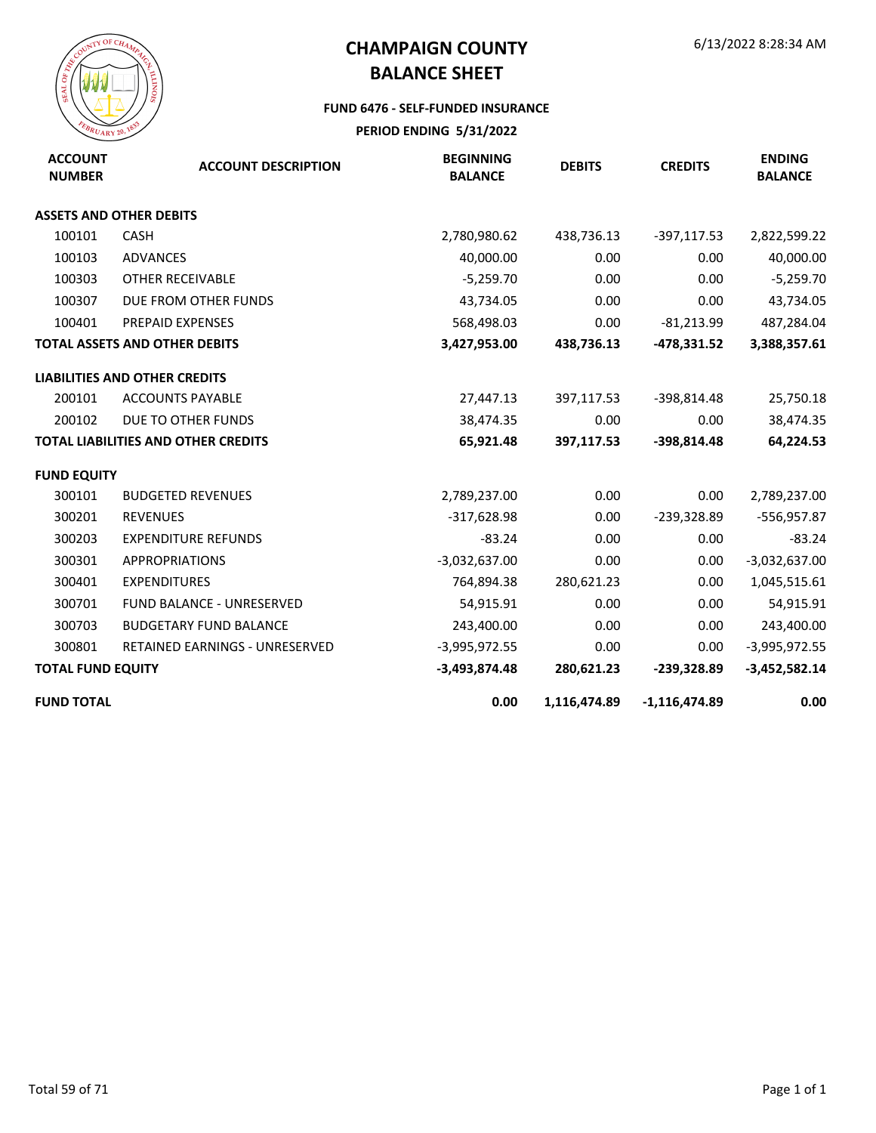

#### **FUND 6476 - SELF-FUNDED INSURANCE**

| <b>ACCOUNT</b><br><b>NUMBER</b> | <b>ACCOUNT DESCRIPTION</b>                 | <b>BEGINNING</b><br><b>BALANCE</b> | <b>DEBITS</b> | <b>CREDITS</b>  | <b>ENDING</b><br><b>BALANCE</b> |
|---------------------------------|--------------------------------------------|------------------------------------|---------------|-----------------|---------------------------------|
|                                 | <b>ASSETS AND OTHER DEBITS</b>             |                                    |               |                 |                                 |
| 100101                          | <b>CASH</b>                                | 2,780,980.62                       | 438,736.13    | -397,117.53     | 2,822,599.22                    |
| 100103                          | <b>ADVANCES</b>                            | 40,000.00                          | 0.00          | 0.00            | 40,000.00                       |
| 100303                          | OTHER RECEIVABLE                           | $-5,259.70$                        | 0.00          | 0.00            | $-5,259.70$                     |
| 100307                          | DUE FROM OTHER FUNDS                       | 43,734.05                          | 0.00          | 0.00            | 43,734.05                       |
| 100401                          | PREPAID EXPENSES                           | 568,498.03                         | 0.00          | $-81,213.99$    | 487,284.04                      |
|                                 | <b>TOTAL ASSETS AND OTHER DEBITS</b>       | 3,427,953.00                       | 438,736.13    | -478,331.52     | 3,388,357.61                    |
|                                 | <b>LIABILITIES AND OTHER CREDITS</b>       |                                    |               |                 |                                 |
| 200101                          | <b>ACCOUNTS PAYABLE</b>                    | 27,447.13                          | 397,117.53    | -398,814.48     | 25,750.18                       |
| 200102                          | DUE TO OTHER FUNDS                         | 38,474.35                          | 0.00          | 0.00            | 38,474.35                       |
|                                 | <b>TOTAL LIABILITIES AND OTHER CREDITS</b> | 65,921.48                          | 397,117.53    | $-398,814.48$   | 64,224.53                       |
| <b>FUND EQUITY</b>              |                                            |                                    |               |                 |                                 |
| 300101                          | <b>BUDGETED REVENUES</b>                   | 2,789,237.00                       | 0.00          | 0.00            | 2,789,237.00                    |
| 300201                          | <b>REVENUES</b>                            | $-317,628.98$                      | 0.00          | -239,328.89     | $-556,957.87$                   |
| 300203                          | <b>EXPENDITURE REFUNDS</b>                 | $-83.24$                           | 0.00          | 0.00            | $-83.24$                        |
| 300301                          | <b>APPROPRIATIONS</b>                      | $-3,032,637.00$                    | 0.00          | 0.00            | $-3,032,637.00$                 |
| 300401                          | <b>EXPENDITURES</b>                        | 764,894.38                         | 280,621.23    | 0.00            | 1,045,515.61                    |
| 300701                          | <b>FUND BALANCE - UNRESERVED</b>           | 54,915.91                          | 0.00          | 0.00            | 54,915.91                       |
| 300703                          | <b>BUDGETARY FUND BALANCE</b>              | 243,400.00                         | 0.00          | 0.00            | 243,400.00                      |
| 300801                          | RETAINED EARNINGS - UNRESERVED             | $-3,995,972.55$                    | 0.00          | 0.00            | $-3,995,972.55$                 |
| <b>TOTAL FUND EQUITY</b>        |                                            | $-3,493,874.48$                    | 280,621.23    | $-239,328.89$   | $-3,452,582.14$                 |
| <b>FUND TOTAL</b>               |                                            | 0.00                               | 1,116,474.89  | $-1,116,474.89$ | 0.00                            |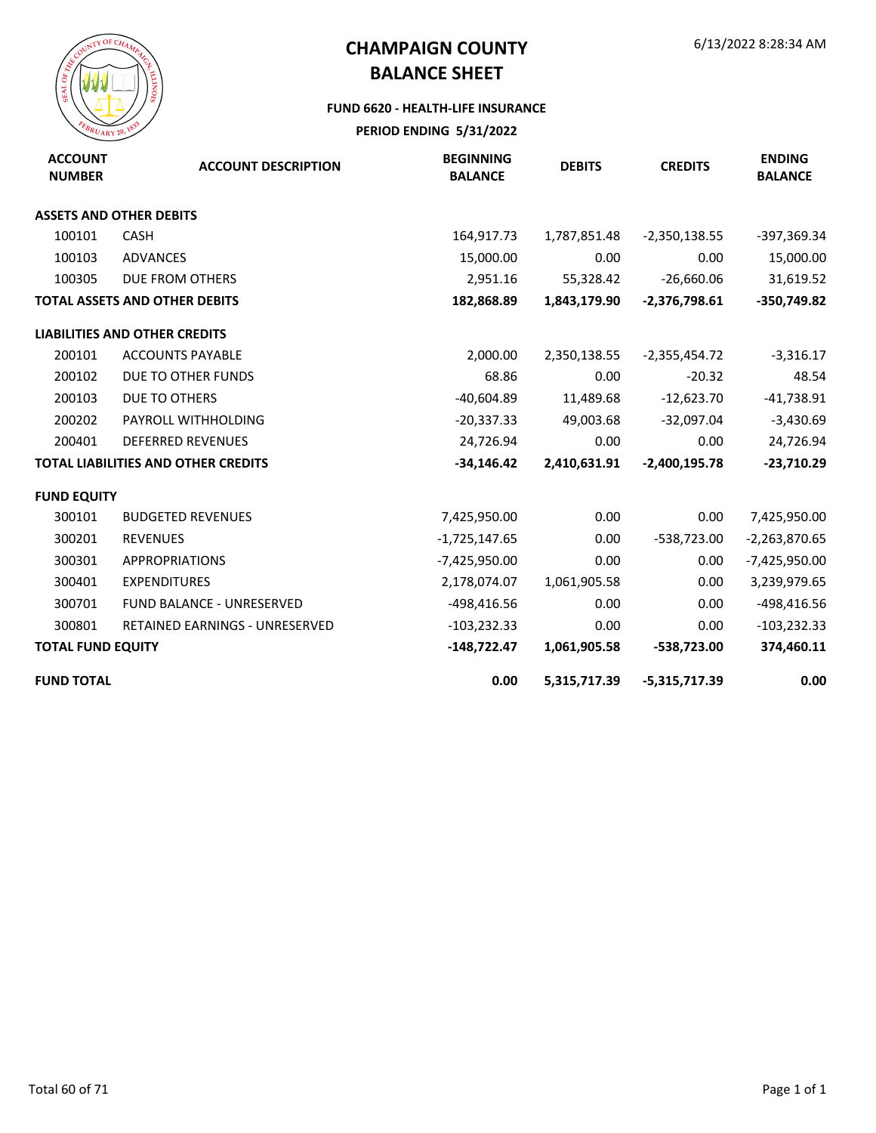

#### **FUND 6620 - HEALTH-LIFE INSURANCE**

| <b>ACCOUNT</b><br><b>NUMBER</b> | <b>ACCOUNT DESCRIPTION</b>                 | <b>BEGINNING</b><br><b>BALANCE</b> | <b>DEBITS</b> | <b>CREDITS</b>  | <b>ENDING</b><br><b>BALANCE</b> |
|---------------------------------|--------------------------------------------|------------------------------------|---------------|-----------------|---------------------------------|
|                                 | <b>ASSETS AND OTHER DEBITS</b>             |                                    |               |                 |                                 |
| 100101                          | <b>CASH</b>                                | 164,917.73                         | 1,787,851.48  | $-2,350,138.55$ | -397,369.34                     |
| 100103                          | <b>ADVANCES</b>                            | 15,000.00                          | 0.00          | 0.00            | 15,000.00                       |
| 100305                          | DUE FROM OTHERS                            | 2,951.16                           | 55,328.42     | $-26,660.06$    | 31,619.52                       |
|                                 | <b>TOTAL ASSETS AND OTHER DEBITS</b>       | 182,868.89                         | 1,843,179.90  | $-2,376,798.61$ | $-350,749.82$                   |
|                                 | <b>LIABILITIES AND OTHER CREDITS</b>       |                                    |               |                 |                                 |
| 200101                          | <b>ACCOUNTS PAYABLE</b>                    | 2,000.00                           | 2,350,138.55  | $-2,355,454.72$ | $-3,316.17$                     |
| 200102                          | DUE TO OTHER FUNDS                         | 68.86                              | 0.00          | $-20.32$        | 48.54                           |
| 200103                          | DUE TO OTHERS                              | $-40,604.89$                       | 11,489.68     | $-12,623.70$    | $-41,738.91$                    |
| 200202                          | PAYROLL WITHHOLDING                        | $-20,337.33$                       | 49,003.68     | $-32,097.04$    | $-3,430.69$                     |
| 200401                          | <b>DEFERRED REVENUES</b>                   | 24,726.94                          | 0.00          | 0.00            | 24,726.94                       |
|                                 | <b>TOTAL LIABILITIES AND OTHER CREDITS</b> | $-34,146.42$                       | 2,410,631.91  | $-2,400,195.78$ | $-23,710.29$                    |
| <b>FUND EQUITY</b>              |                                            |                                    |               |                 |                                 |
| 300101                          | <b>BUDGETED REVENUES</b>                   | 7,425,950.00                       | 0.00          | 0.00            | 7,425,950.00                    |
| 300201                          | <b>REVENUES</b>                            | $-1,725,147.65$                    | 0.00          | $-538,723.00$   | $-2,263,870.65$                 |
| 300301                          | <b>APPROPRIATIONS</b>                      | -7,425,950.00                      | 0.00          | 0.00            | -7,425,950.00                   |
| 300401                          | <b>EXPENDITURES</b>                        | 2,178,074.07                       | 1,061,905.58  | 0.00            | 3,239,979.65                    |
| 300701                          | <b>FUND BALANCE - UNRESERVED</b>           | -498,416.56                        | 0.00          | 0.00            | -498,416.56                     |
| 300801                          | RETAINED EARNINGS - UNRESERVED             | $-103,232.33$                      | 0.00          | 0.00            | $-103,232.33$                   |
| <b>TOTAL FUND EQUITY</b>        |                                            | $-148,722.47$                      | 1,061,905.58  | -538,723.00     | 374,460.11                      |
| <b>FUND TOTAL</b>               |                                            | 0.00                               | 5,315,717.39  | $-5,315,717.39$ | 0.00                            |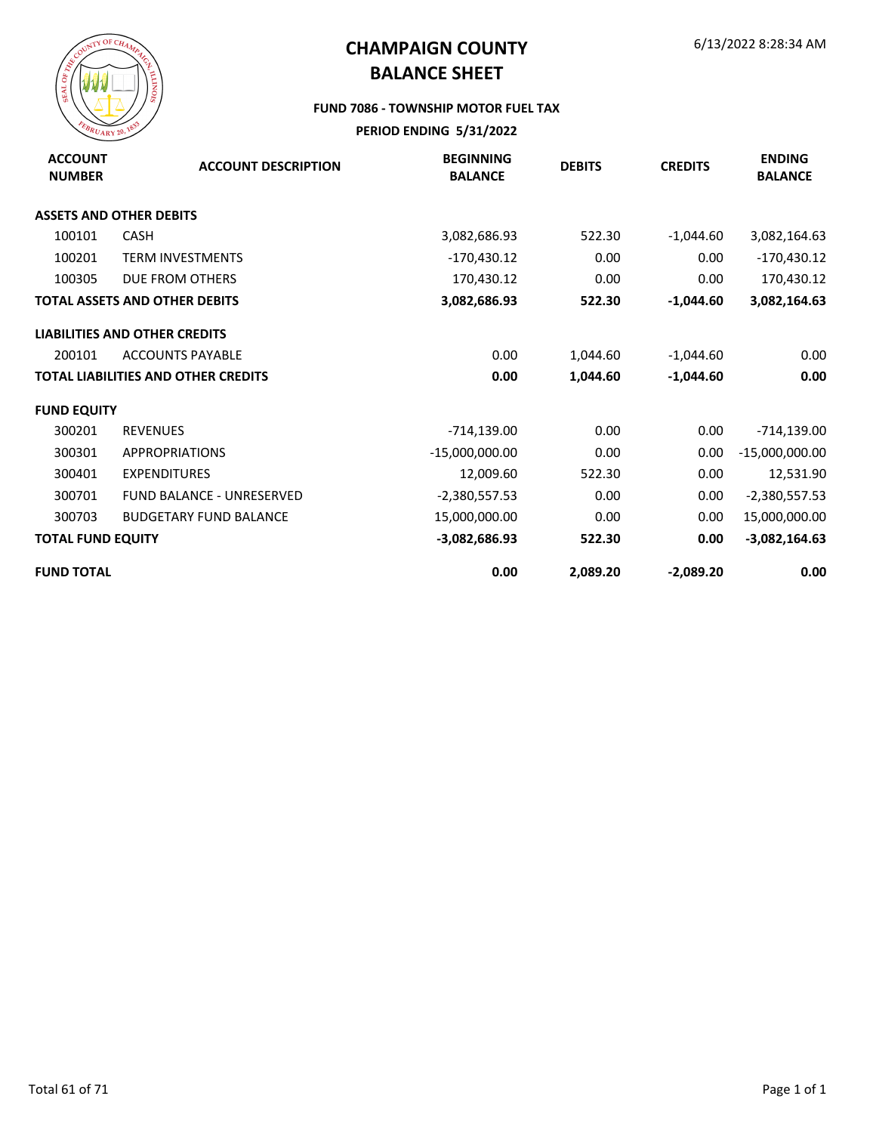

#### **FUND 7086 - TOWNSHIP MOTOR FUEL TAX**

| <b>ACCOUNT</b><br><b>NUMBER</b> | <b>ACCOUNT DESCRIPTION</b>           | <b>BEGINNING</b><br><b>BALANCE</b> | <b>DEBITS</b> | <b>CREDITS</b> | <b>ENDING</b><br><b>BALANCE</b> |
|---------------------------------|--------------------------------------|------------------------------------|---------------|----------------|---------------------------------|
|                                 | <b>ASSETS AND OTHER DEBITS</b>       |                                    |               |                |                                 |
| 100101                          | <b>CASH</b>                          | 3,082,686.93                       | 522.30        | $-1,044.60$    | 3,082,164.63                    |
| 100201                          | <b>TERM INVESTMENTS</b>              | $-170,430.12$                      | 0.00          | 0.00           | $-170,430.12$                   |
| 100305                          | DUE FROM OTHERS                      | 170,430.12                         | 0.00          | 0.00           | 170,430.12                      |
|                                 | <b>TOTAL ASSETS AND OTHER DEBITS</b> | 3,082,686.93                       | 522.30        | $-1,044.60$    | 3,082,164.63                    |
|                                 | <b>LIABILITIES AND OTHER CREDITS</b> |                                    |               |                |                                 |
| 200101                          | <b>ACCOUNTS PAYABLE</b>              | 0.00                               | 1,044.60      | $-1,044.60$    | 0.00                            |
|                                 | TOTAL LIABILITIES AND OTHER CREDITS  | 0.00                               | 1,044.60      | $-1,044.60$    | 0.00                            |
| <b>FUND EQUITY</b>              |                                      |                                    |               |                |                                 |
| 300201                          | <b>REVENUES</b>                      | $-714,139.00$                      | 0.00          | 0.00           | $-714,139.00$                   |
| 300301                          | <b>APPROPRIATIONS</b>                | $-15,000,000.00$                   | 0.00          | 0.00           | $-15,000,000.00$                |
| 300401                          | <b>EXPENDITURES</b>                  | 12,009.60                          | 522.30        | 0.00           | 12,531.90                       |
| 300701                          | <b>FUND BALANCE - UNRESERVED</b>     | $-2,380,557.53$                    | 0.00          | 0.00           | $-2,380,557.53$                 |
| 300703                          | <b>BUDGETARY FUND BALANCE</b>        | 15,000,000.00                      | 0.00          | 0.00           | 15,000,000.00                   |
| <b>TOTAL FUND EQUITY</b>        |                                      | $-3,082,686.93$                    | 522.30        | 0.00           | $-3,082,164.63$                 |
| <b>FUND TOTAL</b>               |                                      | 0.00                               | 2,089.20      | $-2,089.20$    | 0.00                            |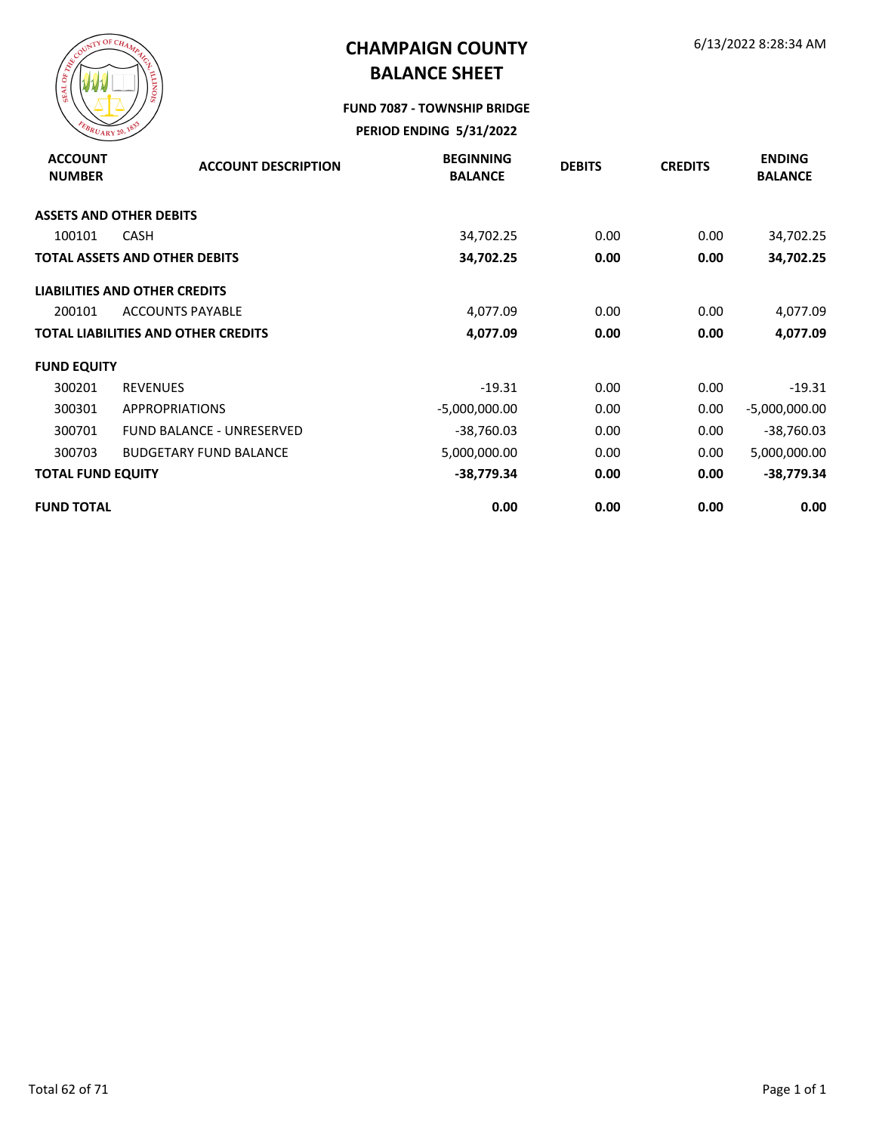

#### **FUND 7087 - TOWNSHIP BRIDGE**

| <b>ACCOUNT</b><br><b>NUMBER</b> | <b>ACCOUNT DESCRIPTION</b>                 | <b>BEGINNING</b><br><b>BALANCE</b> | <b>DEBITS</b> | <b>CREDITS</b> | <b>ENDING</b><br><b>BALANCE</b> |
|---------------------------------|--------------------------------------------|------------------------------------|---------------|----------------|---------------------------------|
|                                 | <b>ASSETS AND OTHER DEBITS</b>             |                                    |               |                |                                 |
| 100101                          | <b>CASH</b>                                | 34,702.25                          | 0.00          | 0.00           | 34,702.25                       |
|                                 | TOTAL ASSETS AND OTHER DEBITS              | 34,702.25                          | 0.00          | 0.00           | 34,702.25                       |
|                                 | <b>LIABILITIES AND OTHER CREDITS</b>       |                                    |               |                |                                 |
| 200101                          | <b>ACCOUNTS PAYABLE</b>                    | 4,077.09                           | 0.00          | 0.00           | 4,077.09                        |
|                                 | <b>TOTAL LIABILITIES AND OTHER CREDITS</b> | 4,077.09                           | 0.00          | 0.00           | 4,077.09                        |
| <b>FUND EQUITY</b>              |                                            |                                    |               |                |                                 |
| 300201                          | <b>REVENUES</b>                            | $-19.31$                           | 0.00          | 0.00           | $-19.31$                        |
| 300301                          | <b>APPROPRIATIONS</b>                      | $-5,000,000.00$                    | 0.00          | 0.00           | $-5,000,000.00$                 |
| 300701                          | <b>FUND BALANCE - UNRESERVED</b>           | $-38,760.03$                       | 0.00          | 0.00           | $-38,760.03$                    |
| 300703                          | <b>BUDGETARY FUND BALANCE</b>              | 5,000,000.00                       | 0.00          | 0.00           | 5,000,000.00                    |
| <b>TOTAL FUND EQUITY</b>        |                                            | $-38,779.34$                       | 0.00          | 0.00           | $-38,779.34$                    |
| <b>FUND TOTAL</b>               |                                            | 0.00                               | 0.00          | 0.00           | 0.00                            |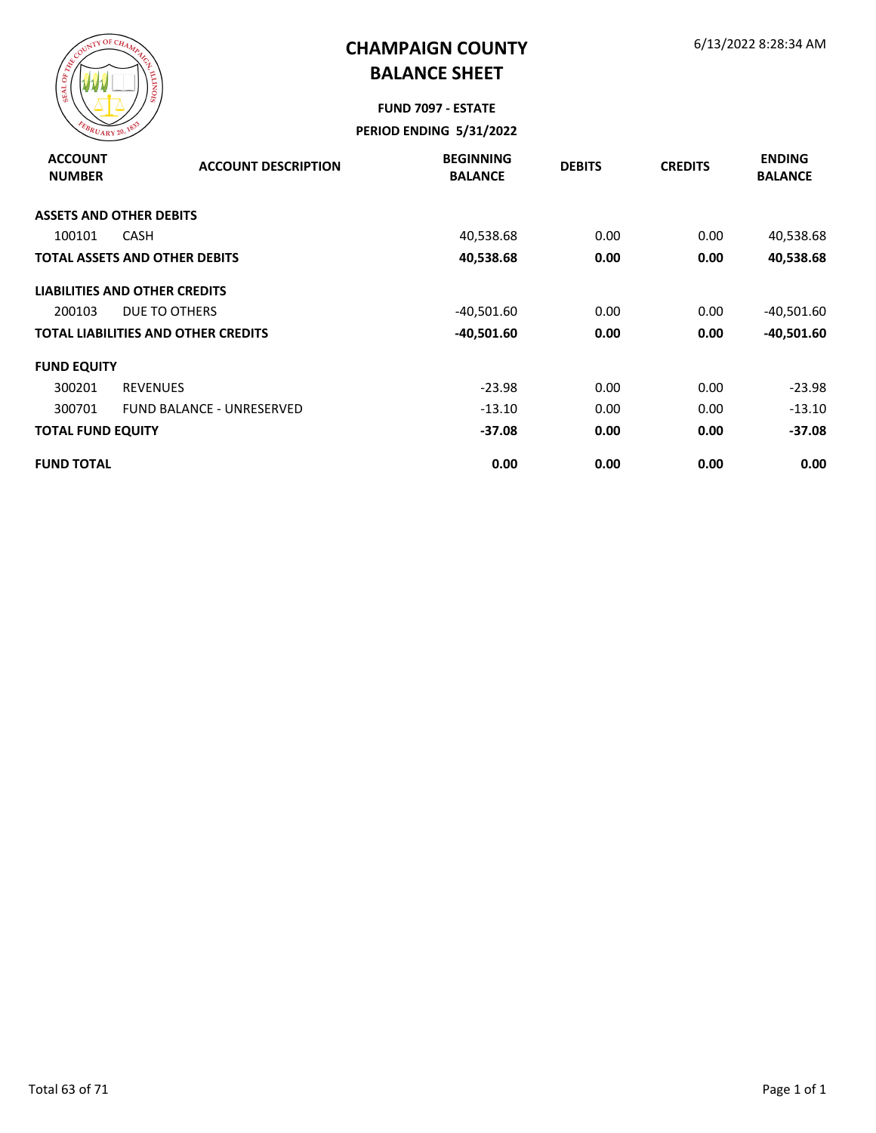

# **FUND 7097 - ESTATE**

| <b>ACCOUNT</b><br><b>NUMBER</b> | <b>ACCOUNT DESCRIPTION</b>                 | <b>BEGINNING</b><br><b>BALANCE</b> | <b>DEBITS</b> | <b>CREDITS</b> | <b>ENDING</b><br><b>BALANCE</b> |
|---------------------------------|--------------------------------------------|------------------------------------|---------------|----------------|---------------------------------|
|                                 | <b>ASSETS AND OTHER DEBITS</b>             |                                    |               |                |                                 |
| 100101                          | CASH                                       | 40,538.68                          | 0.00          | 0.00           | 40,538.68                       |
|                                 | <b>TOTAL ASSETS AND OTHER DEBITS</b>       | 40,538.68                          | 0.00          | 0.00           | 40,538.68                       |
|                                 | <b>LIABILITIES AND OTHER CREDITS</b>       |                                    |               |                |                                 |
| 200103                          | DUE TO OTHERS                              | $-40,501.60$                       | 0.00          | 0.00           | $-40,501.60$                    |
|                                 | <b>TOTAL LIABILITIES AND OTHER CREDITS</b> | $-40,501.60$                       | 0.00          | 0.00           | $-40,501.60$                    |
| <b>FUND EQUITY</b>              |                                            |                                    |               |                |                                 |
| 300201                          | <b>REVENUES</b>                            | $-23.98$                           | 0.00          | 0.00           | $-23.98$                        |
| 300701                          | <b>FUND BALANCE - UNRESERVED</b>           | $-13.10$                           | 0.00          | 0.00           | $-13.10$                        |
| <b>TOTAL FUND EQUITY</b>        |                                            | $-37.08$                           | 0.00          | 0.00           | $-37.08$                        |
| <b>FUND TOTAL</b>               |                                            | 0.00                               | 0.00          | 0.00           | 0.00                            |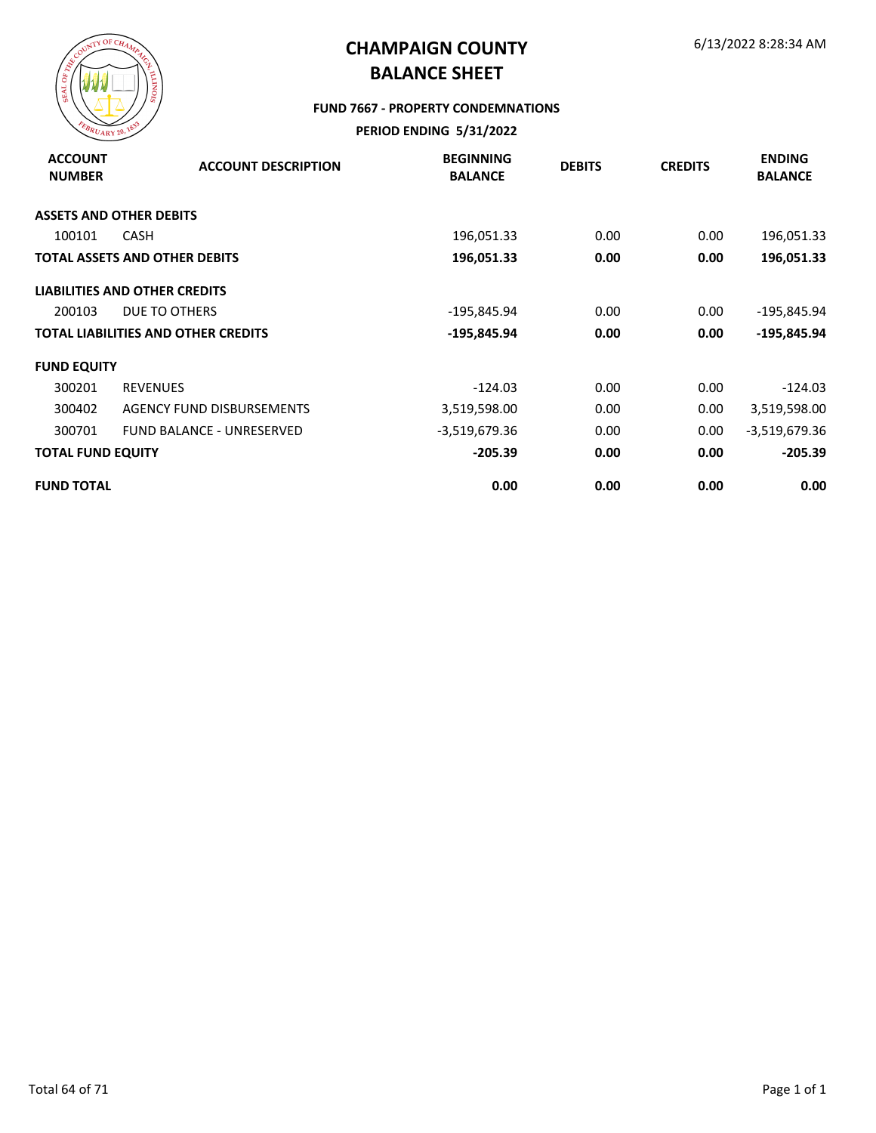

#### **FUND 7667 - PROPERTY CONDEMNATIONS**

| <b>ACCOUNT</b><br><b>NUMBER</b> | <b>ACCOUNT DESCRIPTION</b>                 | <b>BEGINNING</b><br><b>BALANCE</b> | <b>DEBITS</b> | <b>CREDITS</b> | <b>ENDING</b><br><b>BALANCE</b> |
|---------------------------------|--------------------------------------------|------------------------------------|---------------|----------------|---------------------------------|
|                                 | <b>ASSETS AND OTHER DEBITS</b>             |                                    |               |                |                                 |
| 100101                          | <b>CASH</b>                                | 196,051.33                         | 0.00          | 0.00           | 196,051.33                      |
|                                 | <b>TOTAL ASSETS AND OTHER DEBITS</b>       | 196,051.33                         | 0.00          | 0.00           | 196,051.33                      |
|                                 | <b>LIABILITIES AND OTHER CREDITS</b>       |                                    |               |                |                                 |
| 200103                          | DUE TO OTHERS                              | -195,845.94                        | 0.00          | 0.00           | -195,845.94                     |
|                                 | <b>TOTAL LIABILITIES AND OTHER CREDITS</b> | $-195,845.94$                      | 0.00          | 0.00           | $-195,845.94$                   |
| <b>FUND EQUITY</b>              |                                            |                                    |               |                |                                 |
| 300201                          | <b>REVENUES</b>                            | $-124.03$                          | 0.00          | 0.00           | $-124.03$                       |
| 300402                          | AGENCY FUND DISBURSEMENTS                  | 3,519,598.00                       | 0.00          | 0.00           | 3,519,598.00                    |
| 300701                          | FUND BALANCE - UNRESERVED                  | -3,519,679.36                      | 0.00          | 0.00           | -3,519,679.36                   |
| <b>TOTAL FUND EQUITY</b>        |                                            | $-205.39$                          | 0.00          | 0.00           | $-205.39$                       |
| <b>FUND TOTAL</b>               |                                            | 0.00                               | 0.00          | 0.00           | 0.00                            |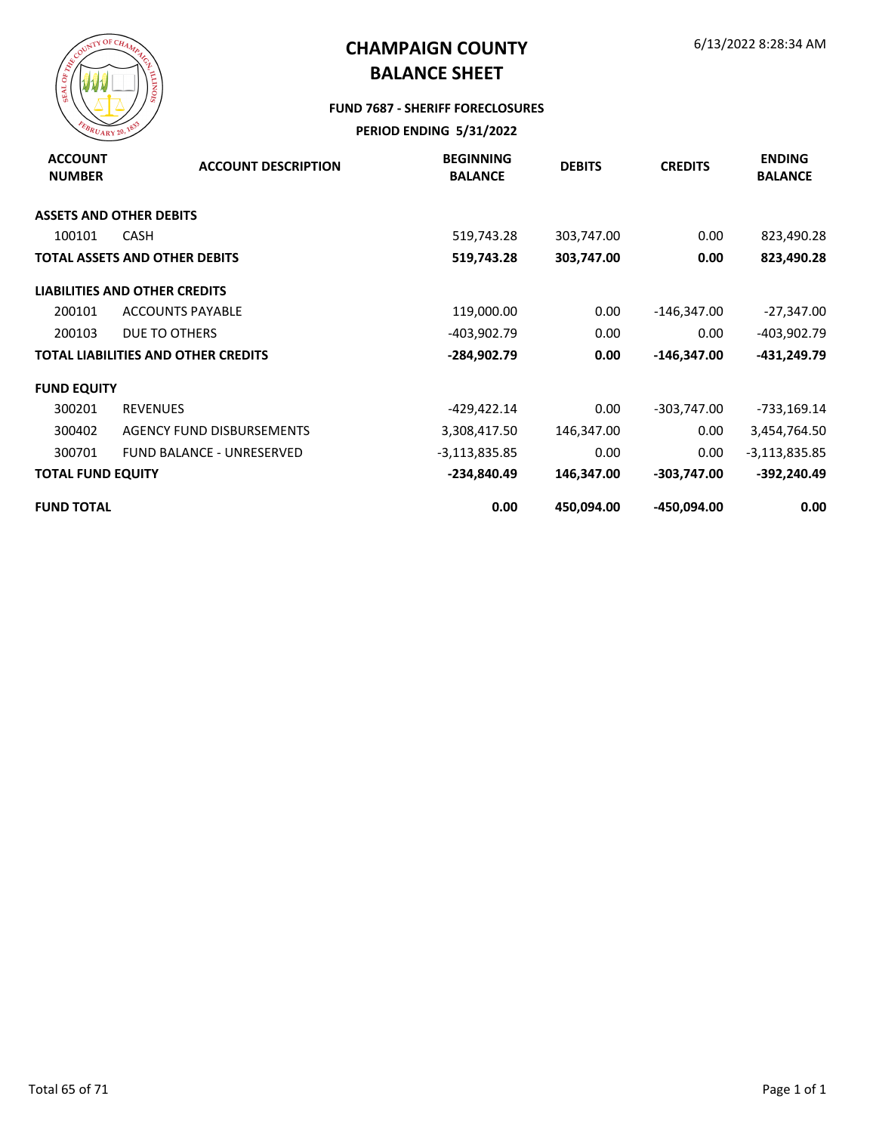

#### **FUND 7687 - SHERIFF FORECLOSURES**

| <b>ACCOUNT</b><br><b>NUMBER</b> | <b>ACCOUNT DESCRIPTION</b>                 | <b>BEGINNING</b><br><b>BALANCE</b> | <b>DEBITS</b> | <b>CREDITS</b> | <b>ENDING</b><br><b>BALANCE</b> |
|---------------------------------|--------------------------------------------|------------------------------------|---------------|----------------|---------------------------------|
|                                 | <b>ASSETS AND OTHER DEBITS</b>             |                                    |               |                |                                 |
| 100101                          | <b>CASH</b>                                | 519,743.28                         | 303,747.00    | 0.00           | 823,490.28                      |
|                                 | <b>TOTAL ASSETS AND OTHER DEBITS</b>       | 519,743.28                         | 303,747.00    | 0.00           | 823,490.28                      |
|                                 | <b>LIABILITIES AND OTHER CREDITS</b>       |                                    |               |                |                                 |
| 200101                          | <b>ACCOUNTS PAYABLE</b>                    | 119,000.00                         | 0.00          | $-146,347.00$  | $-27,347.00$                    |
| 200103                          | DUE TO OTHERS                              | -403,902.79                        | 0.00          | 0.00           | -403,902.79                     |
|                                 | <b>TOTAL LIABILITIES AND OTHER CREDITS</b> | -284,902.79                        | 0.00          | $-146,347.00$  | -431,249.79                     |
| <b>FUND EQUITY</b>              |                                            |                                    |               |                |                                 |
| 300201                          | <b>REVENUES</b>                            | -429,422.14                        | 0.00          | -303,747.00    | -733,169.14                     |
| 300402                          | AGENCY FUND DISBURSEMENTS                  | 3,308,417.50                       | 146,347.00    | 0.00           | 3,454,764.50                    |
| 300701                          | <b>FUND BALANCE - UNRESERVED</b>           | $-3,113,835.85$                    | 0.00          | 0.00           | $-3,113,835.85$                 |
| <b>TOTAL FUND EQUITY</b>        |                                            | -234,840.49                        | 146,347.00    | $-303,747.00$  | -392,240.49                     |
| <b>FUND TOTAL</b>               |                                            | 0.00                               | 450,094.00    | -450,094.00    | 0.00                            |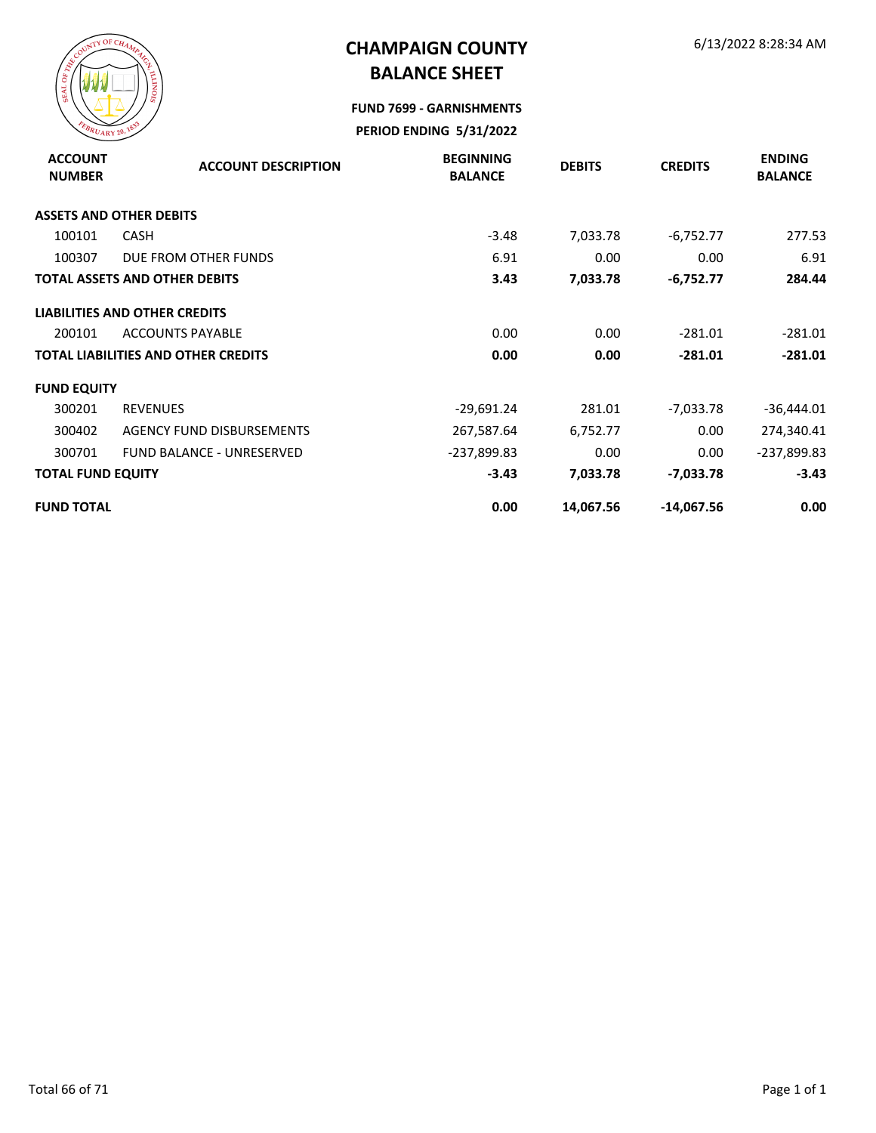

**FUND 7699 - GARNISHMENTS**

| <b>ACCOUNT</b><br><b>NUMBER</b> | <b>ACCOUNT DESCRIPTION</b>                 | <b>BEGINNING</b><br><b>BALANCE</b> | <b>DEBITS</b> | <b>CREDITS</b> | <b>ENDING</b><br><b>BALANCE</b> |
|---------------------------------|--------------------------------------------|------------------------------------|---------------|----------------|---------------------------------|
|                                 | <b>ASSETS AND OTHER DEBITS</b>             |                                    |               |                |                                 |
| 100101                          | <b>CASH</b>                                | $-3.48$                            | 7,033.78      | $-6,752.77$    | 277.53                          |
| 100307                          | DUE FROM OTHER FUNDS                       | 6.91                               | 0.00          | 0.00           | 6.91                            |
|                                 | <b>TOTAL ASSETS AND OTHER DEBITS</b>       | 3.43                               | 7,033.78      | $-6,752.77$    | 284.44                          |
|                                 | <b>LIABILITIES AND OTHER CREDITS</b>       |                                    |               |                |                                 |
| 200101                          | <b>ACCOUNTS PAYABLE</b>                    | 0.00                               | 0.00          | $-281.01$      | $-281.01$                       |
|                                 | <b>TOTAL LIABILITIES AND OTHER CREDITS</b> | 0.00                               | 0.00          | $-281.01$      | $-281.01$                       |
| <b>FUND EQUITY</b>              |                                            |                                    |               |                |                                 |
| 300201                          | <b>REVENUES</b>                            | $-29,691.24$                       | 281.01        | $-7,033.78$    | -36,444.01                      |
| 300402                          | AGENCY FUND DISBURSEMENTS                  | 267,587.64                         | 6,752.77      | 0.00           | 274,340.41                      |
| 300701                          | <b>FUND BALANCE - UNRESERVED</b>           | -237,899.83                        | 0.00          | 0.00           | -237,899.83                     |
| <b>TOTAL FUND EQUITY</b>        |                                            | $-3.43$                            | 7,033.78      | -7,033.78      | $-3.43$                         |
| <b>FUND TOTAL</b>               |                                            | 0.00                               | 14,067.56     | $-14,067.56$   | 0.00                            |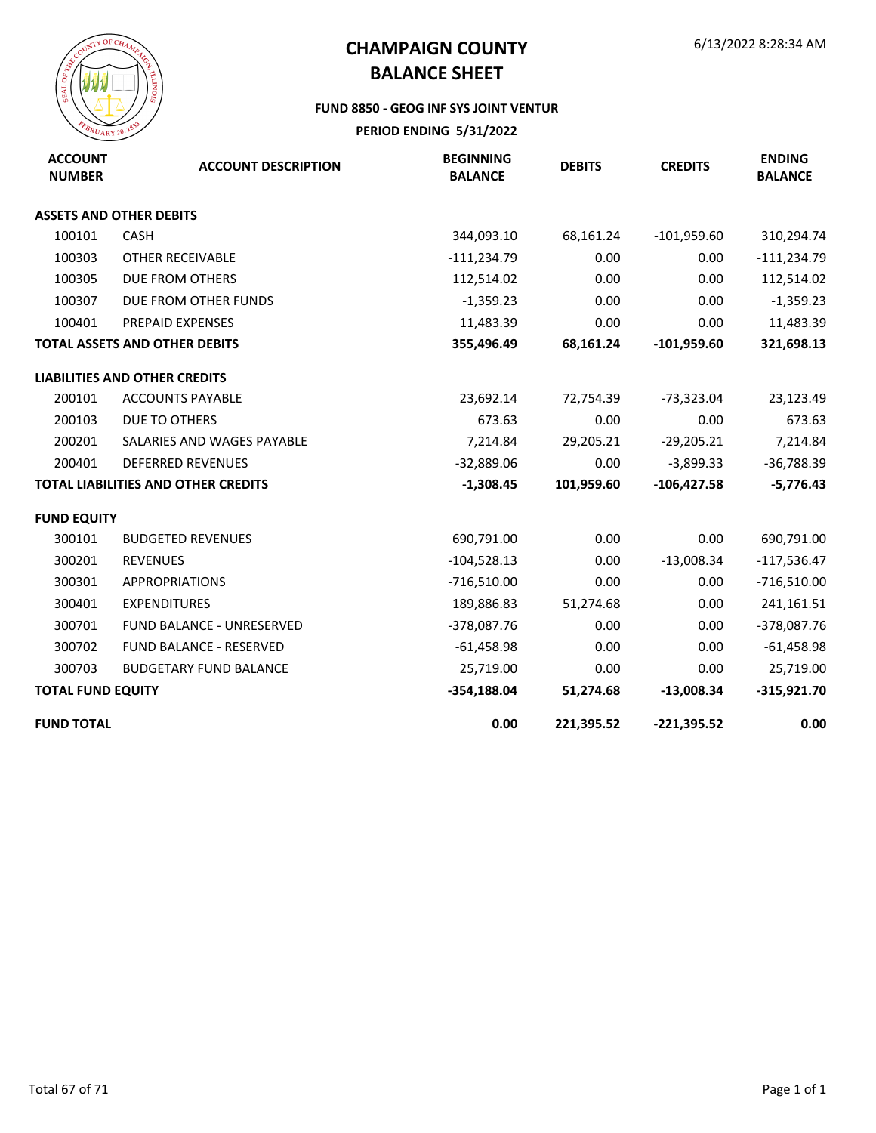

#### **FUND 8850 - GEOG INF SYS JOINT VENTUR**

| <b>ACCOUNT</b><br><b>NUMBER</b> | <b>ACCOUNT DESCRIPTION</b>                 | <b>BEGINNING</b><br><b>BALANCE</b> | <b>DEBITS</b> | <b>CREDITS</b> | <b>ENDING</b><br><b>BALANCE</b> |
|---------------------------------|--------------------------------------------|------------------------------------|---------------|----------------|---------------------------------|
|                                 | <b>ASSETS AND OTHER DEBITS</b>             |                                    |               |                |                                 |
| 100101                          | <b>CASH</b>                                | 344,093.10                         | 68,161.24     | $-101,959.60$  | 310,294.74                      |
| 100303                          | OTHER RECEIVABLE                           | $-111,234.79$                      | 0.00          | 0.00           | $-111,234.79$                   |
| 100305                          | DUE FROM OTHERS                            | 112,514.02                         | 0.00          | 0.00           | 112,514.02                      |
| 100307                          | DUE FROM OTHER FUNDS                       | $-1,359.23$                        | 0.00          | 0.00           | $-1,359.23$                     |
| 100401                          | PREPAID EXPENSES                           | 11,483.39                          | 0.00          | 0.00           | 11,483.39                       |
|                                 | <b>TOTAL ASSETS AND OTHER DEBITS</b>       | 355,496.49                         | 68,161.24     | $-101,959.60$  | 321,698.13                      |
|                                 | <b>LIABILITIES AND OTHER CREDITS</b>       |                                    |               |                |                                 |
| 200101                          | <b>ACCOUNTS PAYABLE</b>                    | 23,692.14                          | 72,754.39     | $-73,323.04$   | 23,123.49                       |
| 200103                          | <b>DUE TO OTHERS</b>                       | 673.63                             | 0.00          | 0.00           | 673.63                          |
| 200201                          | SALARIES AND WAGES PAYABLE                 | 7,214.84                           | 29,205.21     | $-29,205.21$   | 7,214.84                        |
| 200401                          | <b>DEFERRED REVENUES</b>                   | $-32,889.06$                       | 0.00          | $-3,899.33$    | $-36,788.39$                    |
|                                 | <b>TOTAL LIABILITIES AND OTHER CREDITS</b> | $-1,308.45$                        | 101,959.60    | $-106,427.58$  | $-5,776.43$                     |
| <b>FUND EQUITY</b>              |                                            |                                    |               |                |                                 |
| 300101                          | <b>BUDGETED REVENUES</b>                   | 690,791.00                         | 0.00          | 0.00           | 690,791.00                      |
| 300201                          | <b>REVENUES</b>                            | $-104,528.13$                      | 0.00          | $-13,008.34$   | $-117,536.47$                   |
| 300301                          | <b>APPROPRIATIONS</b>                      | $-716,510.00$                      | 0.00          | 0.00           | $-716,510.00$                   |
| 300401                          | <b>EXPENDITURES</b>                        | 189,886.83                         | 51,274.68     | 0.00           | 241,161.51                      |
| 300701                          | <b>FUND BALANCE - UNRESERVED</b>           | $-378,087.76$                      | 0.00          | 0.00           | $-378,087.76$                   |
| 300702                          | <b>FUND BALANCE - RESERVED</b>             | $-61,458.98$                       | 0.00          | 0.00           | $-61,458.98$                    |
| 300703                          | <b>BUDGETARY FUND BALANCE</b>              | 25,719.00                          | 0.00          | 0.00           | 25,719.00                       |
| <b>TOTAL FUND EQUITY</b>        |                                            | $-354,188.04$                      | 51,274.68     | $-13,008.34$   | $-315,921.70$                   |
| <b>FUND TOTAL</b>               |                                            | 0.00                               | 221,395.52    | $-221,395.52$  | 0.00                            |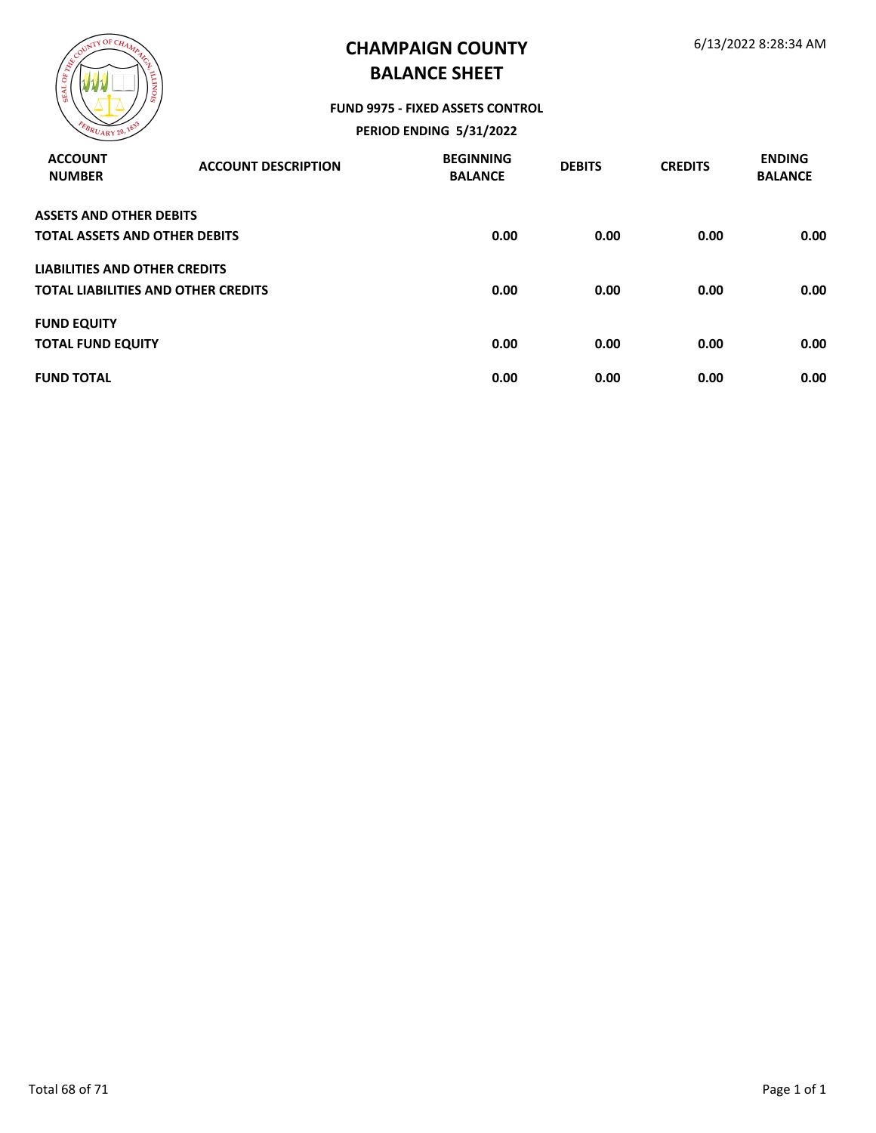

#### **FUND 9975 - FIXED ASSETS CONTROL**

| <b>ACCOUNT</b><br><b>NUMBER</b>      | <b>ACCOUNT DESCRIPTION</b>                 | <b>BEGINNING</b><br><b>BALANCE</b> | <b>DEBITS</b> | <b>CREDITS</b> | <b>ENDING</b><br><b>BALANCE</b> |
|--------------------------------------|--------------------------------------------|------------------------------------|---------------|----------------|---------------------------------|
| <b>ASSETS AND OTHER DEBITS</b>       |                                            |                                    |               |                |                                 |
| <b>TOTAL ASSETS AND OTHER DEBITS</b> |                                            | 0.00                               | 0.00          | 0.00           | 0.00                            |
| <b>LIABILITIES AND OTHER CREDITS</b> |                                            |                                    |               |                |                                 |
|                                      | <b>TOTAL LIABILITIES AND OTHER CREDITS</b> | 0.00                               | 0.00          | 0.00           | 0.00                            |
| <b>FUND EQUITY</b>                   |                                            |                                    |               |                |                                 |
| <b>TOTAL FUND EQUITY</b>             |                                            | 0.00                               | 0.00          | 0.00           | 0.00                            |
| <b>FUND TOTAL</b>                    |                                            | 0.00                               | 0.00          | 0.00           | 0.00                            |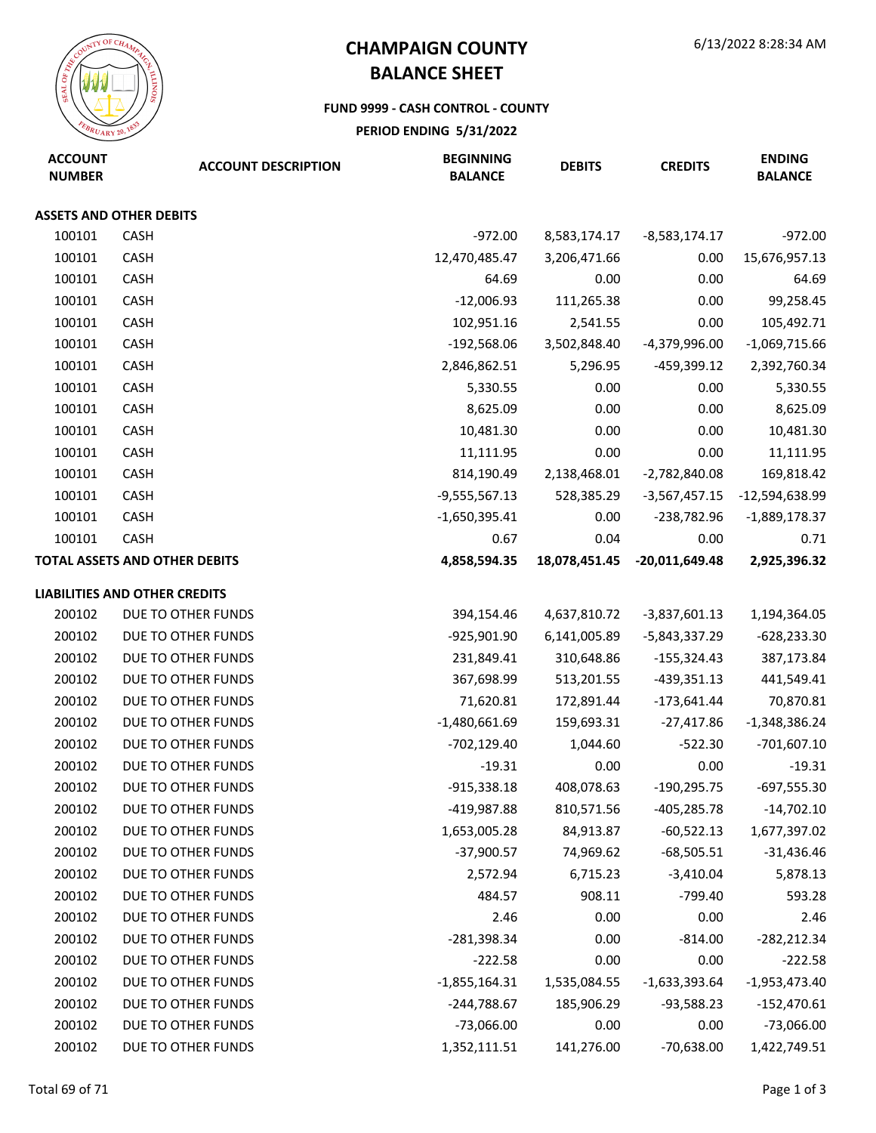

#### **FUND 9999 - CASH CONTROL - COUNTY**

| <b>ACCOUNT</b><br><b>NUMBER</b> | <b>ACCOUNT DESCRIPTION</b>           | <b>BEGINNING</b><br><b>BALANCE</b> | <b>DEBITS</b> | <b>CREDITS</b>   | <b>ENDING</b><br><b>BALANCE</b> |
|---------------------------------|--------------------------------------|------------------------------------|---------------|------------------|---------------------------------|
|                                 | <b>ASSETS AND OTHER DEBITS</b>       |                                    |               |                  |                                 |
| 100101                          | CASH                                 | $-972.00$                          | 8,583,174.17  | $-8,583,174.17$  | $-972.00$                       |
| 100101                          | CASH                                 | 12,470,485.47                      | 3,206,471.66  | 0.00             | 15,676,957.13                   |
| 100101                          | <b>CASH</b>                          | 64.69                              | 0.00          | 0.00             | 64.69                           |
| 100101                          | CASH                                 | $-12,006.93$                       | 111,265.38    | 0.00             | 99,258.45                       |
| 100101                          | CASH                                 | 102,951.16                         | 2,541.55      | 0.00             | 105,492.71                      |
| 100101                          | CASH                                 | $-192,568.06$                      | 3,502,848.40  | -4,379,996.00    | $-1,069,715.66$                 |
| 100101                          | CASH                                 | 2,846,862.51                       | 5,296.95      | -459,399.12      | 2,392,760.34                    |
| 100101                          | CASH                                 | 5,330.55                           | 0.00          | 0.00             | 5,330.55                        |
| 100101                          | CASH                                 | 8,625.09                           | 0.00          | 0.00             | 8,625.09                        |
| 100101                          | CASH                                 | 10,481.30                          | 0.00          | 0.00             | 10,481.30                       |
| 100101                          | CASH                                 | 11,111.95                          | 0.00          | 0.00             | 11,111.95                       |
| 100101                          | CASH                                 | 814,190.49                         | 2,138,468.01  | $-2,782,840.08$  | 169,818.42                      |
| 100101                          | CASH                                 | $-9,555,567.13$                    | 528,385.29    | $-3,567,457.15$  | -12,594,638.99                  |
| 100101                          | CASH                                 | $-1,650,395.41$                    | 0.00          | $-238,782.96$    | $-1,889,178.37$                 |
| 100101                          | CASH                                 | 0.67                               | 0.04          | 0.00             | 0.71                            |
|                                 | <b>TOTAL ASSETS AND OTHER DEBITS</b> | 4,858,594.35                       | 18,078,451.45 | $-20,011,649.48$ | 2,925,396.32                    |
|                                 | <b>LIABILITIES AND OTHER CREDITS</b> |                                    |               |                  |                                 |
| 200102                          | DUE TO OTHER FUNDS                   | 394,154.46                         | 4,637,810.72  | $-3,837,601.13$  | 1,194,364.05                    |
| 200102                          | DUE TO OTHER FUNDS                   | -925,901.90                        | 6,141,005.89  | $-5,843,337.29$  | $-628,233.30$                   |
| 200102                          | DUE TO OTHER FUNDS                   | 231,849.41                         | 310,648.86    | $-155,324.43$    | 387,173.84                      |
| 200102                          | DUE TO OTHER FUNDS                   | 367,698.99                         | 513,201.55    | $-439,351.13$    | 441,549.41                      |
| 200102                          | DUE TO OTHER FUNDS                   | 71,620.81                          | 172,891.44    | $-173,641.44$    | 70,870.81                       |
| 200102                          | DUE TO OTHER FUNDS                   | $-1,480,661.69$                    | 159,693.31    | $-27,417.86$     | $-1,348,386.24$                 |
| 200102                          | DUE TO OTHER FUNDS                   | $-702, 129.40$                     | 1,044.60      | $-522.30$        | $-701,607.10$                   |
| 200102                          | DUE TO OTHER FUNDS                   | $-19.31$                           | 0.00          | 0.00             | $-19.31$                        |
| 200102                          | DUE TO OTHER FUNDS                   | $-915,338.18$                      | 408,078.63    | $-190,295.75$    | $-697,555.30$                   |
| 200102                          | DUE TO OTHER FUNDS                   | -419,987.88                        | 810,571.56    | -405,285.78      | $-14,702.10$                    |
| 200102                          | DUE TO OTHER FUNDS                   | 1,653,005.28                       | 84,913.87     | $-60,522.13$     | 1,677,397.02                    |
| 200102                          | DUE TO OTHER FUNDS                   | $-37,900.57$                       | 74,969.62     | $-68,505.51$     | $-31,436.46$                    |
| 200102                          | DUE TO OTHER FUNDS                   | 2,572.94                           | 6,715.23      | $-3,410.04$      | 5,878.13                        |
| 200102                          | DUE TO OTHER FUNDS                   | 484.57                             | 908.11        | $-799.40$        | 593.28                          |
| 200102                          | DUE TO OTHER FUNDS                   | 2.46                               | 0.00          | 0.00             | 2.46                            |
| 200102                          | DUE TO OTHER FUNDS                   | $-281,398.34$                      | 0.00          | $-814.00$        | $-282,212.34$                   |
| 200102                          | DUE TO OTHER FUNDS                   | $-222.58$                          | 0.00          | 0.00             | $-222.58$                       |
| 200102                          | DUE TO OTHER FUNDS                   | $-1,855,164.31$                    | 1,535,084.55  | $-1,633,393.64$  | $-1,953,473.40$                 |
| 200102                          | DUE TO OTHER FUNDS                   | $-244,788.67$                      | 185,906.29    | $-93,588.23$     | $-152,470.61$                   |
| 200102                          | DUE TO OTHER FUNDS                   | $-73,066.00$                       | 0.00          | 0.00             | $-73,066.00$                    |
| 200102                          | DUE TO OTHER FUNDS                   | 1,352,111.51                       | 141,276.00    | $-70,638.00$     | 1,422,749.51                    |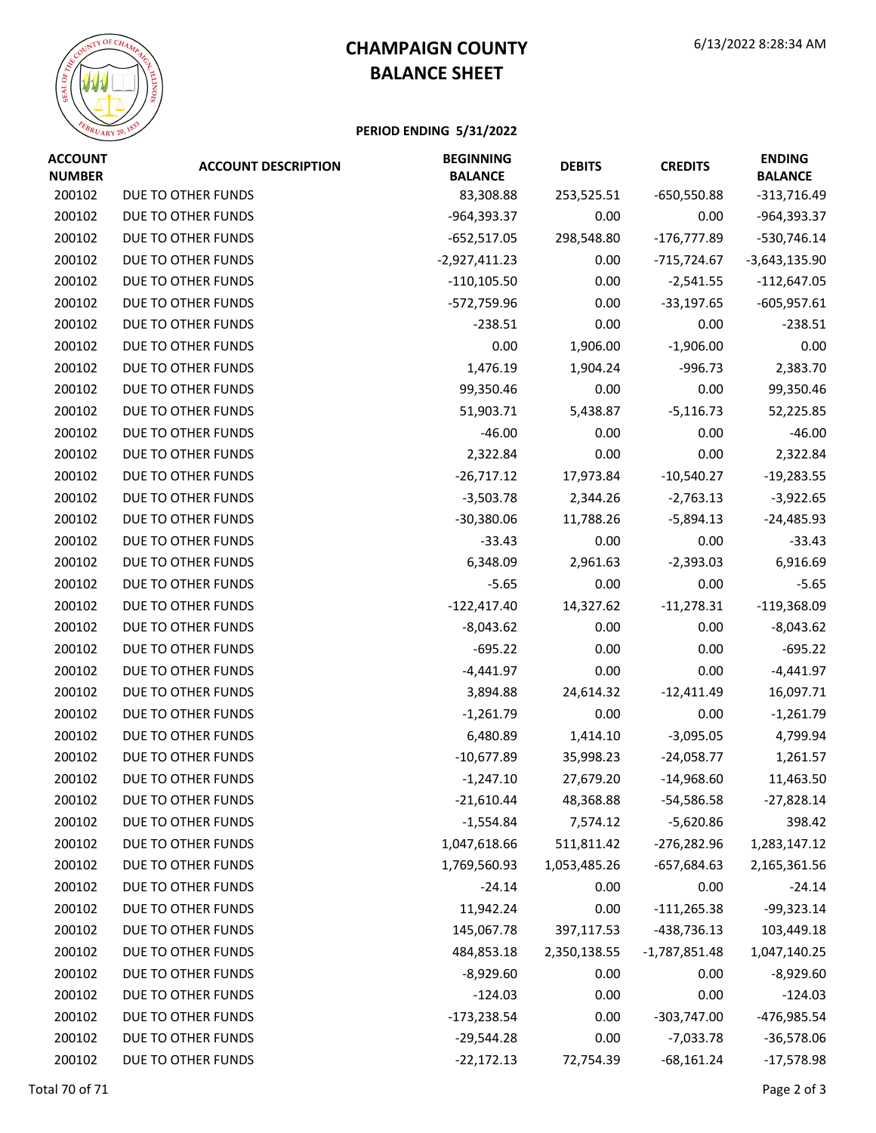

| <b>ACCOUNT</b><br><b>NUMBER</b> | <b>ACCOUNT DESCRIPTION</b> | <b>BEGINNING</b><br><b>BALANCE</b> | <b>DEBITS</b> | <b>CREDITS</b>  | <b>ENDING</b><br><b>BALANCE</b> |
|---------------------------------|----------------------------|------------------------------------|---------------|-----------------|---------------------------------|
| 200102                          | DUE TO OTHER FUNDS         | 83,308.88                          | 253,525.51    | $-650,550.88$   | $-313,716.49$                   |
| 200102                          | DUE TO OTHER FUNDS         | -964,393.37                        | 0.00          | 0.00            | -964,393.37                     |
| 200102                          | DUE TO OTHER FUNDS         | $-652,517.05$                      | 298,548.80    | $-176,777.89$   | $-530,746.14$                   |
| 200102                          | DUE TO OTHER FUNDS         | $-2,927,411.23$                    | 0.00          | -715,724.67     | $-3,643,135.90$                 |
| 200102                          | DUE TO OTHER FUNDS         | $-110, 105.50$                     | 0.00          | $-2,541.55$     | $-112,647.05$                   |
| 200102                          | DUE TO OTHER FUNDS         | -572,759.96                        | 0.00          | $-33,197.65$    | $-605,957.61$                   |
| 200102                          | DUE TO OTHER FUNDS         | $-238.51$                          | 0.00          | 0.00            | $-238.51$                       |
| 200102                          | DUE TO OTHER FUNDS         | 0.00                               | 1,906.00      | $-1,906.00$     | 0.00                            |
| 200102                          | DUE TO OTHER FUNDS         | 1,476.19                           | 1,904.24      | $-996.73$       | 2,383.70                        |
| 200102                          | DUE TO OTHER FUNDS         | 99,350.46                          | 0.00          | 0.00            | 99,350.46                       |
| 200102                          | DUE TO OTHER FUNDS         | 51,903.71                          | 5,438.87      | $-5,116.73$     | 52,225.85                       |
| 200102                          | DUE TO OTHER FUNDS         | $-46.00$                           | 0.00          | 0.00            | $-46.00$                        |
| 200102                          | DUE TO OTHER FUNDS         | 2,322.84                           | 0.00          | 0.00            | 2,322.84                        |
| 200102                          | DUE TO OTHER FUNDS         | $-26,717.12$                       | 17,973.84     | $-10,540.27$    | $-19,283.55$                    |
| 200102                          | DUE TO OTHER FUNDS         | $-3,503.78$                        | 2,344.26      | $-2,763.13$     | $-3,922.65$                     |
| 200102                          | DUE TO OTHER FUNDS         | $-30,380.06$                       | 11,788.26     | $-5,894.13$     | $-24,485.93$                    |
| 200102                          | DUE TO OTHER FUNDS         | $-33.43$                           | 0.00          | 0.00            | $-33.43$                        |
| 200102                          | DUE TO OTHER FUNDS         | 6,348.09                           | 2,961.63      | $-2,393.03$     | 6,916.69                        |
| 200102                          | DUE TO OTHER FUNDS         | $-5.65$                            | 0.00          | 0.00            | $-5.65$                         |
| 200102                          | DUE TO OTHER FUNDS         | $-122,417.40$                      | 14,327.62     | $-11,278.31$    | $-119,368.09$                   |
| 200102                          | DUE TO OTHER FUNDS         | $-8,043.62$                        | 0.00          | 0.00            | $-8,043.62$                     |
| 200102                          | DUE TO OTHER FUNDS         | $-695.22$                          | 0.00          | 0.00            | $-695.22$                       |
| 200102                          | DUE TO OTHER FUNDS         | $-4,441.97$                        | 0.00          | 0.00            | $-4,441.97$                     |
| 200102                          | DUE TO OTHER FUNDS         | 3,894.88                           | 24,614.32     | $-12,411.49$    | 16,097.71                       |
| 200102                          | DUE TO OTHER FUNDS         | $-1,261.79$                        | 0.00          | 0.00            | $-1,261.79$                     |
| 200102                          | DUE TO OTHER FUNDS         | 6,480.89                           | 1,414.10      | $-3,095.05$     | 4,799.94                        |
| 200102                          | DUE TO OTHER FUNDS         | $-10,677.89$                       | 35,998.23     | $-24,058.77$    | 1,261.57                        |
| 200102                          | DUE TO OTHER FUNDS         | $-1,247.10$                        | 27,679.20     | $-14,968.60$    | 11,463.50                       |
| 200102                          | DUE TO OTHER FUNDS         | $-21,610.44$                       | 48,368.88     | $-54,586.58$    | $-27,828.14$                    |
| 200102                          | DUE TO OTHER FUNDS         | $-1,554.84$                        | 7,574.12      | $-5,620.86$     | 398.42                          |
| 200102                          | DUE TO OTHER FUNDS         | 1,047,618.66                       | 511,811.42    | $-276,282.96$   | 1,283,147.12                    |
| 200102                          | DUE TO OTHER FUNDS         | 1,769,560.93                       | 1,053,485.26  | $-657,684.63$   | 2,165,361.56                    |
| 200102                          | DUE TO OTHER FUNDS         | $-24.14$                           | 0.00          | 0.00            | $-24.14$                        |
| 200102                          | DUE TO OTHER FUNDS         | 11,942.24                          | 0.00          | $-111,265.38$   | $-99,323.14$                    |
| 200102                          | DUE TO OTHER FUNDS         | 145,067.78                         | 397,117.53    | $-438,736.13$   | 103,449.18                      |
| 200102                          | DUE TO OTHER FUNDS         | 484,853.18                         | 2,350,138.55  | $-1,787,851.48$ | 1,047,140.25                    |
| 200102                          | DUE TO OTHER FUNDS         | $-8,929.60$                        | 0.00          | 0.00            | $-8,929.60$                     |
| 200102                          | DUE TO OTHER FUNDS         | $-124.03$                          | 0.00          | 0.00            | $-124.03$                       |
| 200102                          | DUE TO OTHER FUNDS         | $-173,238.54$                      | 0.00          | $-303,747.00$   | -476,985.54                     |
| 200102                          | DUE TO OTHER FUNDS         | $-29,544.28$                       | 0.00          | $-7,033.78$     | $-36,578.06$                    |
| 200102                          | DUE TO OTHER FUNDS         | $-22,172.13$                       | 72,754.39     | $-68,161.24$    | $-17,578.98$                    |